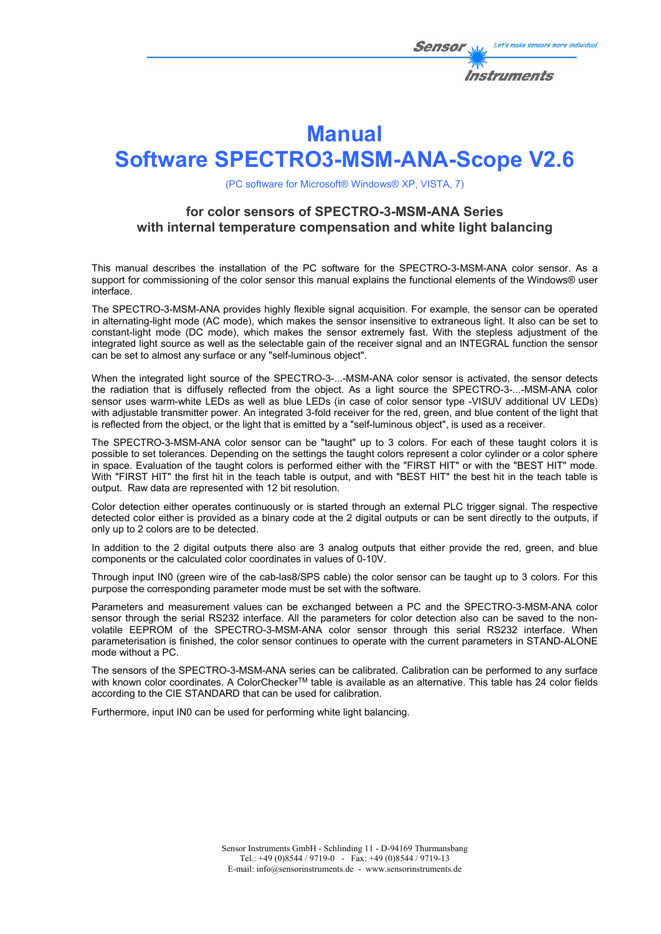

# **Manual**

# **Software SPECTRO3-MSM-ANA-Scope V2.6**

(PC software for Microsoft® Windows® XP, VISTA, 7)

# **for color sensors of SPECTRO-3-MSM-ANA Series with internal temperature compensation and white light balancing**

This manual describes the installation of the PC software for the SPECTRO-3-MSM-ANA color sensor. As a support for commissioning of the color sensor this manual explains the functional elements of the Windows® user interface.

The SPECTRO-3-MSM-ANA provides highly flexible signal acquisition. For example, the sensor can be operated in alternating-light mode (AC mode), which makes the sensor insensitive to extraneous light. It also can be set to constant-light mode (DC mode), which makes the sensor extremely fast. With the stepless adjustment of the integrated light source as well as the selectable gain of the receiver signal and an INTEGRAL function the sensor can be set to almost any surface or any "self-luminous object".

When the integrated light source of the SPECTRO-3-...-MSM-ANA color sensor is activated, the sensor detects the radiation that is diffusely reflected from the object. As a light source the SPECTRO-3-...-MSM-ANA color sensor uses warm-white LEDs as well as blue LEDs (in case of color sensor type -VISUV additional UV LEDs) with adjustable transmitter power. An integrated 3-fold receiver for the red, green, and blue content of the light that is reflected from the object, or the light that is emitted by a "self-luminous object", is used as a receiver.

The SPECTRO-3-MSM-ANA color sensor can be "taught" up to 3 colors. For each of these taught colors it is possible to set tolerances. Depending on the settings the taught colors represent a color cylinder or a color sphere in space. Evaluation of the taught colors is performed either with the "FIRST HIT" or with the "BEST HIT" mode. With "FIRST HIT" the first hit in the teach table is output, and with "BEST HIT" the best hit in the teach table is output. Raw data are represented with 12 bit resolution.

Color detection either operates continuously or is started through an external PLC trigger signal. The respective detected color either is provided as a binary code at the 2 digital outputs or can be sent directly to the outputs, if only up to 2 colors are to be detected.

In addition to the 2 digital outputs there also are 3 analog outputs that either provide the red, green, and blue components or the calculated color coordinates in values of 0-10V.

Through input IN0 (green wire of the cab-las8/SPS cable) the color sensor can be taught up to 3 colors. For this purpose the corresponding parameter mode must be set with the software.

Parameters and measurement values can be exchanged between a PC and the SPECTRO-3-MSM-ANA color sensor through the serial RS232 interface. All the parameters for color detection also can be saved to the nonvolatile EEPROM of the SPECTRO-3-MSM-ANA color sensor through this serial RS232 interface. When parameterisation is finished, the color sensor continues to operate with the current parameters in STAND-ALONE mode without a PC.

The sensors of the SPECTRO-3-MSM-ANA series can be calibrated. Calibration can be performed to any surface with known color coordinates. A ColorChecker™ table is available as an alternative. This table has 24 color fields according to the CIE STANDARD that can be used for calibration.

Furthermore, input IN0 can be used for performing white light balancing.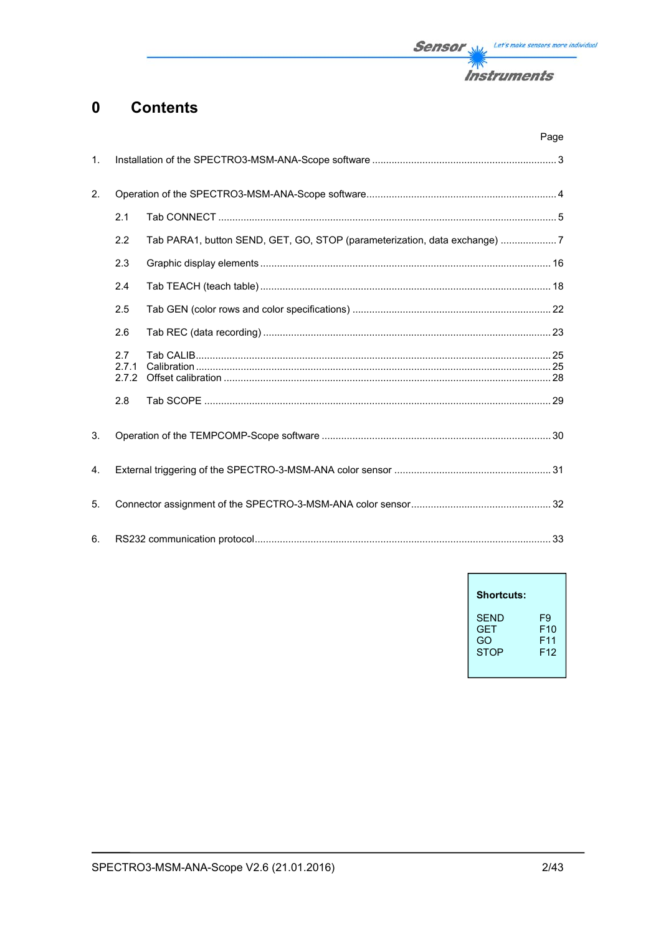

#### **Contents**  $\mathbf 0$

|                |                       |                                                                           | Page |
|----------------|-----------------------|---------------------------------------------------------------------------|------|
| $\mathbf{1}$ . |                       |                                                                           |      |
| 2.             |                       |                                                                           |      |
|                | 2.1                   |                                                                           |      |
|                | 2.2                   | Tab PARA1, button SEND, GET, GO, STOP (parameterization, data exchange) 7 |      |
|                | 2.3                   |                                                                           |      |
|                | 2.4                   |                                                                           |      |
|                | 2.5                   |                                                                           |      |
|                | 2.6                   |                                                                           |      |
|                | 2.7<br>2.7.1<br>2.7.2 |                                                                           |      |
|                | 2.8                   |                                                                           |      |
| 3.             |                       |                                                                           |      |
| 4.             |                       |                                                                           |      |
| 5.             |                       |                                                                           |      |
| 6.             |                       |                                                                           |      |

| <b>Shortcuts:</b> |                 |
|-------------------|-----------------|
| SFND              | F9              |
| <b>GFT</b>        | F10             |
| GO                | F11             |
| <b>STOP</b>       | F <sub>12</sub> |

 $\overline{1}$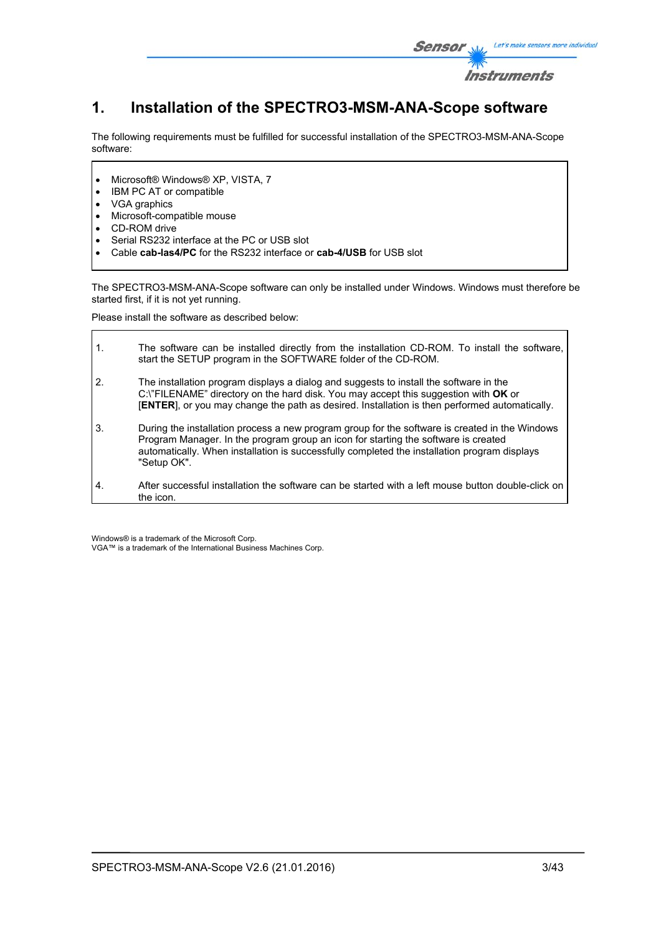

# **1. Installation of the SPECTRO3-MSM-ANA-Scope software**

The following requirements must be fulfilled for successful installation of the SPECTRO3-MSM-ANA-Scope software:

- Microsoft® Windows® XP, VISTA, 7
- IBM PC AT or compatible
- VGA graphics
- Microsoft-compatible mouse
- CD-ROM drive
- Serial RS232 interface at the PC or USB slot
- Cable **cab-las4/PC** for the RS232 interface or **cab-4/USB** for USB slot

The SPECTRO3-MSM-ANA-Scope software can only be installed under Windows. Windows must therefore be started first, if it is not yet running.

Please install the software as described below:

| $\mathbf{1}$ . | The software can be installed directly from the installation CD-ROM. To install the software,<br>start the SETUP program in the SOFTWARE folder of the CD-ROM.                                                                                                                                      |
|----------------|-----------------------------------------------------------------------------------------------------------------------------------------------------------------------------------------------------------------------------------------------------------------------------------------------------|
| 2.             | The installation program displays a dialog and suggests to install the software in the<br>C:\"FILENAME" directory on the hard disk. You may accept this suggestion with OK or<br>[ENTER], or you may change the path as desired. Installation is then performed automatically.                      |
| 3.             | During the installation process a new program group for the software is created in the Windows<br>Program Manager. In the program group an icon for starting the software is created<br>automatically. When installation is successfully completed the installation program displays<br>"Setup OK". |
| 4.             | After successful installation the software can be started with a left mouse button double-click on<br>the icon.                                                                                                                                                                                     |

Windows® is a trademark of the Microsoft Corp. VGA™ is a trademark of the International Business Machines Corp.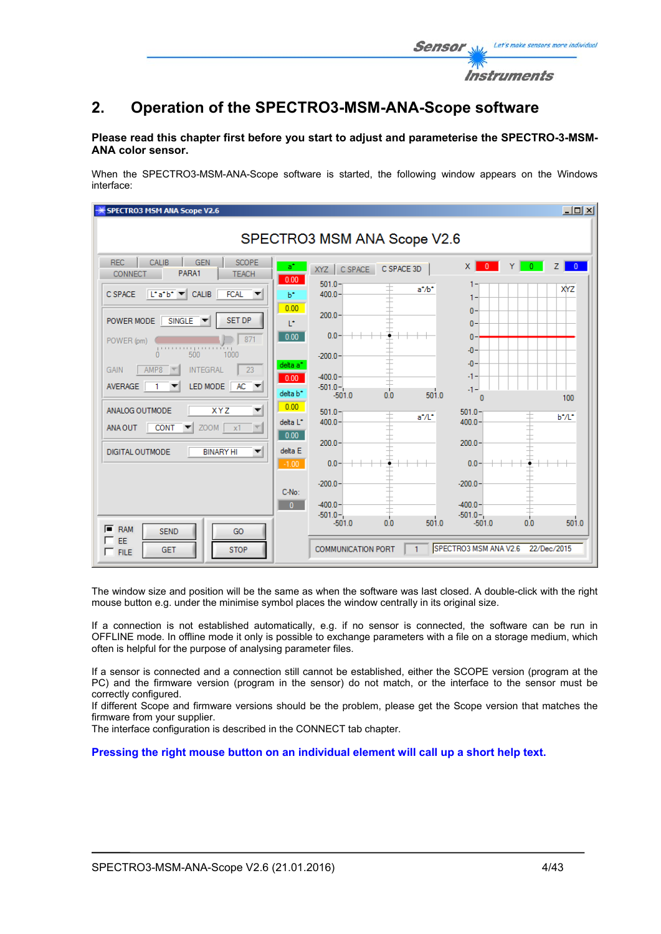

## **Please read this chapter first before you start to adjust and parameterise the SPECTRO-3-MSM-ANA color sensor.**

When the SPECTRO3-MSM-ANA-Scope software is started, the following window appears on the Windows interface:

| SPECTRO3 MSM ANA Scope V2.6                                                                                            |                                                      | $\Box$                                                                      |
|------------------------------------------------------------------------------------------------------------------------|------------------------------------------------------|-----------------------------------------------------------------------------|
|                                                                                                                        | SPECTRO3 MSM ANA Scope V2.6                          |                                                                             |
| <b>REC</b><br>CALIB<br>SCOPE<br><b>GEN</b><br>$a^*$<br>PARA1<br>CONNECT<br><b>TEACH</b><br>0.00                        | C SPACE 3D<br>C SPACE<br>XYZ                         | $\mathbf{0}$<br>$\overline{0}$<br>x <sub>1</sub><br>Y.<br>$\mathbf{0}$<br>7 |
| $\ $ L <sup>*</sup> a <sup>*</sup> b <sup>*</sup> $\ $ CALIB<br><b>FCAL</b><br>C SPACE<br>$b^*$                        | $501.0 -$<br>$a^* / b^*$<br>$400.0 -$                | XYZ<br>1-                                                                   |
| 0.00<br><b>SET DP</b><br>$SINGLE$ $\blacktriangledown$<br>POWER MODE<br>T*                                             | $200.0 -$                                            | $\mathbf{0}$<br>$\mathbf{0}$                                                |
| 0.00 <sub>1</sub><br>871<br>POWER (pm)<br>$\frac{1}{6}$ $\frac{1}{300}$ $\frac{1}{100}$<br>1000                        | $0.0 -$<br>$-200.0 -$                                | $\mathbf{0}$<br>$-0$                                                        |
| delta a <sup>*</sup><br><b>INTEGRAL</b><br>23<br>AMP8<br><b>GAIN</b><br>0.00                                           | $-400.0 -$                                           | $-0-$<br>-1-                                                                |
| LED MODE<br>$AC =$<br>AVERAGE<br>delta b <sup>*</sup>                                                                  | $-501.0 -$<br>501.0<br>0.0<br>$-501.0$               | $-1 -$<br>100<br>n                                                          |
| 0.00<br>ANALOG OUTMODE<br><b>XYZ</b><br>▼<br>delta L*<br>$ZOOM$ $x1$<br><b>CONT</b><br>$\vert \nabla \vert$<br>ANA OUT | $501.0 -$<br>$a^*/L^*$<br>$400.0 -$                  | $501.0 -$<br>b*/L*<br>400.0                                                 |
| 0.00<br>delta E<br><b>DIGITAL OUTMODE</b><br><b>BINARY HI</b><br>▼                                                     | $200.0 -$                                            | 200.0                                                                       |
| $-1.00$                                                                                                                | $0.0 -$                                              | 0.0                                                                         |
| C-No:                                                                                                                  | $-200.0 -$                                           | $-200.0$                                                                    |
| $\overline{0}$                                                                                                         | $-400.0 -$<br>$-501.0 -$<br>0.0<br>501.0<br>$-501.0$ | $-400.0 -$<br>$-501.0 -$<br>501.0<br>$-501.0$<br>0.0                        |
| $F$ RAM<br><b>SEND</b><br>GO<br>┍<br>EE<br><b>STOP</b><br><b>GET</b><br>$\Gamma$ FILE                                  | $\mathbf{1}$<br><b>COMMUNICATION PORT</b>            | SPECTRO3 MSM ANA V2.6 22/Dec/2015                                           |

The window size and position will be the same as when the software was last closed. A double-click with the right mouse button e.g. under the minimise symbol places the window centrally in its original size.

If a connection is not established automatically, e.g. if no sensor is connected, the software can be run in OFFLINE mode. In offline mode it only is possible to exchange parameters with a file on a storage medium, which often is helpful for the purpose of analysing parameter files.

If a sensor is connected and a connection still cannot be established, either the SCOPE version (program at the PC) and the firmware version (program in the sensor) do not match, or the interface to the sensor must be correctly configured.

If different Scope and firmware versions should be the problem, please get the Scope version that matches the firmware from your supplier.

The interface configuration is described in the CONNECT tab chapter.

**Pressing the right mouse button on an individual element will call up a short help text.** 

Let's make sensors more individual

Instruments

Senso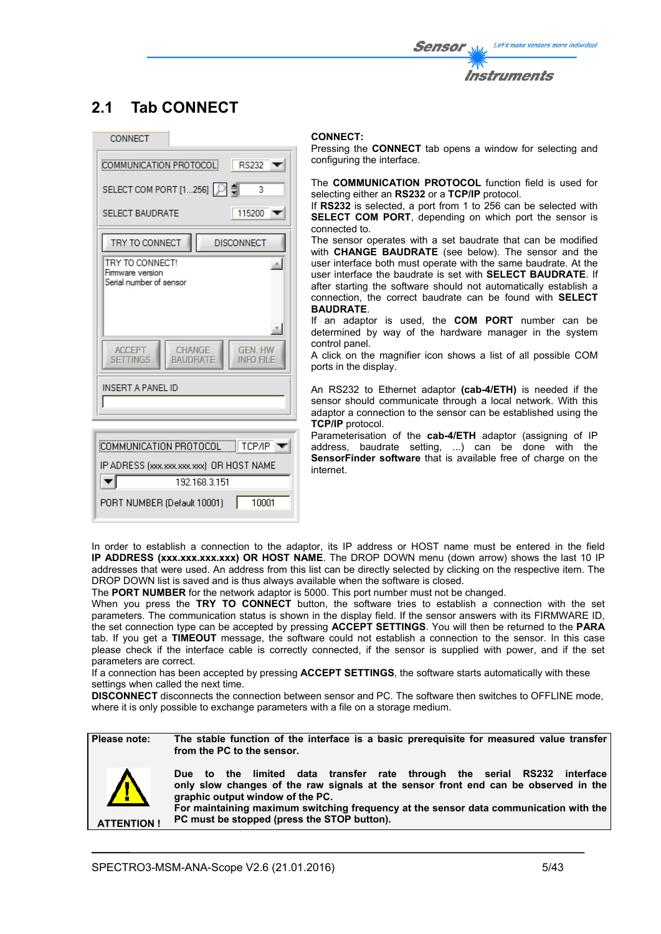# **2.1 Tab CONNECT**



#### **CONNECT:**

Pressing the **CONNECT** tab opens a window for selecting and configuring the interface.

The **COMMUNICATION PROTOCOL** function field is used for selecting either an **RS232** or a **TCP/IP** protocol.

If **RS232** is selected, a port from 1 to 256 can be selected with **SELECT COM PORT**, depending on which port the sensor is connected to.

The sensor operates with a set baudrate that can be modified with **CHANGE BAUDRATE** (see below). The sensor and the user interface both must operate with the same baudrate. At the user interface the baudrate is set with **SELECT BAUDRATE**. If after starting the software should not automatically establish a connection, the correct baudrate can be found with **SELECT BAUDRATE**.

If an adaptor is used, the **COM PORT** number can be determined by way of the hardware manager in the system control panel.

A click on the magnifier icon shows a list of all possible COM ports in the display.

An RS232 to Ethernet adaptor **(cab-4/ETH)** is needed if the sensor should communicate through a local network. With this adaptor a connection to the sensor can be established using the **TCP/IP** protocol.

Parameterisation of the **cab-4/ETH** adaptor (assigning of IP address, baudrate setting, ...) can be done with the **SensorFinder software** that is available free of charge on the internet.

In order to establish a connection to the adaptor, its IP address or HOST name must be entered in the field **IP ADDRESS (xxx.xxx.xxx.xxx) OR HOST NAME**. The DROP DOWN menu (down arrow) shows the last 10 IP addresses that were used. An address from this list can be directly selected by clicking on the respective item. The DROP DOWN list is saved and is thus always available when the software is closed.

The **PORT NUMBER** for the network adaptor is 5000. This port number must not be changed.

When you press the **TRY TO CONNECT** button, the software tries to establish a connection with the set parameters. The communication status is shown in the display field. If the sensor answers with its FIRMWARE ID, the set connection type can be accepted by pressing **ACCEPT SETTINGS**. You will then be returned to the **PARA** tab. If you get a **TIMEOUT** message, the software could not establish a connection to the sensor. In this case please check if the interface cable is correctly connected, if the sensor is supplied with power, and if the set parameters are correct.

If a connection has been accepted by pressing **ACCEPT SETTINGS**, the software starts automatically with these settings when called the next time.

**DISCONNECT** disconnects the connection between sensor and PC. The software then switches to OFFLINE mode, where it is only possible to exchange parameters with a file on a storage medium.

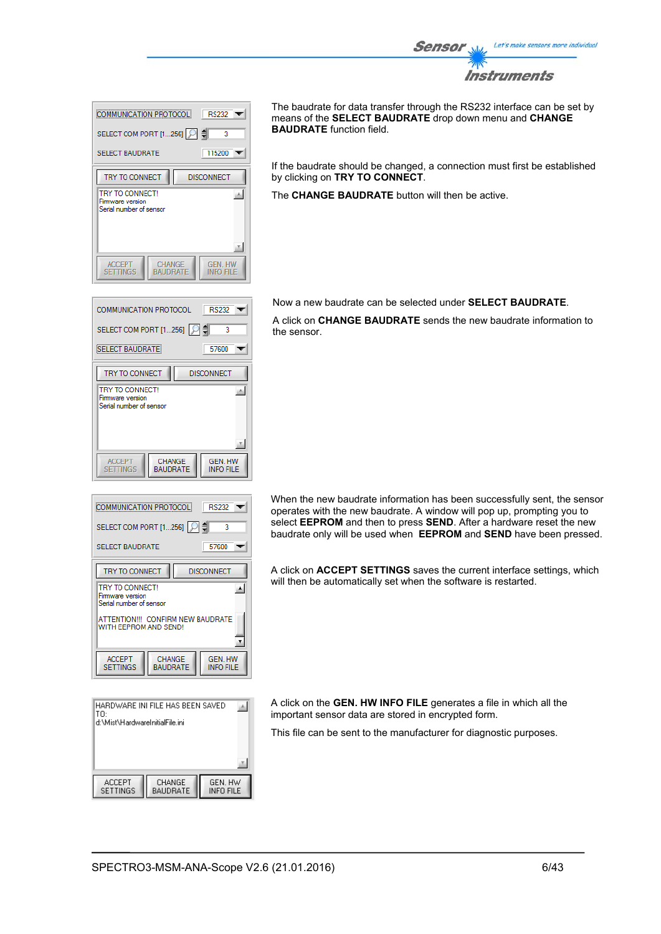

| <b>RS232</b><br>COMMUNICATION PROTOCOL                                                                |  |
|-------------------------------------------------------------------------------------------------------|--|
| SELECT COM PORT [1256]   이 예<br>3<br>115200<br><b>SELECT BAUDRATE</b>                                 |  |
| TRY TO CONNECT<br><b>DISCONNECT</b><br>TRY TO CONNECT!<br>Firmware version<br>Serial number of sensor |  |
| <b>CHANGE</b><br><b>GEN HW</b><br><b>ACCEPT</b><br><b>SETTINGS</b><br><b>BAUDRATE</b><br>INFO FILE    |  |

**RS232**  $\overline{\phantom{a}}$ 

> 57600  $\overline{\mathbf{v}}$

**GEN. HW** 

**INFO FILE** 

**DISCONNECT** 

٦ ₿

스

COMMUNICATION PROTOCOL

**SELECT BAUDRATE** 

TRY TO CONNECT

**TRY TO CONNECT!** 

**ACCEPT** 

**SETTINGS** 

Firm the contract :<br>Firmware version<br>Serial number of sensor

SELECT COM PORT [1...256]

The baudrate for data transfer through the RS232 interface can be set by means of the **SELECT BAUDRATE** drop down menu and **CHANGE BAUDRATE** function field.

If the baudrate should be changed, a connection must first be established by clicking on **TRY TO CONNECT**.

The **CHANGE BAUDRATE** button will then be active.

Now a new baudrate can be selected under **SELECT BAUDRATE**.

A click on **CHANGE BAUDRATE** sends the new baudrate information to the sensor.

| <b>COMMUNICATION PROTOCOL</b><br><b>RS232</b>                  |                    |                                    |  |  |
|----------------------------------------------------------------|--------------------|------------------------------------|--|--|
| SELECT COM PORT [1256]                                         |                    | 3                                  |  |  |
| 57600<br><b>SELECT BAUDRATE</b>                                |                    |                                    |  |  |
| TRY TO CONNECT<br><b>DISCONNECT</b>                            |                    |                                    |  |  |
| TRY TO CONNECT!<br>Firmware version<br>Serial number of sensor |                    |                                    |  |  |
| ATTENTION !!! CONFIRM NEW BAUDRATE<br>WITH FFPROM AND SEND!    |                    |                                    |  |  |
| <b>ACCEPT</b><br><b>SETTINGS</b>                               | CHANGE<br>BAUDRATE | <b>GEN. HW</b><br><b>INFO FILE</b> |  |  |

CHANGE<br>BAUDRATE

| HARDWARE INI FILE HAS BEEN SAVED<br>TO: |                           |                             |  |  |
|-----------------------------------------|---------------------------|-----------------------------|--|--|
| d:\Mist\HardwareInitialFile.ini         |                           |                             |  |  |
|                                         |                           |                             |  |  |
|                                         |                           |                             |  |  |
|                                         |                           |                             |  |  |
| <b>ACCEPT</b><br><b>SETTINGS</b>        | CHANGE<br><b>BAUDRATE</b> | GEN. HW<br><b>INFO FILE</b> |  |  |

When the new baudrate information has been successfully sent, the sensor operates with the new baudrate. A window will pop up, prompting you to select **EEPROM** and then to press **SEND**. After a hardware reset the new baudrate only will be used when **EEPROM** and **SEND** have been pressed.

A click on **ACCEPT SETTINGS** saves the current interface settings, which will then be automatically set when the software is restarted.

A click on the **GEN. HW INFO FILE** generates a file in which all the important sensor data are stored in encrypted form.

This file can be sent to the manufacturer for diagnostic purposes.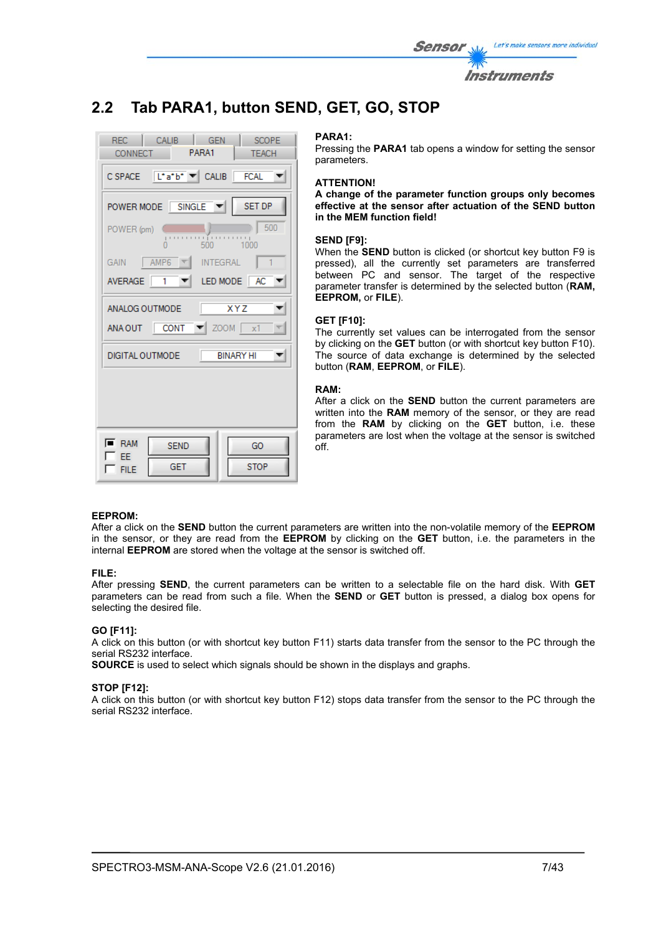| <i>Sensor</i> | Let's make sensors more individual |
|---------------|------------------------------------|
|               | <i><b>Instruments</b></i>          |

# **2.2 Tab PARA1, button SEND, GET, GO, STOP**

| REC CALIB<br><b>GEN</b><br>SCOPE<br>CONNECT PARA1<br><b>TEACH</b> |  |  |  |  |
|-------------------------------------------------------------------|--|--|--|--|
| CSPACE L'atb <sup>+</sup> CALIB FCAL                              |  |  |  |  |
| POWER MODE SINGLE V<br>SET DP                                     |  |  |  |  |
| 500<br>POWER (pm)<br>$-1000$                                      |  |  |  |  |
| GAIN $\parallel$ AMP6<br><b>INTEGRAL</b><br>$\mathbf{1}$          |  |  |  |  |
| LED MODE AC<br>AVERAGE 1                                          |  |  |  |  |
| $\overline{XYZ}$<br>ANALOG OUTMODE                                |  |  |  |  |
| ANA OUT CONT $\blacktriangledown$ ZOOM $\mid x1 \rangle$          |  |  |  |  |
| <b>BINARY HI</b><br>DIGITAL OUTMODE                               |  |  |  |  |
|                                                                   |  |  |  |  |
|                                                                   |  |  |  |  |
| $\overline{\phantom{a}}$ RAM<br><b>SEND</b><br>GO                 |  |  |  |  |
| EE.<br>GET<br><b>STOP</b><br><b>FILE</b>                          |  |  |  |  |

#### **PARA1:**

Pressing the **PARA1** tab opens a window for setting the sensor parameters.

#### **ATTENTION!**

**A change of the parameter function groups only becomes effective at the sensor after actuation of the SEND button in the MEM function field!** 

### **SEND [F9]:**

When the **SEND** button is clicked (or shortcut key button F9 is pressed), all the currently set parameters are transferred between PC and sensor. The target of the respective parameter transfer is determined by the selected button (**RAM, EEPROM,** or **FILE**).

#### **GET [F10]:**

The currently set values can be interrogated from the sensor by clicking on the **GET** button (or with shortcut key button F10). The source of data exchange is determined by the selected button (**RAM**, **EEPROM**, or **FILE**).

#### **RAM:**

After a click on the **SEND** button the current parameters are written into the **RAM** memory of the sensor, or they are read from the **RAM** by clicking on the **GET** button, i.e. these parameters are lost when the voltage at the sensor is switched off.

## **EEPROM:**

After a click on the **SEND** button the current parameters are written into the non-volatile memory of the **EEPROM** in the sensor, or they are read from the **EEPROM** by clicking on the **GET** button, i.e. the parameters in the internal **EEPROM** are stored when the voltage at the sensor is switched off.

#### **FILE:**

After pressing **SEND**, the current parameters can be written to a selectable file on the hard disk. With **GET** parameters can be read from such a file. When the **SEND** or **GET** button is pressed, a dialog box opens for selecting the desired file.

#### **GO [F11]:**

A click on this button (or with shortcut key button F11) starts data transfer from the sensor to the PC through the serial RS232 interface.

**SOURCE** is used to select which signals should be shown in the displays and graphs.

#### **STOP [F12]:**

A click on this button (or with shortcut key button F12) stops data transfer from the sensor to the PC through the serial RS232 interface.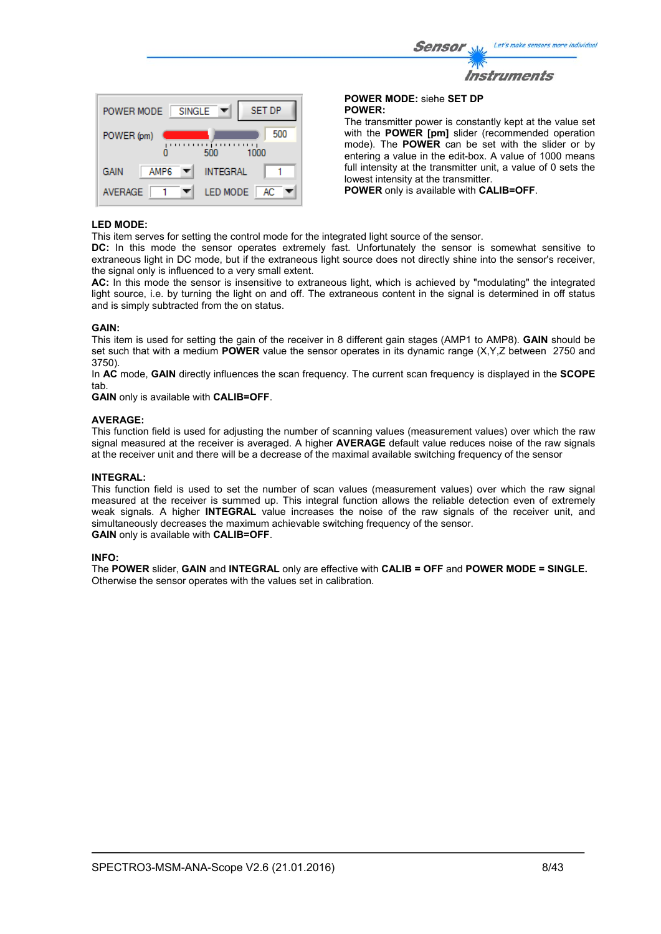| ensor W     | Let's make sensors more individual |
|-------------|------------------------------------|
| <b>TANY</b> |                                    |
|             | <b>Instruments</b>                 |



**POWER MODE:** siehe **SET DP POWER:** 

 $\mathcal{S}$ 

The transmitter power is constantly kept at the value set with the **POWER [pm]** slider (recommended operation mode). The **POWER** can be set with the slider or by entering a value in the edit-box. A value of 1000 means full intensity at the transmitter unit, a value of 0 sets the lowest intensity at the transmitter.

**POWER** only is available with **CALIB=OFF**.

### **LED MODE:**

This item serves for setting the control mode for the integrated light source of the sensor.

**DC:** In this mode the sensor operates extremely fast. Unfortunately the sensor is somewhat sensitive to extraneous light in DC mode, but if the extraneous light source does not directly shine into the sensor's receiver, the signal only is influenced to a very small extent.

**AC:** In this mode the sensor is insensitive to extraneous light, which is achieved by "modulating" the integrated light source, i.e. by turning the light on and off. The extraneous content in the signal is determined in off status and is simply subtracted from the on status.

#### **GAIN:**

This item is used for setting the gain of the receiver in 8 different gain stages (AMP1 to AMP8). **GAIN** should be set such that with a medium **POWER** value the sensor operates in its dynamic range (X,Y,Z between 2750 and 3750).

In **AC** mode, **GAIN** directly influences the scan frequency. The current scan frequency is displayed in the **SCOPE** tab.

**GAIN** only is available with **CALIB=OFF**.

#### **AVERAGE:**

This function field is used for adjusting the number of scanning values (measurement values) over which the raw signal measured at the receiver is averaged. A higher **AVERAGE** default value reduces noise of the raw signals at the receiver unit and there will be a decrease of the maximal available switching frequency of the sensor

#### **INTEGRAL:**

This function field is used to set the number of scan values (measurement values) over which the raw signal measured at the receiver is summed up. This integral function allows the reliable detection even of extremely weak signals. A higher **INTEGRAL** value increases the noise of the raw signals of the receiver unit, and simultaneously decreases the maximum achievable switching frequency of the sensor. **GAIN** only is available with **CALIB=OFF**.

#### **INFO:**

The **POWER** slider, **GAIN** and **INTEGRAL** only are effective with **CALIB = OFF** and **POWER MODE = SINGLE.**  Otherwise the sensor operates with the values set in calibration.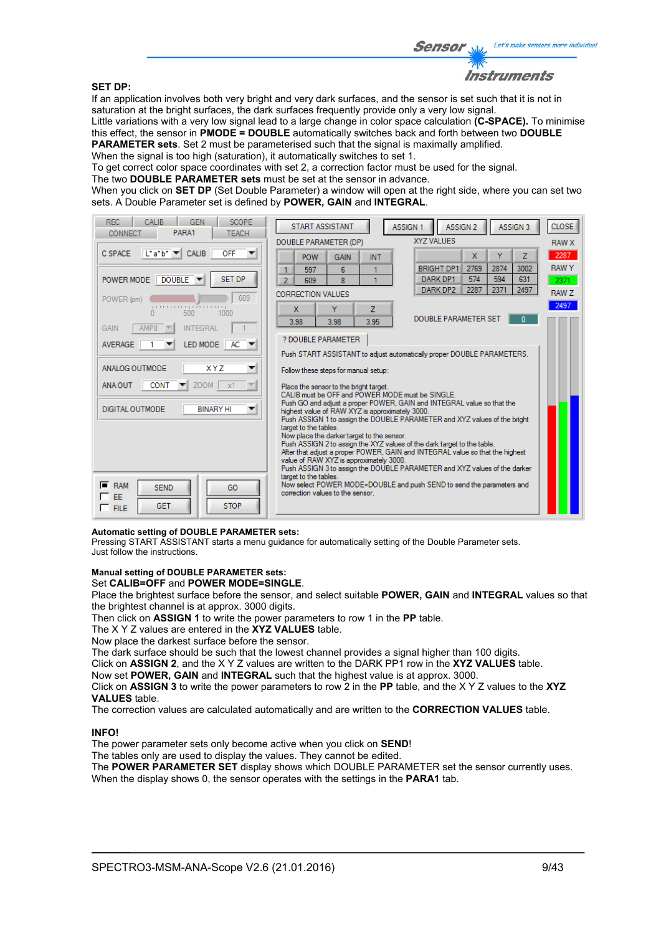#### **SET DP:**

Instruments

If an application involves both very bright and very dark surfaces, and the sensor is set such that it is not in saturation at the bright surfaces, the dark surfaces frequently provide only a very low signal.

Little variations with a very low signal lead to a large change in color space calculation **(C-SPACE).** To minimise this effect, the sensor in **PMODE = DOUBLE** automatically switches back and forth between two **DOUBLE PARAMETER sets**. Set 2 must be parameterised such that the signal is maximally amplified.

When the signal is too high (saturation), it automatically switches to set 1.

To get correct color space coordinates with set 2, a correction factor must be used for the signal.

The two **DOUBLE PARAMETER sets** must be set at the sensor in advance.

When you click on **SET DP** (Set Double Parameter) a window will open at the right side, where you can set two sets. A Double Parameter set is defined by **POWER, GAIN** and **INTEGRAL**.

| <b>REC</b><br><b>SCOPE</b><br><b>CALIB</b><br><b>GEN</b><br>PARA1<br><b>TEACH</b><br>CONNECT | <b>START ASSISTANT</b><br>ASSIGN <sub>2</sub><br>ASSIGN 3<br>ASSIGN 1                                                        | <b>CLOSE</b> |
|----------------------------------------------------------------------------------------------|------------------------------------------------------------------------------------------------------------------------------|--------------|
|                                                                                              | XYZ VALUES<br>DOUBLE PARAMETER (DP)                                                                                          | <b>RAW X</b> |
| $\lfloor \cdot a \cdot b \cdot \rfloor$<br><b>CALIB</b><br>OFF<br>C SPACE                    | x<br>Ÿ<br>7<br><b>POW</b><br><b>GAIN</b><br><b>INT</b>                                                                       | 2287         |
|                                                                                              | <b>BRIGHT DP1</b><br>2769<br>2874<br>3002<br>597<br>6<br>1<br>1                                                              | <b>RAWY</b>  |
| <b>SET DP</b><br>POWER MODE DOUBLE                                                           | 574<br>594<br>631<br>DARK DP1<br>$\overline{8}$<br>2<br>609<br>2287<br>2371<br>2497<br>DARK DP2                              | 2371         |
| 609<br>POWER (pm)                                                                            | <b>CORRECTION VALUES</b>                                                                                                     | <b>RAW Z</b> |
| .<br>500<br>1000<br>n                                                                        | Ÿ<br>$\overline{z}$<br>X                                                                                                     | 2497         |
| <b>INTEGRAL</b><br>GAIN<br>AMP8                                                              | <b>DOUBLE PARAMETER SET</b><br>$\mathbf{u}$<br>3.95<br>3.98<br>3.98                                                          |              |
| $AC -$<br>LED MODE<br><b>AVERAGE</b>                                                         | ? DOUBLE PARAMETER                                                                                                           |              |
|                                                                                              | Push START ASSISTANT to adjust automatically proper DOUBLE PARAMETERS.                                                       |              |
| ANALOG OUTMODE<br><b>XYZ</b><br>▼                                                            | Follow these steps for manual setup:                                                                                         |              |
| <b>CONT</b><br>$ZOOM$ $\times 1$<br>$\overline{\nabla}$<br>ANA OUT                           | Place the sensor to the bright target.                                                                                       |              |
|                                                                                              | CALIB must be OFF and POWER MODE must be SINGLE.<br>Push GO and adjust a proper POWER, GAIN and INTEGRAL value so that the   |              |
| <b>DIGITAL OUTMODE</b><br><b>BINARY HI</b><br>▼                                              | highest value of RAW XYZ is approximately 3000.<br>Push ASSIGN 1 to assign the DOUBLE PARAMETER and XYZ values of the bright |              |
|                                                                                              | target to the tables.                                                                                                        |              |
|                                                                                              | Now place the darker target to the sensor.<br>Push ASSIGN 2 to assign the XYZ values of the dark target to the table.        |              |
|                                                                                              | After that adjust a proper POWER, GAIN and INTEGRAL value so that the highest<br>value of RAW XYZ is approximately 3000.     |              |
|                                                                                              | Push ASSIGN 3 to assign the DOUBLE PARAMETER and XYZ values of the darker<br>target to the tables.                           |              |
| F.<br><b>RAM</b><br><b>SEND</b><br>GO                                                        | Now select POWER MODE=DOUBLE and push SEND to send the parameters and<br>correction values to the sensor.                    |              |
| EE<br>GET<br><b>STOP</b>                                                                     |                                                                                                                              |              |
| $\Box$ FILE                                                                                  |                                                                                                                              |              |

### **Automatic setting of DOUBLE PARAMETER sets:**

Pressing START ASSISTANT starts a menu guidance for automatically setting of the Double Parameter sets. Just follow the instructions.

## **Manual setting of DOUBLE PARAMETER sets:**

#### Set **CALIB=OFF** and **POWER MODE=SINGLE**.

Place the brightest surface before the sensor, and select suitable **POWER, GAIN** and **INTEGRAL** values so that the brightest channel is at approx. 3000 digits.

Then click on **ASSIGN 1** to write the power parameters to row 1 in the **PP** table.

The X Y Z values are entered in the **XYZ VALUES** table.

Now place the darkest surface before the sensor.

The dark surface should be such that the lowest channel provides a signal higher than 100 digits.

Click on **ASSIGN 2**, and the X Y Z values are written to the DARK PP1 row in the **XYZ VALUES** table.

Now set **POWER, GAIN** and **INTEGRAL** such that the highest value is at approx. 3000.

Click on **ASSIGN 3** to write the power parameters to row 2 in the **PP** table, and the X Y Z values to the **XYZ VALUES** table.

The correction values are calculated automatically and are written to the **CORRECTION VALUES** table.

#### **INFO!**

The power parameter sets only become active when you click on **SEND**!

The tables only are used to display the values. They cannot be edited.

The **POWER PARAMETER SET** display shows which DOUBLE PARAMETER set the sensor currently uses. When the display shows 0, the sensor operates with the settings in the **PARA1** tab.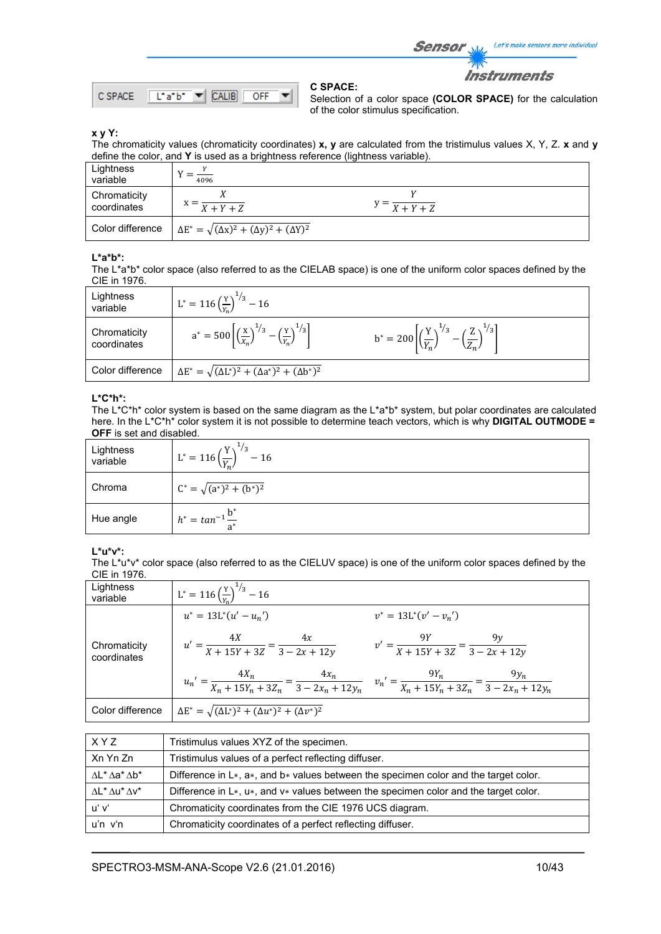Sensor Let's make sensors more individual

**Instruments** 



**C SPACE:** 

Selection of a color space **(COLOR SPACE)** for the calculation of the color stimulus specification.

## **x y Y:**

The chromaticity values (chromaticity coordinates) **x, y** are calculated from the tristimulus values X, Y, Z. **x** and **y** define the color, and **Y** is used as a brightness reference (lightness variable).

| Lightness<br>variable       | 4096                                                             |                                   |  |
|-----------------------------|------------------------------------------------------------------|-----------------------------------|--|
| Chromaticity<br>coordinates | $X+Y+Z$                                                          | $y = \frac{X + Y + Z}{X + Y + Z}$ |  |
| Color difference            | $\Delta E^* = \sqrt{(\Delta x)^2 + (\Delta y)^2 + (\Delta Y)^2}$ |                                   |  |

# **L\*a\*b\*:**

The L\*a\*b\* color space (also referred to as the CIELAB space) is one of the uniform color spaces defined by the CIE in 1976.

| Lightness<br>variable       | $L^* = 116 \left(\frac{Y}{Y}\right)^{1/3} - 16$                                                    |                                                                                                    |
|-----------------------------|----------------------------------------------------------------------------------------------------|----------------------------------------------------------------------------------------------------|
| Chromaticity<br>coordinates | $a^* = 500 \left[ \left( \frac{x}{x_n} \right)^{1/3} - \left( \frac{y}{y_n} \right)^{1/3} \right]$ | $b^* = 200 \left[ \left( \frac{Y}{Y_n} \right)^{1/3} - \left( \frac{Z}{Z_n} \right)^{1/3} \right]$ |
| Color difference            | $\Delta E^* = \sqrt{(\Delta L^*)^2 + (\Delta a^*)^2 + (\Delta b^*)^2}$                             |                                                                                                    |

## **L\*C\*h\*:**

The L\*C\*h\* color system is based on the same diagram as the L\*a\*b\* system, but polar coordinates are calculated here. In the L\*C\*h\* color system it is not possible to determine teach vectors, which is why **DIGITAL OUTMODE = OFF** is set and disabled.

| Lightness<br>variable | $^{1}/_{3}$<br>$L^* = 116 \left(\frac{Y}{Y_n}\right)^T$<br>$-16$ |
|-----------------------|------------------------------------------------------------------|
| Chroma                | $C^* = \sqrt{(a^*)^2 + (b^*)^2}$                                 |
| Hue angle             | $h^* = \tan^{-1} \frac{b}{a^*}$                                  |

## **L\*u\*v\*:**

The L\*u\*v\* color space (also referred to as the CIELUV space) is one of the uniform color spaces defined by the CIE in 1976.

| Lightness<br>variable       | $L^* = 116 \left(\frac{Y}{V}\right)^{1/3} - 16$                        |                                                                                                                                                   |
|-----------------------------|------------------------------------------------------------------------|---------------------------------------------------------------------------------------------------------------------------------------------------|
|                             | $u^* = 13L^*(u' - u_n')$                                               | $v^* = 13L^*(v'-v_n')$                                                                                                                            |
| Chromaticity<br>coordinates | $u' = \frac{4X}{X + 15Y + 3Z} = \frac{4x}{3 - 2x + 12y}$               | $v' = \frac{9Y}{X + 15Y + 3Z} = \frac{9y}{3 - 2x + 12y}$                                                                                          |
|                             |                                                                        | $u_n' = \frac{4X_n}{X_n + 15Y_n + 3Z_n} = \frac{4x_n}{3 - 2x_n + 12y_n}$ $v_n' = \frac{9Y_n}{X_n + 15Y_n + 3Z_n} = \frac{9y_n}{3 - 2x_n + 12y_n}$ |
| Color difference            | $\Delta E^* = \sqrt{(\Delta L^*)^2 + (\Delta u^*)^2 + (\Delta v^*)^2}$ |                                                                                                                                                   |

| X Y Z                                 | Tristimulus values XYZ of the specimen.                                                         |
|---------------------------------------|-------------------------------------------------------------------------------------------------|
| Xn Yn Zn                              | Tristimulus values of a perfect reflecting diffuser.                                            |
| $\Lambda L^* \Lambda a^* \Lambda b^*$ | Difference in $L*, a*,$ and $b*$ values between the specimen color and the target color.        |
| $\Lambda L^* \Lambda u^* \Lambda v^*$ | Difference in $L^*$ , $u^*$ , and $v^*$ values between the specimen color and the target color. |
| uʻ vʻ                                 | Chromaticity coordinates from the CIE 1976 UCS diagram.                                         |
| $u'n$ $v'n$                           | Chromaticity coordinates of a perfect reflecting diffuser.                                      |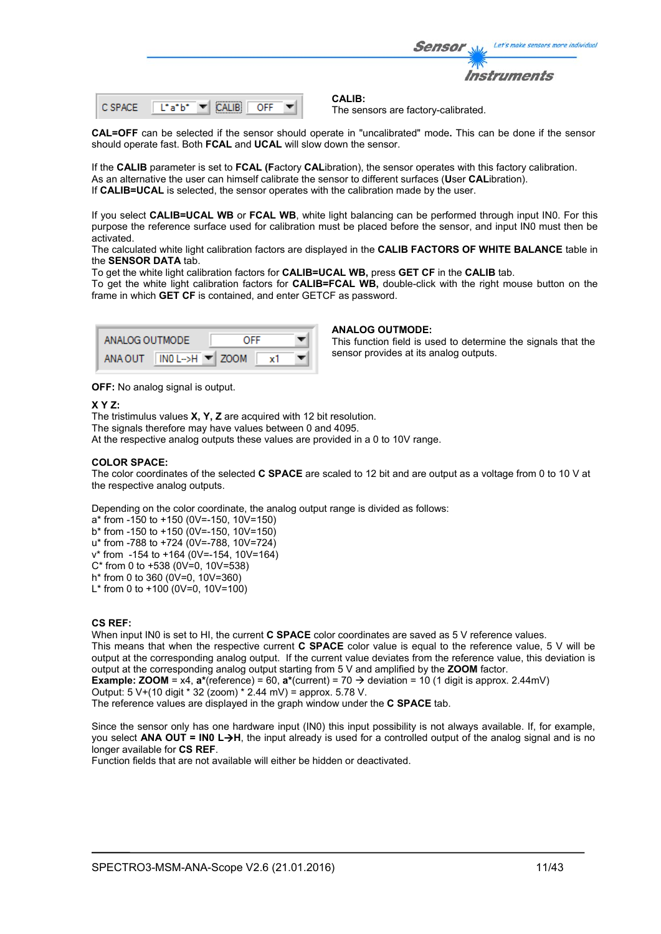|         |                | Let's make sensors more individual<br><b>Sensor</b>  |
|---------|----------------|------------------------------------------------------|
|         |                | <i><b>Instruments</b></i>                            |
| C SPACE | Liaibi.<br>OFF | <b>CALIB:</b><br>The sensors are factory-calibrated. |

**CAL=OFF** can be selected if the sensor should operate in "uncalibrated" mode**.** This can be done if the sensor should operate fast. Both **FCAL** and **UCAL** will slow down the sensor.

If the **CALIB** parameter is set to **FCAL (F**actory **CAL**ibration), the sensor operates with this factory calibration. As an alternative the user can himself calibrate the sensor to different surfaces (**U**ser **CAL**ibration). If **CALIB=UCAL** is selected, the sensor operates with the calibration made by the user.

If you select **CALIB=UCAL WB** or **FCAL WB**, white light balancing can be performed through input IN0. For this purpose the reference surface used for calibration must be placed before the sensor, and input IN0 must then be activated.

The calculated white light calibration factors are displayed in the **CALIB FACTORS OF WHITE BALANCE** table in the **SENSOR DATA** tab.

To get the white light calibration factors for **CALIB=UCAL WB,** press **GET CF** in the **CALIB** tab.

To get the white light calibration factors for **CALIB=FCAL WB,** double-click with the right mouse button on the frame in which **GET CF** is contained, and enter GETCF as password.

| ANALOG OUTMODE |                                       | OFF |  |
|----------------|---------------------------------------|-----|--|
| ANA OUT        | $INO$ L->H $\blacktriangleright$ ZOOM |     |  |

#### **ANALOG OUTMODE:**

This function field is used to determine the signals that the sensor provides at its analog outputs.

**OFF:** No analog signal is output.

#### **X Y Z:**

The tristimulus values **X, Y, Z** are acquired with 12 bit resolution. The signals therefore may have values between 0 and 4095. At the respective analog outputs these values are provided in a 0 to 10V range.

### **COLOR SPACE:**

The color coordinates of the selected **C SPACE** are scaled to 12 bit and are output as a voltage from 0 to 10 V at the respective analog outputs.

Depending on the color coordinate, the analog output range is divided as follows:

a\* from -150 to +150 (0V=-150, 10V=150)

b\* from -150 to +150 (0V=-150, 10V=150)

u\* from -788 to +724 (0V=-788, 10V=724) v\* from -154 to +164 (0V=-154, 10V=164)

C\* from 0 to +538 (0V=0, 10V=538)

h\* from 0 to 360 (0V=0, 10V=360) L<sup>\*</sup> from 0 to +100 (0V=0, 10V=100)

## **CS REF:**

When input IN0 is set to HI, the current **C SPACE** color coordinates are saved as 5 V reference values. This means that when the respective current **C SPACE** color value is equal to the reference value, 5 V will be output at the corresponding analog output. If the current value deviates from the reference value, this deviation is output at the corresponding analog output starting from 5 V and amplified by the **ZOOM** factor.

**Example: <b>ZOOM** = x4,  $a^*(reference) = 60$ ,  $a^*(current) = 70 \rightarrow deviation = 10 (1 digit is approx. 2.44mV)$ 

Output: 5 V+(10 digit \* 32 (zoom) \* 2.44 mV) = approx. 5.78 V.

The reference values are displayed in the graph window under the **C SPACE** tab.

Since the sensor only has one hardware input (IN0) this input possibility is not always available. If, for example, you select **ANA OUT = IN0 LH**, the input already is used for a controlled output of the analog signal and is no longer available for **CS REF**.

Function fields that are not available will either be hidden or deactivated.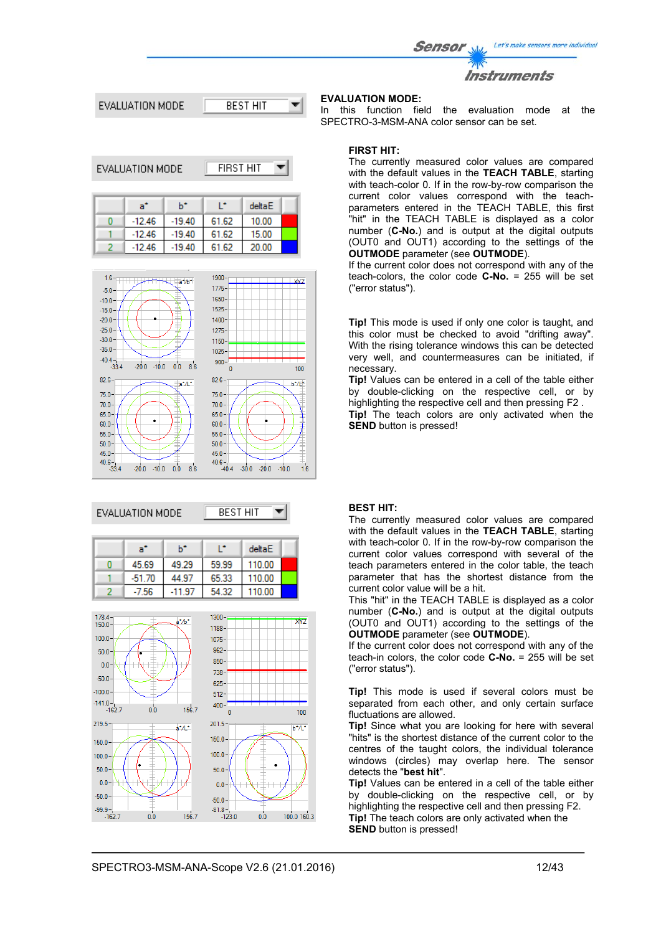Let's make sensors more individual Sensor





| EVALUATION MODE<br>FIRST HIT |          |          |       |        |  |
|------------------------------|----------|----------|-------|--------|--|
|                              | a°       | h*       | œ     | deltaE |  |
|                              | $-12.46$ | $-19.40$ | 61.62 | 10.00  |  |
|                              | $-12.46$ | $-19.40$ | 61.62 | 15.00  |  |
|                              | $-12.46$ | $-19.40$ | 61.62 | 20.00  |  |



## EVALUATION MODE



| a"       | h*    |       | deltaE |  |
|----------|-------|-------|--------|--|
| 45.69    | 49.29 | 59.99 | 110.00 |  |
| $-51.70$ | 44.97 | 65.33 | 110.00 |  |
| -7.56    | -11   | 54.32 | 110.00 |  |



# **EVALUATION MODE:**

In this function field the evaluation mode at the SPECTRO-3-MSM-ANA color sensor can be set.

### **FIRST HIT:**

The currently measured color values are compared with the default values in the **TEACH TABLE**, starting with teach-color 0. If in the row-by-row comparison the current color values correspond with the teachparameters entered in the TEACH TABLE, this first "hit" in the TEACH TABLE is displayed as a color number (**C-No.**) and is output at the digital outputs (OUT0 and OUT1) according to the settings of the **OUTMODE** parameter (see **OUTMODE**).

If the current color does not correspond with any of the teach-colors, the color code **C-No.** = 255 will be set ("error status").

**Tip!** This mode is used if only one color is taught, and this color must be checked to avoid "drifting away". With the rising tolerance windows this can be detected very well, and countermeasures can be initiated, if necessary.

**Tip!** Values can be entered in a cell of the table either by double-clicking on the respective cell, or by highlighting the respective cell and then pressing F2 . **Tip!** The teach colors are only activated when the **SEND** button is pressed!

# **BEST HIT:**

The currently measured color values are compared with the default values in the **TEACH TABLE**, starting with teach-color 0. If in the row-by-row comparison the current color values correspond with several of the teach parameters entered in the color table, the teach parameter that has the shortest distance from the current color value will be a hit.

This "hit" in the TEACH TABLE is displayed as a color number (**C-No.**) and is output at the digital outputs (OUT0 and OUT1) according to the settings of the **OUTMODE** parameter (see **OUTMODE**).

If the current color does not correspond with any of the teach-in colors, the color code **C-No.** = 255 will be set ("error status").

**Tip!** This mode is used if several colors must be separated from each other, and only certain surface fluctuations are allowed.

**Tip!** Since what you are looking for here with several "hits" is the shortest distance of the current color to the centres of the taught colors, the individual tolerance windows (circles) may overlap here. The sensor detects the "**best hit**".

**Tip!** Values can be entered in a cell of the table either by double-clicking on the respective cell, or by highlighting the respective cell and then pressing F2. **Tip!** The teach colors are only activated when the **SEND** button is pressed!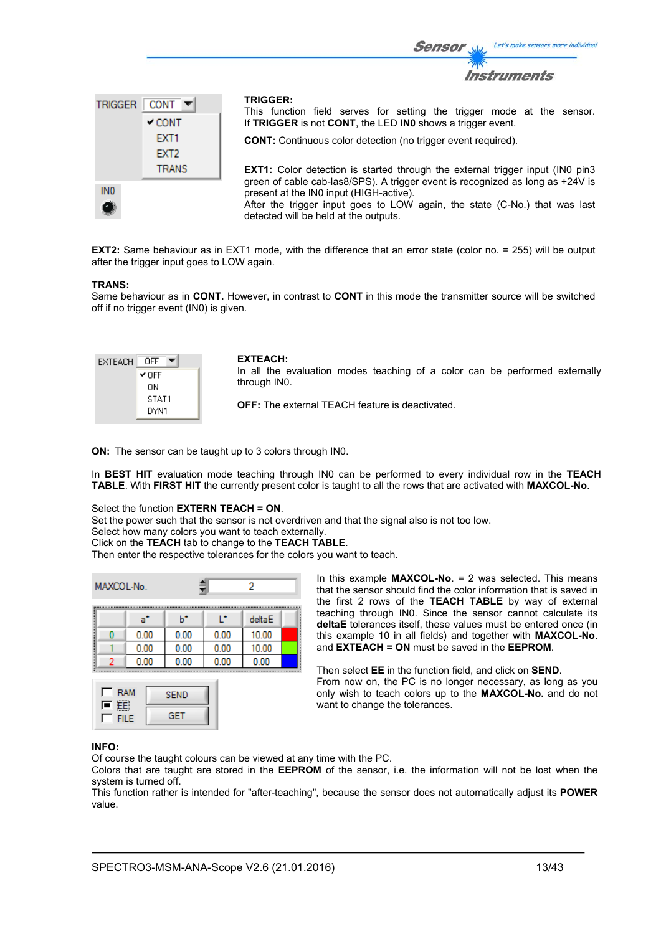

**EXT2:** Same behaviour as in EXT1 mode, with the difference that an error state (color no. = 255) will be output after the trigger input goes to LOW again.

#### **TRANS:**

Same behaviour as in **CONT.** However, in contrast to **CONT** in this mode the transmitter source will be switched off if no trigger event (IN0) is given.

| EXTEACH | OFF   |
|---------|-------|
|         | ✔ OFF |
|         | OΝ    |
|         | STAT1 |
|         | DYN1  |

#### **EXTEACH:**

In all the evaluation modes teaching of a color can be performed externally through IN0.

Sensor

**OFF:** The external TEACH feature is deactivated.

**ON:** The sensor can be taught up to 3 colors through IN0.

In **BEST HIT** evaluation mode teaching through IN0 can be performed to every individual row in the **TEACH TABLE**. With **FIRST HIT** the currently present color is taught to all the rows that are activated with **MAXCOL-No**.

# Select the function **EXTERN TEACH = ON**.

Set the power such that the sensor is not overdriven and that the signal also is not too low.

Select how many colors you want to teach externally.

Click on the **TEACH** tab to change to the **TEACH TABLE**.

Then enter the respective tolerances for the colors you want to teach.

| MAXCOL-No. |      |      |      | 2      |  |
|------------|------|------|------|--------|--|
|            | a"   | ь    | œ    | deltaE |  |
|            | 0.00 | 0.00 | 0.00 | 10.00  |  |
|            | 0.00 | 0.00 | 0.00 | 10.00  |  |
|            | 0.00 | 0.00 | 0.00 | 0.00   |  |



In this example **MAXCOL-No**. = 2 was selected. This means that the sensor should find the color information that is saved in the first 2 rows of the **TEACH TABLE** by way of external teaching through IN0. Since the sensor cannot calculate its **deltaE** tolerances itself, these values must be entered once (in this example 10 in all fields) and together with **MAXCOL-No**. and **EXTEACH = ON** must be saved in the **EEPROM**.

Then select **EE** in the function field, and click on **SEND**. From now on, the PC is no longer necessary, as long as you only wish to teach colors up to the **MAXCOL-No.** and do not want to change the tolerances.

#### **INFO:**

Of course the taught colours can be viewed at any time with the PC.

Colors that are taught are stored in the **EEPROM** of the sensor, i.e. the information will not be lost when the system is turned off.

This function rather is intended for "after-teaching", because the sensor does not automatically adjust its **POWER** value.

Let's make sensors more individual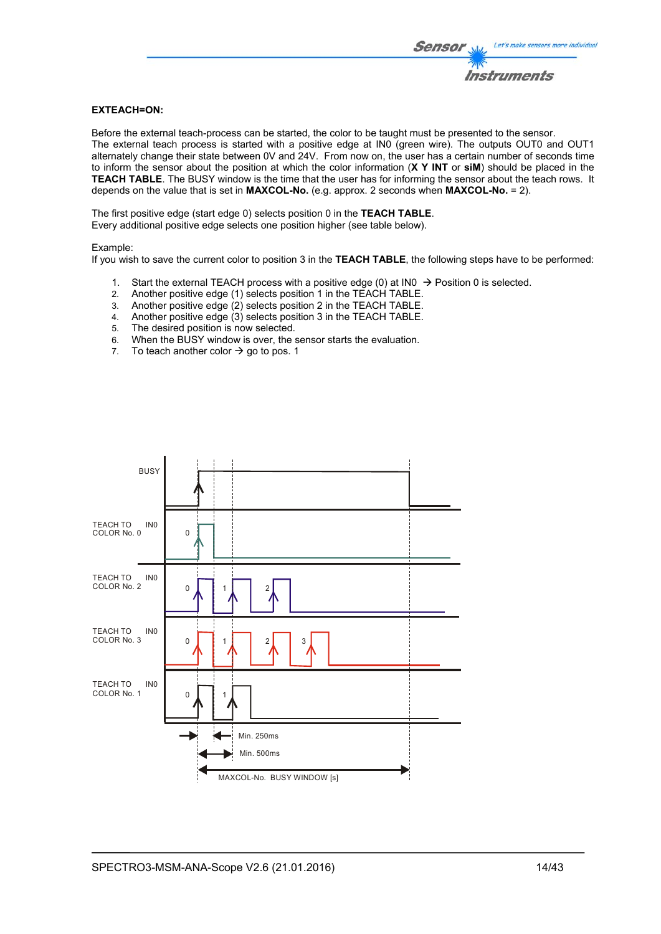# **EXTEACH=ON:**

Before the external teach-process can be started, the color to be taught must be presented to the sensor. The external teach process is started with a positive edge at IN0 (green wire). The outputs OUT0 and OUT1 alternately change their state between 0V and 24V. From now on, the user has a certain number of seconds time to inform the sensor about the position at which the color information (**X Y INT** or **siM**) should be placed in the **TEACH TABLE**. The BUSY window is the time that the user has for informing the sensor about the teach rows. It depends on the value that is set in **MAXCOL-No.** (e.g. approx. 2 seconds when **MAXCOL-No.** = 2).

The first positive edge (start edge 0) selects position 0 in the **TEACH TABLE**. Every additional positive edge selects one position higher (see table below).

#### Example:

If you wish to save the current color to position 3 in the **TEACH TABLE**, the following steps have to be performed:

- 1. Start the external TEACH process with a positive edge (0) at INO  $\rightarrow$  Position 0 is selected.
- 2. Another positive edge (1) selects position 1 in the TEACH TABLE.
- 3. Another positive edge (2) selects position 2 in the TEACH TABLE.
- 4. Another positive edge (3) selects position 3 in the TEACH TABLE.
- 5. The desired position is now selected.
- 6. When the BUSY window is over, the sensor starts the evaluation.
- 7. To teach another color  $\rightarrow$  go to pos. 1

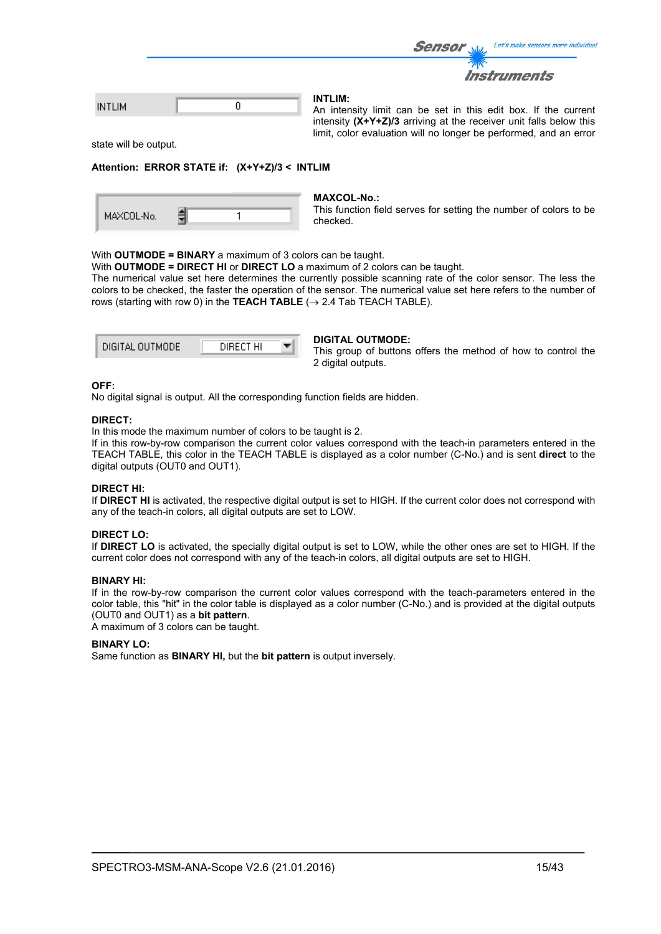|      | <i>Sensor</i><br>Let's make sensors more individual                              |
|------|----------------------------------------------------------------------------------|
|      | <b>Instruments</b>                                                               |
| TLIM | <b>INTLIM:</b><br>An intensity limit can be set in this edit box. If the current |

intensity **(X+Y+Z)/3** arriving at the receiver unit falls below this limit, color evaluation will no longer be performed, and an error

state will be output.

IN

#### **Attention: ERROR STATE if: (X+Y+Z)/3 < INTLIM**

|  | MAXCOL-No. |  |  |  |
|--|------------|--|--|--|
|--|------------|--|--|--|

#### **MAXCOL-No.:**

This function field serves for setting the number of colors to be checked.

#### With **OUTMODE = BINARY** a maximum of 3 colors can be taught.

With **OUTMODE = DIRECT HI** or **DIRECT LO** a maximum of 2 colors can be taught.

The numerical value set here determines the currently possible scanning rate of the color sensor. The less the colors to be checked, the faster the operation of the sensor. The numerical value set here refers to the number of rows (starting with row 0) in the **TEACH TABLE**  $(\rightarrow 2.4$  Tab TEACH TABLE).

| DIGITAL OUTMODE | DIRECT HI |  |
|-----------------|-----------|--|
|                 |           |  |

#### **DIGITAL OUTMODE:**

This group of buttons offers the method of how to control the 2 digital outputs.

## **OFF:**

No digital signal is output. All the corresponding function fields are hidden.

#### **DIRECT:**

In this mode the maximum number of colors to be taught is 2.

If in this row-by-row comparison the current color values correspond with the teach-in parameters entered in the TEACH TABLE, this color in the TEACH TABLE is displayed as a color number (C-No.) and is sent **direct** to the digital outputs (OUT0 and OUT1).

#### **DIRECT HI:**

If **DIRECT HI** is activated, the respective digital output is set to HIGH. If the current color does not correspond with any of the teach-in colors, all digital outputs are set to LOW.

#### **DIRECT LO:**

If **DIRECT LO** is activated, the specially digital output is set to LOW, while the other ones are set to HIGH. If the current color does not correspond with any of the teach-in colors, all digital outputs are set to HIGH.

#### **BINARY HI:**

If in the row-by-row comparison the current color values correspond with the teach-parameters entered in the color table, this "hit" in the color table is displayed as a color number (C-No.) and is provided at the digital outputs (OUT0 and OUT1) as a **bit pattern**.

A maximum of 3 colors can be taught.

#### **BINARY LO:**

Same function as **BINARY HI,** but the **bit pattern** is output inversely.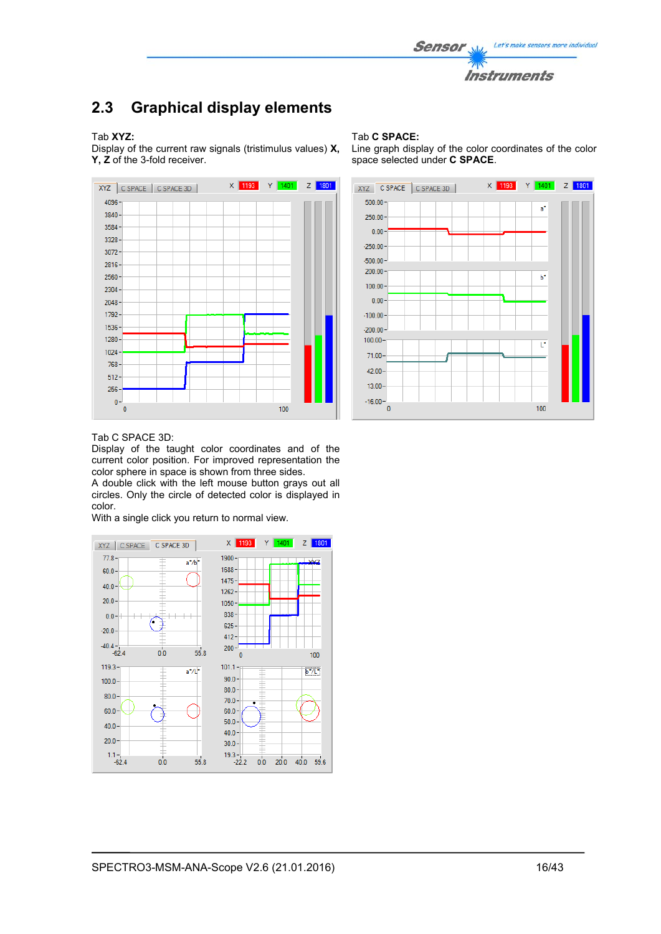

# **2.3 Graphical display elements**

### Tab **XYZ:**

Display of the current raw signals (tristimulus values) **X, Y, Z** of the 3-fold receiver.



#### Tab **C SPACE:**

Line graph display of the color coordinates of the color space selected under **C SPACE**.



#### Tab C SPACE 3D:

Display of the taught color coordinates and of the current color position. For improved representation the color sphere in space is shown from three sides.

A double click with the left mouse button grays out all circles. Only the circle of detected color is displayed in color.

With a single click you return to normal view.

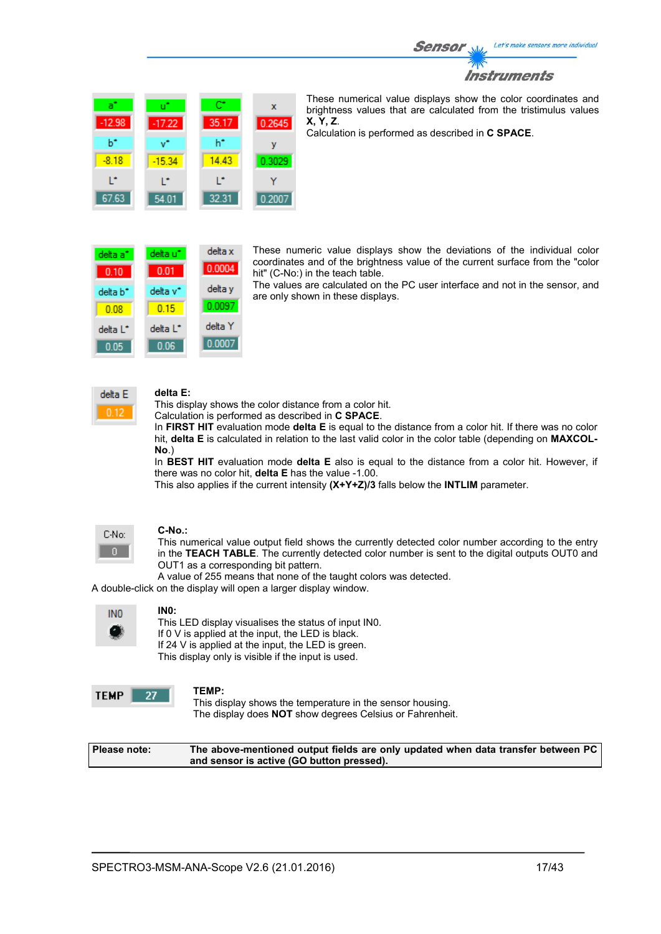

| a°<br>$-12.98$ | u"<br>$-17.22$ | œ<br>35.17 | $\mathbf x$<br>0.2645 |
|----------------|----------------|------------|-----------------------|
| ь÷             | v"             | h*         | v                     |
| $-8.18$        | $-15.34$       | 14.43      | 0.3029                |
| r              | r              | r          |                       |
| 67.63          | 54.01          | 32.31      | 0.2007                |

These numerical value displays show the color coordinates and brightness values that are calculated from the tristimulus values **X, Y, Z**.

Calculation is performed as described in **C SPACE**.

delta x delta a<sup>\*</sup> delta u\* 0.0004  $0.10$  $0.01$ delta y delta v\* delta b<sup>\*</sup> 0.0097  $0.15$  $0.08$ delta Y delta L\* delta L<sup>\*</sup> 0.0007  $0.05$  $0.06$ 

These numeric value displays show the deviations of the individual color coordinates and of the brightness value of the current surface from the "color hit" (C-No:) in the teach table.

The values are calculated on the PC user interface and not in the sensor, and are only shown in these displays.



# **delta E:**

This display shows the color distance from a color hit.

Calculation is performed as described in **C SPACE**.

In **FIRST HIT** evaluation mode **delta E** is equal to the distance from a color hit. If there was no color hit, **delta E** is calculated in relation to the last valid color in the color table (depending on **MAXCOL-No**.)

In **BEST HIT** evaluation mode **delta E** also is equal to the distance from a color hit. However, if there was no color hit, **delta E** has the value -1.00.

This also applies if the current intensity **(X+Y+Z)/3** falls below the **INTLIM** parameter.



#### **C-No.:**

This numerical value output field shows the currently detected color number according to the entry in the **TEACH TABLE**. The currently detected color number is sent to the digital outputs OUT0 and OUT1 as a corresponding bit pattern.

A value of 255 means that none of the taught colors was detected.

A double-click on the display will open a larger display window.

| INO |
|-----|
| ۸Ŋ  |

#### **IN0:**

This LED display visualises the status of input IN0. If 0 V is applied at the input, the LED is black. If 24 V is applied at the input, the LED is green. This display only is visible if the input is used.

| <b>TEMP</b> |  |
|-------------|--|
|             |  |

**TEMP:**  This display shows the temperature in the sensor housing. The display does **NOT** show degrees Celsius or Fahrenheit.

**Please note: The above-mentioned output fields are only updated when data transfer between PC and sensor is active (GO button pressed).**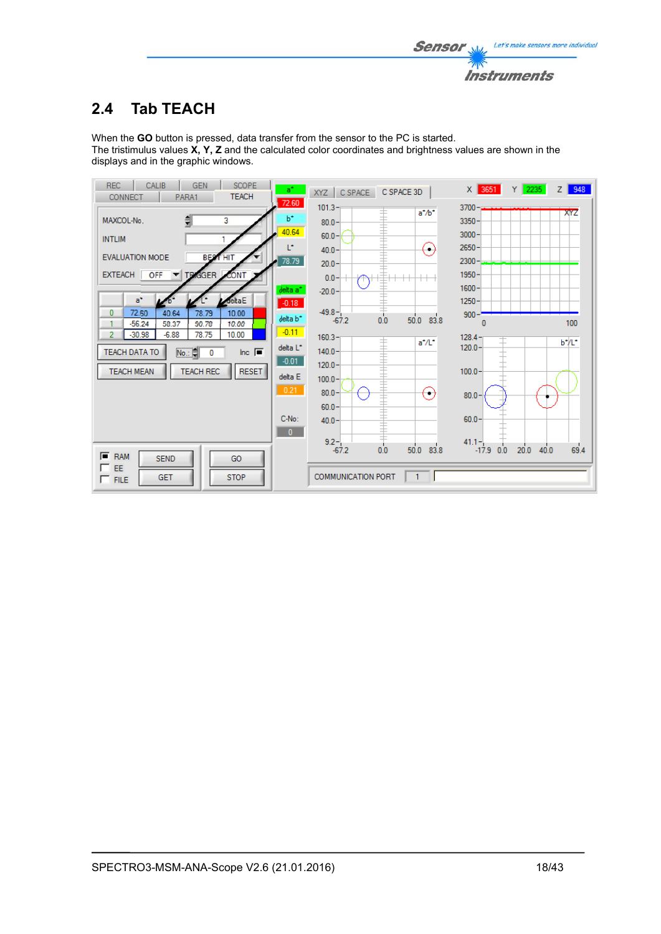

# **2.4 Tab TEACH**

When the **GO** button is pressed, data transfer from the sensor to the PC is started. The tristimulus values **X, Y, Z** and the calculated color coordinates and brightness values are shown in the displays and in the graphic windows.

| <b>REC</b><br><b>SCOPE</b><br><b>CALIB</b><br><b>GEN</b><br><b>TEACH</b><br><b>CONNECT</b><br>PARA1<br>72.60          | at i<br>C SPACE 3D<br>XYZ CSPACE          | X 3651<br>Y 2235<br>$Z$ 948                        |
|-----------------------------------------------------------------------------------------------------------------------|-------------------------------------------|----------------------------------------------------|
| b*<br>3<br>MAXCOL-No                                                                                                  | $101.3 -$<br>$a^* / b^*$<br>$80.0 -$      | $3700 -$<br>XYZ<br>$3350 -$                        |
| 40.64<br><b>INTLIM</b><br>Ľ.                                                                                          | $60.0 -$<br>( ۱<br>$40.0 -$               | $3000 -$<br>$2650 -$                               |
| <b>BEST HIT</b><br><b>EVALUATION MODE</b>                                                                             | 78.79<br>$20.0 -$                         | $2300 -$                                           |
| OFF<br><b>IGGER</b><br><b>EXTEACH</b><br>CONT<br>TR<br>delta a*                                                       | $0.0 -$<br>$-20.0 -$                      | $1950 -$<br>$1600 -$                               |
| deltaE<br>$a^*$<br>$-0.18$<br>40.64<br>78.79<br>10.00                                                                 | $-49.8-$                                  | $1250 -$                                           |
| 72.60<br>$\bf{0}$<br>delta b <sup>*</sup><br>$-56.24$<br>58.37<br>90.78<br>10.00<br>$\mathbf{1}$                      | 50.0 83.8<br>$-67.2$<br>0.0<br>$-0.11$    | $900 -$<br>100                                     |
| $-30.98$<br>$-6.88$<br>78.75<br>10.00<br>2<br>delta L <sup>*</sup><br>No.:<br>TEACH DATA TO<br>$ln c$ $\sqrt{=}$<br>0 | $160.3 -$<br>a*/L*<br>$140.0 -$           | $128.4 -$<br>b*/L*<br>$120.0 -$                    |
| $-0.01$<br><b>TEACH REC</b><br><b>RESET</b><br><b>TEACH MEAN</b><br>delta E                                           | $120.0 -$                                 | $100.0 -$                                          |
| 0.21                                                                                                                  | $100.0 -$<br>$80.0 -$<br>$(\hbox{--})$    | $80.0 -$                                           |
| C-No:                                                                                                                 | $60.0 -$                                  | $60.0 -$                                           |
|                                                                                                                       | $40.0 -$<br>$\mathbf{0}$                  |                                                    |
| $F$ RAM<br><b>SEND</b><br>GO                                                                                          | $9.2 -$<br>83.8<br>$-67.2$<br>50.0<br>0.0 | $41.1 -$<br>20.0<br>69.4<br>$-17.9$<br>40.0<br>0.0 |
| $\Box$ EE<br><b>STOP</b><br><b>GET</b><br>$\Box$ FILE                                                                 | <b>COMMUNICATION PORT</b><br>$\mathbf{1}$ |                                                    |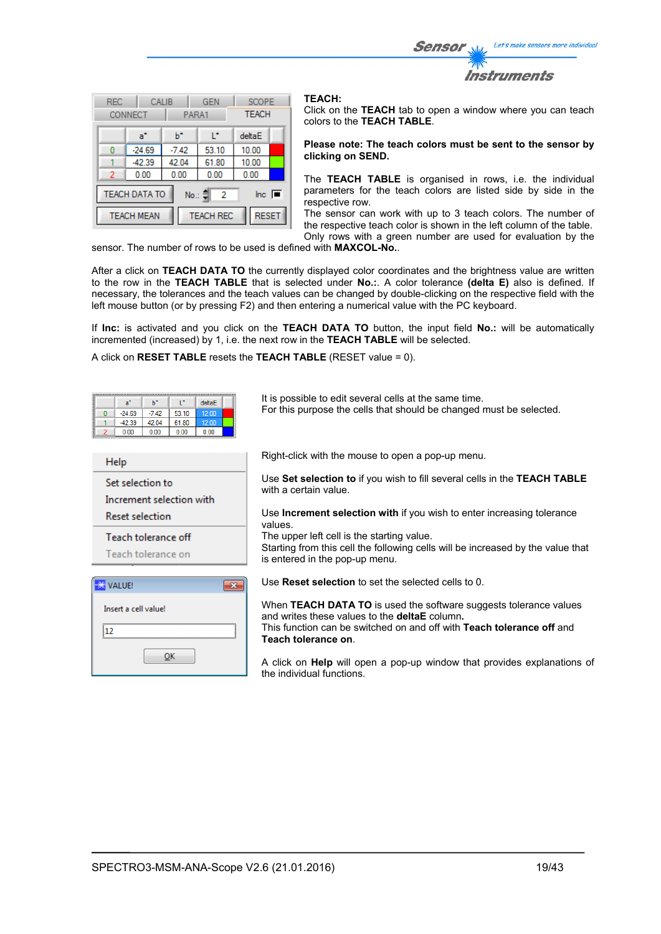Let's make sensors more individual Sensor Instruments

| <b>REC</b><br>CALIB<br><b>CONNECT</b><br>PARA1                                             |          | <b>GEN</b>   | <b>SCOPE</b><br><b>TEACH</b> |        |  |
|--------------------------------------------------------------------------------------------|----------|--------------|------------------------------|--------|--|
|                                                                                            | a*       | ь            | r                            | deltaE |  |
| Ω                                                                                          | $-24.69$ | $-7.42$      | 53.10                        | 10.00  |  |
|                                                                                            | $-42.39$ | 42.04        | 61.80                        | 10.00  |  |
| 2                                                                                          | 0.00     | 0.00<br>0.00 |                              | 0.00   |  |
| <b>TEACH DATA TO</b><br>$\overline{\mathsf{Inc}}$ $\overline{\blacksquare}$<br>No.: 이<br>2 |          |              |                              |        |  |
| <b>RESET</b><br><b>TEACH REC</b><br><b>TEACH MEAN</b>                                      |          |              |                              |        |  |

#### **TEACH:**

Click on the **TEACH** tab to open a window where you can teach colors to the **TEACH TABLE**.

#### **Please note: The teach colors must be sent to the sensor by clicking on SEND.**

The **TEACH TABLE** is organised in rows, i.e. the individual parameters for the teach colors are listed side by side in the respective row.

The sensor can work with up to 3 teach colors. The number of the respective teach color is shown in the left column of the table. Only rows with a green number are used for evaluation by the

sensor. The number of rows to be used is defined with **MAXCOL-No.**.

After a click on **TEACH DATA TO** the currently displayed color coordinates and the brightness value are written to the row in the **TEACH TABLE** that is selected under **No.:**. A color tolerance **(delta E)** also is defined. If necessary, the tolerances and the teach values can be changed by double-clicking on the respective field with the left mouse button (or by pressing F2) and then entering a numerical value with the PC keyboard.

If **Inc:** is activated and you click on the **TEACH DATA TO** button, the input field **No.:** will be automatically incremented (increased) by 1, i.e. the next row in the **TEACH TABLE** will be selected.

A click on **RESET TABLE** resets the **TEACH TABLE** (RESET value = 0).

 $\overline{\mathbf{R}^2}$ 

| a°       | h*      |       | $de$ ta $E$ |  |
|----------|---------|-------|-------------|--|
| $-24.69$ | $-7.42$ | 53.10 | 12.00       |  |
| $-42.39$ | 42.04   | 61.80 | 12.00       |  |
| 0.00     | 0.00    | 0.00  | 0.00        |  |

Increment selection with

 $QK$ 

Help

**WALUE!** 

12

Insert a cell value!

Set selection to

**Reset selection** 

Teach tolerance off Teach tolerance on

It is possible to edit several cells at the same time. For this purpose the cells that should be changed must be selected.

Right-click with the mouse to open a pop-up menu.

Use **Set selection to** if you wish to fill several cells in the **TEACH TABLE** with a certain value.

Use **Increment selection with** if you wish to enter increasing tolerance values.

The upper left cell is the starting value.

Starting from this cell the following cells will be increased by the value that is entered in the pop-up menu.

Use **Reset selection** to set the selected cells to 0.

When **TEACH DATA TO** is used the software suggests tolerance values and writes these values to the **deltaE** column**.**  This function can be switched on and off with **Teach tolerance off** and **Teach tolerance on**.

A click on **Help** will open a pop-up window that provides explanations of the individual functions.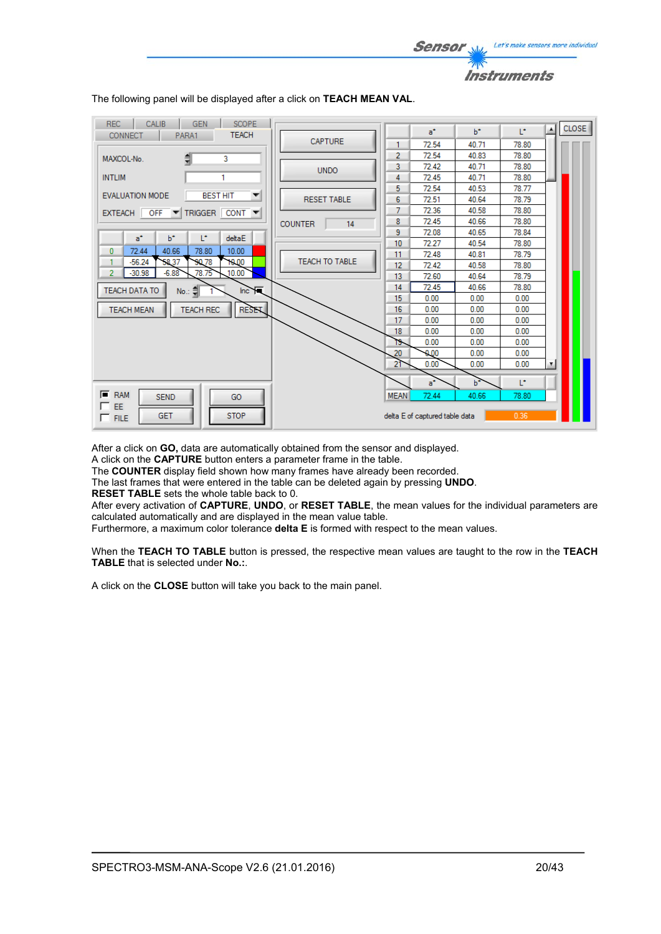| <b>REC</b><br><b>SCOPE</b><br>CALIB<br><b>GEN</b>      |                       |             |                                |       |       | $\blacktriangle$ | <b>CLOSE</b> |
|--------------------------------------------------------|-----------------------|-------------|--------------------------------|-------|-------|------------------|--------------|
| <b>TEACH</b><br><b>CONNECT</b><br>PARA1                | <b>CAPTURE</b>        |             | $a^*$                          | $h^*$ | T.    |                  |              |
|                                                        |                       | 1           | 72.54                          | 40.71 | 78.80 |                  |              |
| €<br>3<br>MAXCOL-No.                                   |                       | 2           | 72.54                          | 40.83 | 78.80 |                  |              |
|                                                        | <b>UNDO</b>           | 3           | 72.42                          | 40.71 | 78.80 |                  |              |
| <b>INTLIM</b><br>1                                     |                       | 4           | 72.45                          | 40.71 | 78.80 |                  |              |
| <b>BEST HIT</b><br><b>EVALUATION MODE</b><br>▼         |                       | 5           | 72.54                          | 40.53 | 78.77 |                  |              |
|                                                        | <b>RESET TABLE</b>    | 6           | 72.51                          | 40.64 | 78.79 |                  |              |
| TRIGGER CONT<br>EXTEACH OFF                            |                       | 7           | 72.36                          | 40.58 | 78.80 |                  |              |
|                                                        | <b>COUNTER</b><br>14  | 8           | 72.45                          | 40.66 | 78.80 |                  |              |
| L*<br>$a^*$<br>$b^*$<br>deltaE                         |                       | 9           | 72.08                          | 40.65 | 78.84 |                  |              |
| 40.66<br>72.44<br>78.80<br>10.00<br>$\bf{0}$           |                       | 10          | 72.27                          | 40.54 | 78.80 |                  |              |
| $-56.24$<br>58,37<br>10.00<br>90.78<br>1               | <b>TEACH TO TABLE</b> | 11          | 72.48                          | 40.81 | 78.79 |                  |              |
| $-6.88$<br>78.75<br>10.00<br>$-30.98$<br>2             |                       | 12          | 72.42                          | 40.58 | 78.80 |                  |              |
|                                                        |                       | 13          | 72.60                          | 40.64 | 78.79 |                  |              |
| Inc. $\overline{R}$<br>TEACH DATA TO<br>$No.: \exists$ |                       | 14          | 72.45                          | 40.66 | 78.80 |                  |              |
|                                                        |                       | 15          | 0.00                           | 0.00  | 0.00  |                  |              |
| <b>RESET</b><br><b>TEACH REC</b><br><b>TEACH MEAN</b>  |                       | 16          | 0.00                           | 0.00  | 0.00  |                  |              |
|                                                        |                       | 17          | 0.00                           | 0.00  | 0.00  |                  |              |
|                                                        |                       | 18          | 0.00                           | 0.00  | 0.00  |                  |              |
|                                                        |                       | 19          | 0.00                           | 0.00  | 0.00  |                  |              |
|                                                        |                       | 20          | 0.00                           | 0.00  | 0.00  |                  |              |
|                                                        |                       | 21          | 0.00                           | 0.00  | 0.00  | Ŧ                |              |
|                                                        |                       |             | a*                             | h*    | T.    |                  |              |
| $F$ RAM<br><b>SEND</b><br>GO                           |                       | <b>MEAN</b> | 72.44                          | 40.66 | 78.80 |                  |              |
| EE<br><b>STOP</b><br><b>GET</b><br>$\Box$ FILE         |                       |             | delta E of captured table data |       | 0.36  |                  |              |

Sensor

Let's make sensors more individual

Instruments

The following panel will be displayed after a click on **TEACH MEAN VAL**.

After a click on **GO,** data are automatically obtained from the sensor and displayed.

A click on the **CAPTURE** button enters a parameter frame in the table.

The **COUNTER** display field shown how many frames have already been recorded.

The last frames that were entered in the table can be deleted again by pressing **UNDO**.

**RESET TABLE** sets the whole table back to 0.

After every activation of **CAPTURE**, **UNDO**, or **RESET TABLE**, the mean values for the individual parameters are calculated automatically and are displayed in the mean value table.

Furthermore, a maximum color tolerance **delta E** is formed with respect to the mean values.

When the **TEACH TO TABLE** button is pressed, the respective mean values are taught to the row in the **TEACH TABLE** that is selected under **No.:**.

A click on the **CLOSE** button will take you back to the main panel.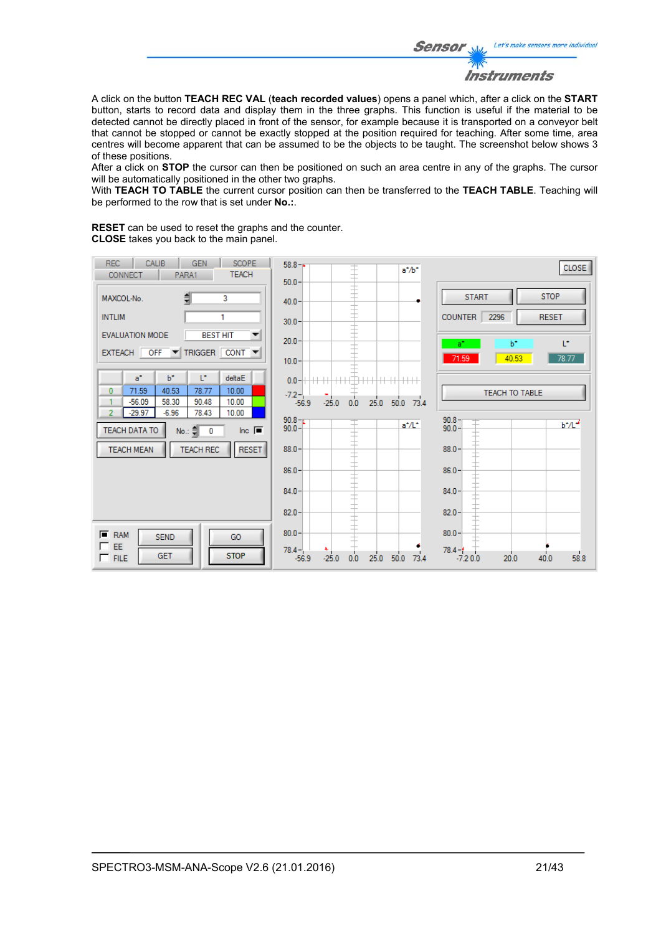

A click on the button **TEACH REC VAL** (**teach recorded values**) opens a panel which, after a click on the **START** button, starts to record data and display them in the three graphs. This function is useful if the material to be detected cannot be directly placed in front of the sensor, for example because it is transported on a conveyor belt that cannot be stopped or cannot be exactly stopped at the position required for teaching. After some time, area centres will become apparent that can be assumed to be the objects to be taught. The screenshot below shows 3 of these positions.

After a click on **STOP** the cursor can then be positioned on such an area centre in any of the graphs. The cursor will be automatically positioned in the other two graphs.

With **TEACH TO TABLE** the current cursor position can then be transferred to the **TEACH TABLE**. Teaching will be performed to the row that is set under **No.:**.

**RESET** can be used to reset the graphs and the counter. **CLOSE** takes you back to the main panel.

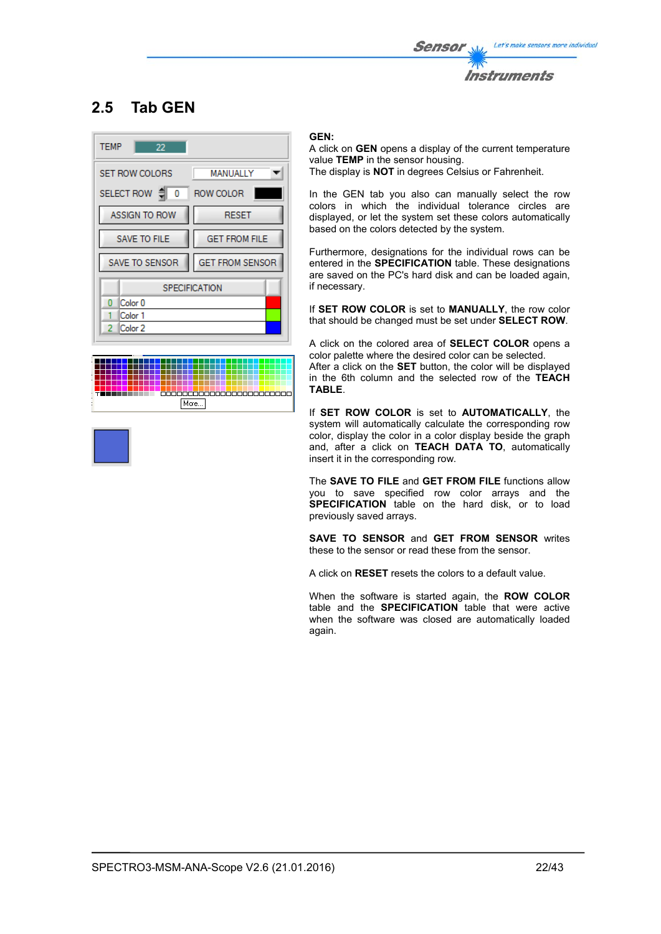

# **2.5 Tab GEN**





#### **GEN:**

A click on **GEN** opens a display of the current temperature value **TEMP** in the sensor housing. The display is **NOT** in degrees Celsius or Fahrenheit.

In the GEN tab you also can manually select the row colors in which the individual tolerance circles are displayed, or let the system set these colors automatically based on the colors detected by the system.

Furthermore, designations for the individual rows can be entered in the **SPECIFICATION** table. These designations are saved on the PC's hard disk and can be loaded again, if necessary.

If **SET ROW COLOR** is set to **MANUALLY**, the row color that should be changed must be set under **SELECT ROW**.

A click on the colored area of **SELECT COLOR** opens a color palette where the desired color can be selected.

After a click on the **SET** button, the color will be displayed in the 6th column and the selected row of the **TEACH TABLE**.

If **SET ROW COLOR** is set to **AUTOMATICALLY**, the system will automatically calculate the corresponding row color, display the color in a color display beside the graph and, after a click on **TEACH DATA TO**, automatically insert it in the corresponding row.

The **SAVE TO FILE** and **GET FROM FILE** functions allow you to save specified row color arrays and the **SPECIFICATION** table on the hard disk, or to load previously saved arrays.

**SAVE TO SENSOR** and **GET FROM SENSOR** writes these to the sensor or read these from the sensor.

A click on **RESET** resets the colors to a default value.

When the software is started again, the **ROW COLOR** table and the **SPECIFICATION** table that were active when the software was closed are automatically loaded again.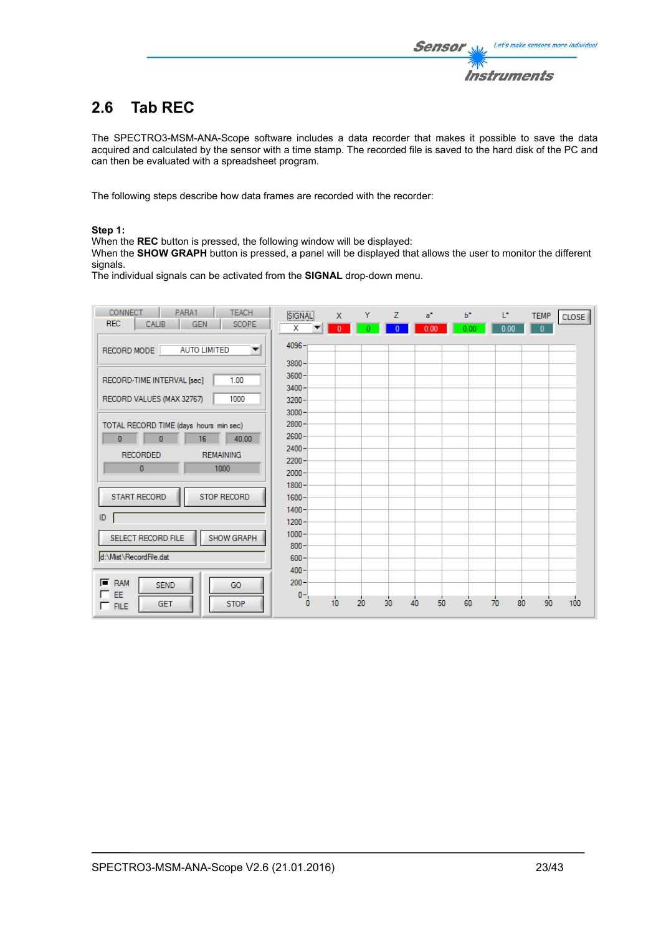# **2.6 Tab REC**

The SPECTRO3-MSM-ANA-Scope software includes a data recorder that makes it possible to save the data acquired and calculated by the sensor with a time stamp. The recorded file is saved to the hard disk of the PC and can then be evaluated with a spreadsheet program.

The following steps describe how data frames are recorded with the recorder:

### **Step 1:**

When the **REC** button is pressed, the following window will be displayed:

When the **SHOW GRAPH** button is pressed, a panel will be displayed that allows the user to monitor the different signals.

The individual signals can be activated from the **SIGNAL** drop-down menu.

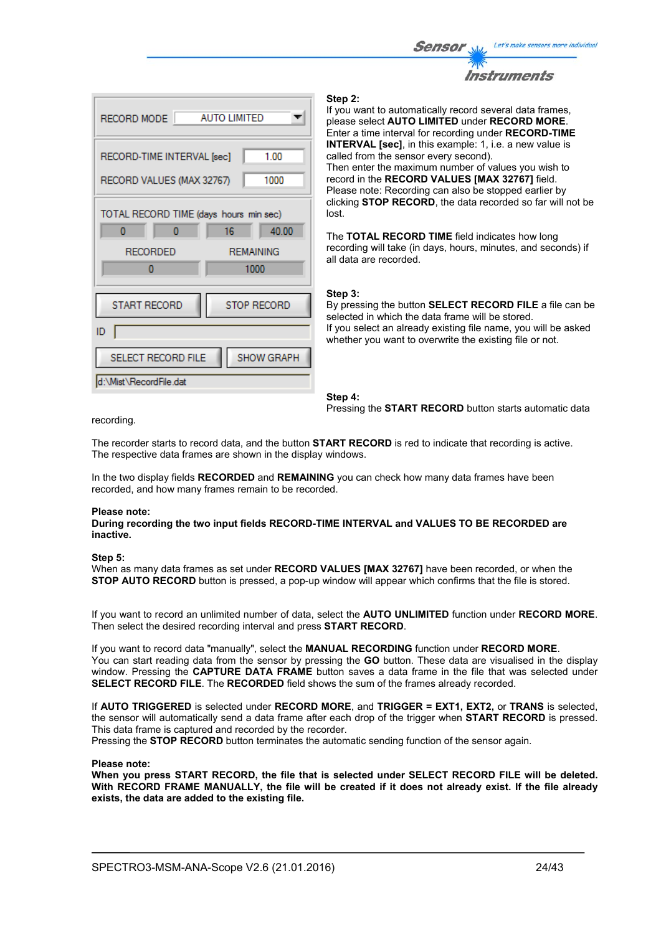



#### **Step 2:**

If you want to automatically record several data frames, please select **AUTO LIMITED** under **RECORD MORE**. Enter a time interval for recording under **RECORD-TIME INTERVAL [sec]**, in this example: 1, i.e. a new value is called from the sensor every second). Then enter the maximum number of values you wish to record in the **RECORD VALUES [MAX 32767]** field. Please note: Recording can also be stopped earlier by clicking **STOP RECORD**, the data recorded so far will not be lost.

The **TOTAL RECORD TIME** field indicates how long recording will take (in days, hours, minutes, and seconds) if all data are recorded.

#### **Step 3:**

By pressing the button **SELECT RECORD FILE** a file can be selected in which the data frame will be stored. If you select an already existing file name, you will be asked whether you want to overwrite the existing file or not.

**Step 4:**  Pressing the **START RECORD** button starts automatic data

recording.

The recorder starts to record data, and the button **START RECORD** is red to indicate that recording is active. The respective data frames are shown in the display windows.

In the two display fields **RECORDED** and **REMAINING** you can check how many data frames have been recorded, and how many frames remain to be recorded.

#### **Please note:**

**During recording the two input fields RECORD-TIME INTERVAL and VALUES TO BE RECORDED are inactive.**

#### **Step 5:**

When as many data frames as set under **RECORD VALUES [MAX 32767]** have been recorded, or when the **STOP AUTO RECORD** button is pressed, a pop-up window will appear which confirms that the file is stored.

If you want to record an unlimited number of data, select the **AUTO UNLIMITED** function under **RECORD MORE**. Then select the desired recording interval and press **START RECORD**.

If you want to record data "manually", select the **MANUAL RECORDING** function under **RECORD MORE**. You can start reading data from the sensor by pressing the **GO** button. These data are visualised in the display window. Pressing the **CAPTURE DATA FRAME** button saves a data frame in the file that was selected under **SELECT RECORD FILE**. The **RECORDED** field shows the sum of the frames already recorded.

If **AUTO TRIGGERED** is selected under **RECORD MORE**, and **TRIGGER = EXT1, EXT2,** or **TRANS** is selected, the sensor will automatically send a data frame after each drop of the trigger when **START RECORD** is pressed. This data frame is captured and recorded by the recorder.

Pressing the **STOP RECORD** button terminates the automatic sending function of the sensor again.

#### **Please note:**

**When you press START RECORD, the file that is selected under SELECT RECORD FILE will be deleted. With RECORD FRAME MANUALLY, the file will be created if it does not already exist. If the file already exists, the data are added to the existing file.**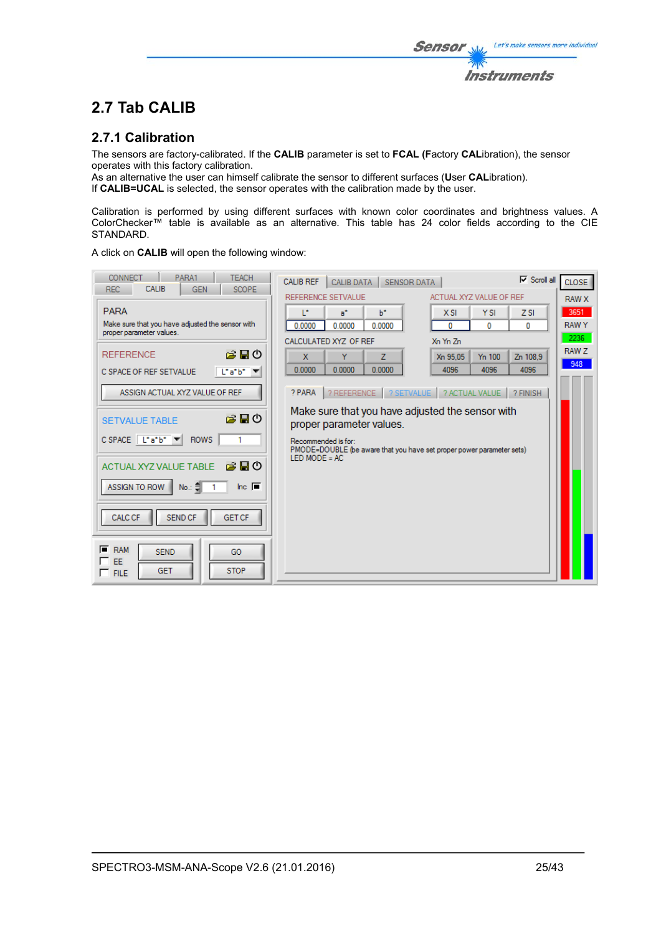# **2.7 Tab CALIB**

# **2.7.1 Calibration**

The sensors are factory-calibrated. If the **CALIB** parameter is set to **FCAL (F**actory **CAL**ibration), the sensor operates with this factory calibration.

As an alternative the user can himself calibrate the sensor to different surfaces (**U**ser **CAL**ibration). If **CALIB=UCAL** is selected, the sensor operates with the calibration made by the user.

Calibration is performed by using different surfaces with known color coordinates and brightness values. A ColorChecker™ table is available as an alternative. This table has 24 color fields according to the CIE STANDARD.

A click on **CALIB** will open the following window:

| PARA1<br><b>TEACH</b><br><b>CONNECT</b><br><b>CALIB</b><br><b>REC</b><br><b>GEN</b><br><b>SCOPE</b> | <b>CALIB REF</b><br><b>CALIB DATA</b><br><b>SENSOR DATA</b>                                                     |                                | $\nabla$ Scroll all<br><b>CLOSE</b> |
|-----------------------------------------------------------------------------------------------------|-----------------------------------------------------------------------------------------------------------------|--------------------------------|-------------------------------------|
|                                                                                                     | REFERENCE SETVALUE                                                                                              | ACTUAL XYZ VALUE OF REF        | <b>RAW X</b>                        |
| <b>PARA</b>                                                                                         | $h^*$<br>L*<br>$a^*$                                                                                            | X SI<br><b>YSI</b>             | 3651<br>ZSI                         |
| Make sure that you have adjusted the sensor with<br>proper parameter values.                        | 0.0000<br>0.0000<br>0.0000                                                                                      | 0<br>0                         | <b>RAWY</b><br>$\mathbf{0}$         |
|                                                                                                     | CALCULATED XYZ OF REF                                                                                           | Xn Yn Zn                       | 2236                                |
| 房間の<br><b>REFERENCE</b>                                                                             | $\mathbf{x}$<br>Y<br>z                                                                                          | Xn 95.05<br>Y <sub>n</sub> 100 | <b>RAW Z</b><br>Zn 108.9<br>948     |
| $L^*a^*b^*$<br>C SPACE OF REF SETVALUE                                                              | 0.0000<br>0.0000<br>0.0000                                                                                      | 4096<br>4096                   | 4096                                |
| ASSIGN ACTUAL XYZ VALUE OF REF                                                                      | ? PARA<br>? REFERENCE                                                                                           | ? SETVALUE   ? ACTUAL VALUE    | ? FINISH                            |
| ౚఄ⊟త<br><b>SETVALUE TABLE</b>                                                                       | Make sure that you have adjusted the sensor with<br>proper parameter values.                                    |                                |                                     |
| $C$ SPACE $\boxed{C^*a^*b^* \times 1}$<br><b>ROWS</b>                                               | Recommended is for:<br>PMODE=DOUBLE (be aware that you have set proper power parameter sets)<br>LED MODE = $AC$ |                                |                                     |
| 房間の<br>ACTUAL XYZ VALUE TABLE                                                                       |                                                                                                                 |                                |                                     |
| Inc. $\blacksquare$<br>ASSIGN TO ROW<br>No.:                                                        |                                                                                                                 |                                |                                     |
| <b>GET CF</b><br><b>CALC CF</b><br>SEND CF                                                          |                                                                                                                 |                                |                                     |
| $F$ RAM<br><b>SEND</b><br>GO<br>EF<br><b>STOP</b><br><b>GET</b><br>$\Box$ FILE                      |                                                                                                                 |                                |                                     |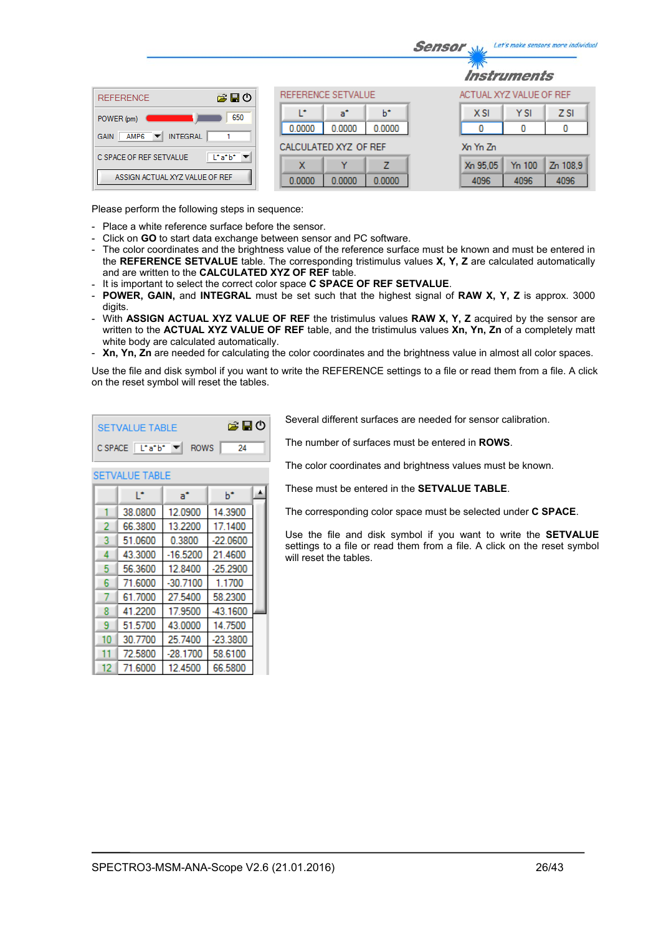|                                                                                |                            | Let's make sensors more individua<br><b>Sensor</b> |
|--------------------------------------------------------------------------------|----------------------------|----------------------------------------------------|
|                                                                                |                            | <i><b>Instruments</b></i>                          |
| 合日の<br><b>REFERENCE</b>                                                        | REFERENCE SETVALUE         | ACTUAL XYZ VALUE OF REF                            |
| 650<br>POWER (pm)                                                              | ь<br>œ<br>a*               | <b>YSI</b><br>Z <sub>SI</sub><br>$X$ SI            |
| <b>INTEGRAL</b><br>AMP <sub>6</sub><br><b>GAIN</b><br>$\overline{\phantom{a}}$ | 0.0000<br>0.0000<br>0.0000 | 0<br>0<br>0                                        |
|                                                                                | CALCULATED XYZ OF REF      | Xn Yn Zn                                           |
| $\lfloor \cdot a \cdot b \cdot \rfloor$<br>C SPACE OF REF SETVALUE             | 7<br>x<br>v                | Y <sub>n</sub> 100<br>Zn 108.9<br>Xn 95.05         |
| ASSIGN ACTUAL XYZ VALUE OF REF                                                 | 0.0000<br>0.0000<br>0.0000 | 4096<br>4096<br>4096                               |

Please perform the following steps in sequence:

- Place a white reference surface before the sensor.
- Click on **GO** to start data exchange between sensor and PC software.
- The color coordinates and the brightness value of the reference surface must be known and must be entered in the **REFERENCE SETVALUE** table. The corresponding tristimulus values **X, Y, Z** are calculated automatically and are written to the **CALCULATED XYZ OF REF** table.
- It is important to select the correct color space **C SPACE OF REF SETVALUE**.

▲

 $b^*$ 

- **POWER, GAIN,** and **INTEGRAL** must be set such that the highest signal of **RAW X, Y, Z** is approx. 3000 digits.
- With **ASSIGN ACTUAL XYZ VALUE OF REF** the tristimulus values **RAW X, Y, Z** acquired by the sensor are written to the **ACTUAL XYZ VALUE OF REF** table, and the tristimulus values **Xn, Yn, Zn** of a completely matt white body are calculated automatically.
- **Xn, Yn, Zn** are needed for calculating the color coordinates and the brightness value in almost all color spaces.

Use the file and disk symbol if you want to write the REFERENCE settings to a file or read them from a file. A click on the reset symbol will reset the tables.

| SETVALUE TABLE                                                        | 第日の |     |
|-----------------------------------------------------------------------|-----|-----|
| $C$ SPACE $\boxed{\begin{bmatrix} \bot^* a^* b^* \end{bmatrix}}$ ROWS |     | -24 |

 $a^*$ 

**SETVALUE TABLE** Ŀ.

Several different surfaces are needed for sensor calibration.

The number of surfaces must be entered in **ROWS**.

The color coordinates and brightness values must be known.

These must be entered in the **SETVALUE TABLE**.

The corresponding color space must be selected under **C SPACE**.

Use the file and disk symbol if you want to write the **SETVALUE** settings to a file or read them from a file. A click on the reset symbol will reset the tables.

|    | 38.0800 | 12.0900    | 14.3900    |  |
|----|---------|------------|------------|--|
| 2  | 66.3800 | 13.2200    | 17.1400    |  |
| 3  | 51.0600 | 0.3800     | $-22.0600$ |  |
| 4  | 43.3000 | $-16.5200$ | 21.4600    |  |
| 5  | 56.3600 | 12.8400    | $-25.2900$ |  |
| 6  | 71.6000 | $-30.7100$ | 1.1700     |  |
|    | 61.7000 | 27.5400    | 58.2300    |  |
| 8  | 41.2200 | 17.9500    | $-43.1600$ |  |
| 9  | 51.5700 | 43.0000    | 14.7500    |  |
| 10 | 30.7700 | 25.7400    | $-23.3800$ |  |
| 11 | 72.5800 | $-28.1700$ | 58.6100    |  |
| 12 | 71.6000 | 12.4500    | 66.5800    |  |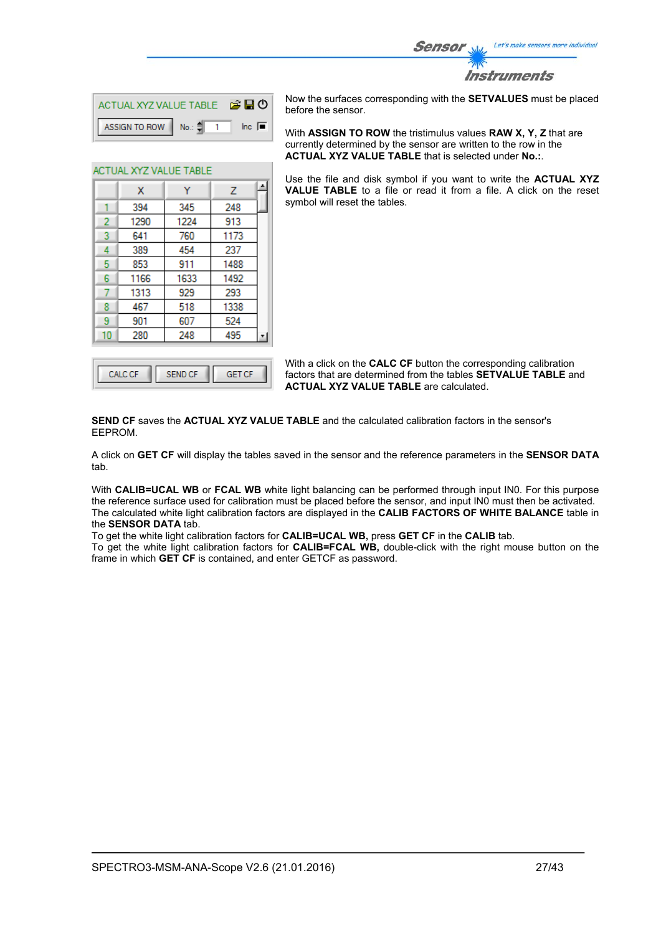

| ACTUAL XYZ VALUE TABLE <b>B E O</b>    |  |                     |
|----------------------------------------|--|---------------------|
| ASSIGN TO ROW   No.: $\frac{4}{3}$   1 |  | Inc. $\blacksquare$ |

Ÿ

345

1224

760

454

911

1633

929

518

607

248

 $\overline{z}$ 

248

913

1173

237

1488

1492

293

1338

524

495

ACTUAL XYZ VALUE TABLE

 $\mathbf{x}$ 394

1290

641

389

853

1166

1313

467

901 280

1  $\overline{2}$ 

3

 $\overline{4}$ 

5

 $6\phantom{a}$ 

7

8

9

 $10<sup>°</sup>$ 

Now the surfaces corresponding with the **SETVALUES** must be placed before the sensor.

With **ASSIGN TO ROW** the tristimulus values **RAW X, Y, Z** that are currently determined by the sensor are written to the row in the **ACTUAL XYZ VALUE TABLE** that is selected under **No.:**.

Use the file and disk symbol if you want to write the **ACTUAL XYZ VALUE TABLE** to a file or read it from a file. A click on the reset symbol will reset the tables.

With a click on the **CALC CF** button the corresponding calibration factors that are determined from the tables **SETVALUE TABLE** and **ACTUAL XYZ VALUE TABLE** are calculated.

**SEND CF** saves the **ACTUAL XYZ VALUE TABLE** and the calculated calibration factors in the sensor's EEPROM.

A click on **GET CF** will display the tables saved in the sensor and the reference parameters in the **SENSOR DATA** tab.

With **CALIB=UCAL WB** or **FCAL WB** white light balancing can be performed through input IN0. For this purpose the reference surface used for calibration must be placed before the sensor, and input IN0 must then be activated. The calculated white light calibration factors are displayed in the **CALIB FACTORS OF WHITE BALANCE** table in the **SENSOR DATA** tab.

To get the white light calibration factors for **CALIB=UCAL WB,** press **GET CF** in the **CALIB** tab.

To get the white light calibration factors for **CALIB=FCAL WB,** double-click with the right mouse button on the frame in which **GET CF** is contained, and enter GETCF as password.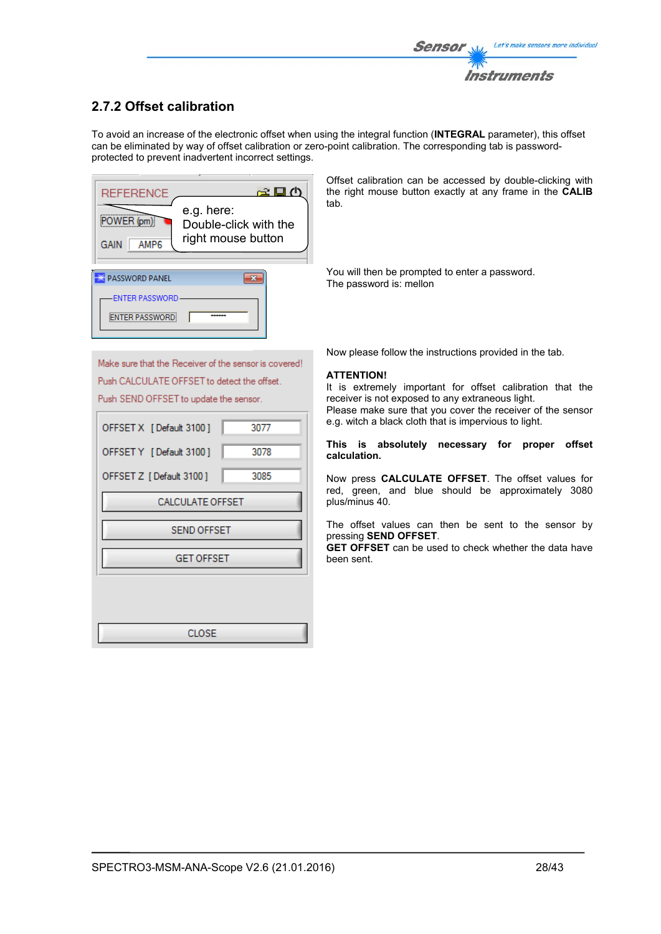# **2.7.2 Offset calibration**

To avoid an increase of the electronic offset when using the integral function (**INTEGRAL** parameter), this offset can be eliminated by way of offset calibration or zero-point calibration. The corresponding tab is passwordprotected to prevent inadvertent incorrect settings.



Offset calibration can be accessed by double-clicking with the right mouse button exactly at any frame in the **CALIB** tab.

You will then be prompted to enter a password. The password is: mellon

Make sure that the Receiver of the sensor is covered! Push CALCULATE OFFSET to detect the offset. Push SEND OFFSET to update the sensor.

| OFFSET X [Default 3100] | 3077 |  |  |  |  |  |  |  |  |
|-------------------------|------|--|--|--|--|--|--|--|--|
| OFFSET Y [Default 3100] | 3078 |  |  |  |  |  |  |  |  |
| OFFSET Z [Default 3100] | 3085 |  |  |  |  |  |  |  |  |
| <b>CALCULATE OFFSET</b> |      |  |  |  |  |  |  |  |  |
| <b>SEND OFFSET</b>      |      |  |  |  |  |  |  |  |  |
| <b>GET OFFSET</b>       |      |  |  |  |  |  |  |  |  |
|                         |      |  |  |  |  |  |  |  |  |
|                         |      |  |  |  |  |  |  |  |  |
| CLOSE                   |      |  |  |  |  |  |  |  |  |

Now please follow the instructions provided in the tab.

## **ATTENTION!**

It is extremely important for offset calibration that the receiver is not exposed to any extraneous light. Please make sure that you cover the receiver of the sensor e.g. witch a black cloth that is impervious to light.

#### **This is absolutely necessary for proper offset calculation.**

Now press **CALCULATE OFFSET**. The offset values for red, green, and blue should be approximately 3080 plus/minus 40.

The offset values can then be sent to the sensor by pressing **SEND OFFSET**.

**GET OFFSET** can be used to check whether the data have been sent.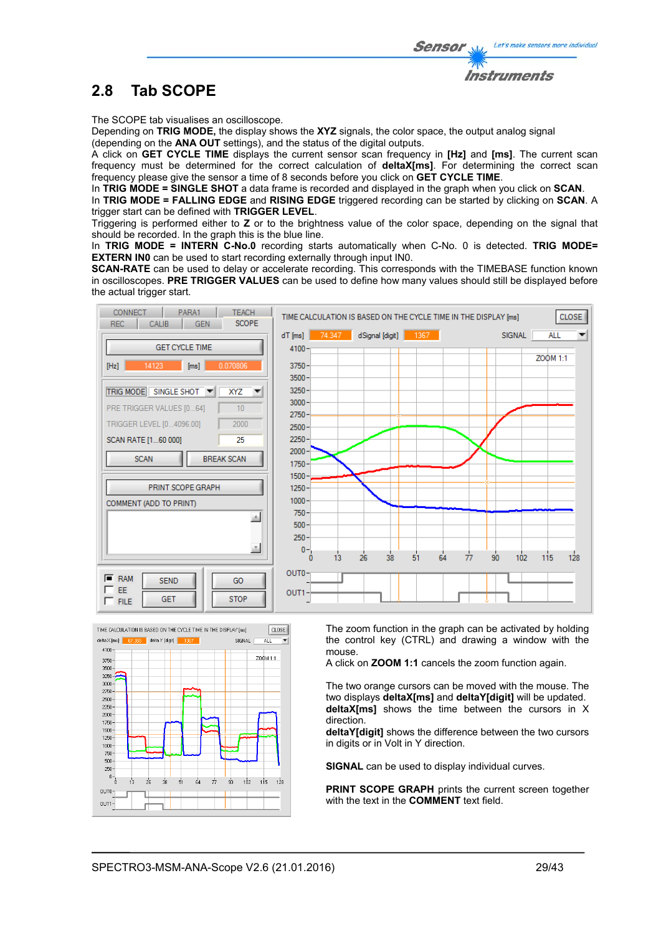

The SCOPE tab visualises an oscilloscope.

Depending on **TRIG MODE,** the display shows the **XYZ** signals, the color space, the output analog signal (depending on the **ANA OUT** settings), and the status of the digital outputs.

A click on **GET CYCLE TIME** displays the current sensor scan frequency in **[Hz]** and **[ms]**. The current scan frequency must be determined for the correct calculation of **deltaX[ms]**. For determining the correct scan frequency please give the sensor a time of 8 seconds before you click on **GET CYCLE TIME**.

In **TRIG MODE = SINGLE SHOT** a data frame is recorded and displayed in the graph when you click on **SCAN**.

In **TRIG MODE = FALLING EDGE** and **RISING EDGE** triggered recording can be started by clicking on **SCAN**. A trigger start can be defined with **TRIGGER LEVEL**.

Triggering is performed either to **Z** or to the brightness value of the color space, depending on the signal that should be recorded. In the graph this is the blue line.

In **TRIG MODE = INTERN C-No.0** recording starts automatically when C-No. 0 is detected. **TRIG MODE= EXTERN IN0** can be used to start recording externally through input IN0.

**SCAN-RATE** can be used to delay or accelerate recording. This corresponds with the TIMEBASE function known in oscilloscopes. **PRE TRIGGER VALUES** can be used to define how many values should still be displayed before the actual trigger start.





The zoom function in the graph can be activated by holding the control key (CTRL) and drawing a window with the mouse.

A click on **ZOOM 1:1** cancels the zoom function again.

The two orange cursors can be moved with the mouse. The two displays **deltaX[ms]** and **deltaY[digit]** will be updated. **deltaX[ms]** shows the time between the cursors in X direction.

**deltaY[digit]** shows the difference between the two cursors in digits or in Volt in Y direction.

**SIGNAL** can be used to display individual curves.

**PRINT SCOPE GRAPH** prints the current screen together with the text in the **COMMENT** text field.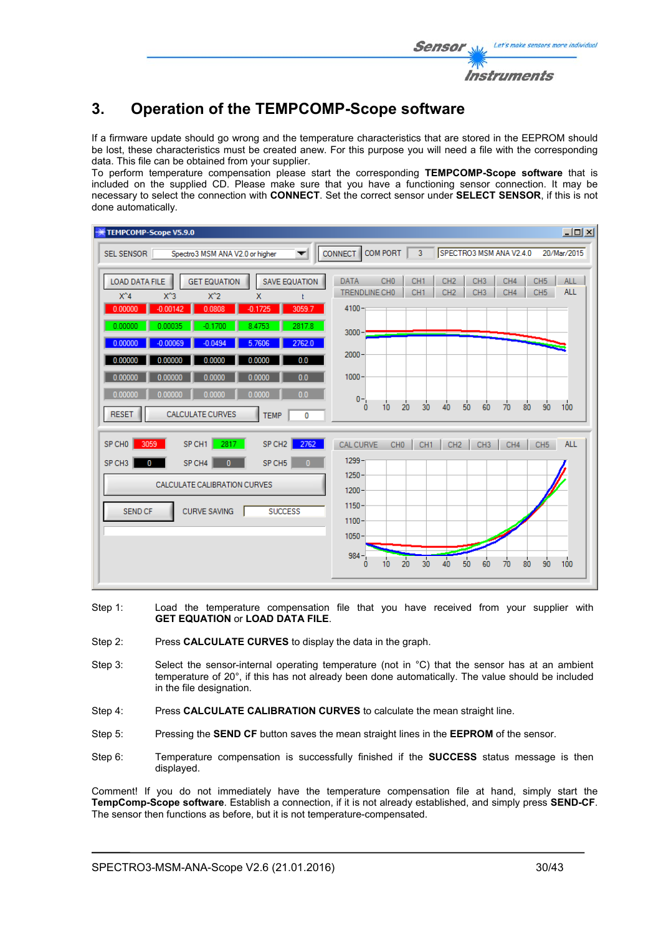# **3. Operation of the TEMPCOMP-Scope software**

If a firmware update should go wrong and the temperature characteristics that are stored in the EEPROM should be lost, these characteristics must be created anew. For this purpose you will need a file with the corresponding data. This file can be obtained from your supplier.

To perform temperature compensation please start the corresponding **TEMPCOMP-Scope software** that is included on the supplied CD. Please make sure that you have a functioning sensor connection. It may be necessary to select the connection with **CONNECT**. Set the correct sensor under **SELECT SENSOR**, if this is not done automatically.

| TEMPCOMP-Scope V5.9.0                                                                                                                                                          | $\Box$                                                                                                                                                                                                                                                        |
|--------------------------------------------------------------------------------------------------------------------------------------------------------------------------------|---------------------------------------------------------------------------------------------------------------------------------------------------------------------------------------------------------------------------------------------------------------|
| Spectro3 MSM ANA V2.0 or higher<br>SEL SENSOR<br>▼                                                                                                                             | <b>COM PORT</b><br>SPECTRO3 MSM ANA V2.4.0<br>$\overline{3}$<br><b>CONNECT</b><br>20/Mar/2015                                                                                                                                                                 |
| <b>GET EQUATION</b><br><b>LOAD DATA FILE</b><br><b>SAVE EQUATION</b><br>$X^4$<br>$X^3$<br>$X^2$<br>$\mathsf{x}$<br>Ł<br>$-0.00142$<br>0.00000<br>0.0808<br>$-0.1725$<br>3059.7 | CH <sub>0</sub><br>CH <sub>3</sub><br>CH <sub>1</sub><br>CH <sub>2</sub><br>CH4<br>CH <sub>5</sub><br><b>ALL</b><br><b>DATA</b><br><b>ALL</b><br>TRENDLINE CHO<br>CH <sub>1</sub><br>CH <sub>2</sub><br>CH <sub>3</sub><br>CH4<br>CH <sub>5</sub><br>$4100 -$ |
| 0.00000<br>0.00035<br>2817.8<br>$-0.1700$<br>8.4753<br>2762.0<br>0.00000<br>$-0.00069$<br>$-0.0494$<br>5.7606                                                                  | $3000 -$                                                                                                                                                                                                                                                      |
| 0.0<br>0.00000<br>0.00000<br>0.0000<br>0.0000<br>0.00000<br>0.0<br>0.00000<br>0.0000<br>0.0000<br>0.0<br>0.0000<br>0.00000<br>0.00000<br>0.0000                                | $2000 -$<br>$1000 -$                                                                                                                                                                                                                                          |
| <b>CALCULATE CURVES</b><br><b>RESET</b><br><b>TEMP</b><br>0                                                                                                                    | $0 -$<br>100<br>30<br>40<br>50<br>20<br>90<br>60<br>80<br>10<br>70<br>$\mathbf{0}$                                                                                                                                                                            |
| SP CH1<br>2817<br>SP CH <sub>2</sub><br>2762<br>SP CHO<br>3059                                                                                                                 | <b>ALL</b><br>CAL CURVE<br>CH <sub>0</sub><br>CH <sub>1</sub><br>CH <sub>2</sub><br>CH <sub>3</sub><br>CH4<br>CH <sub>5</sub>                                                                                                                                 |
| SP CH <sub>5</sub><br>SP CH <sub>3</sub><br>SP CH4<br>$\mathbf{0}$<br>$\mathbf{0}$<br>0                                                                                        | $1299 -$                                                                                                                                                                                                                                                      |
| CALCULATE CALIBRATION CURVES                                                                                                                                                   | $1250 -$<br>$1200 -$                                                                                                                                                                                                                                          |
| <b>CURVE SAVING</b><br><b>SUCCESS</b><br><b>SEND CF</b>                                                                                                                        | $1150 -$<br>$1100 -$<br>$1050 -$                                                                                                                                                                                                                              |
|                                                                                                                                                                                | $984 -$<br>$\overline{20}$<br>$\overline{30}$<br>40<br>90<br>50<br>60<br>80<br>100<br>10<br>70<br>0                                                                                                                                                           |

- Step 1: Load the temperature compensation file that you have received from your supplier with **GET EQUATION** or **LOAD DATA FILE**.
- Step 2: Press **CALCULATE CURVES** to display the data in the graph.
- Step 3: Select the sensor-internal operating temperature (not in °C) that the sensor has at an ambient temperature of 20°, if this has not already been done automatically. The value should be included in the file designation.
- Step 4: Press **CALCULATE CALIBRATION CURVES** to calculate the mean straight line.
- Step 5: Pressing the **SEND CF** button saves the mean straight lines in the **EEPROM** of the sensor.
- Step 6: Temperature compensation is successfully finished if the **SUCCESS** status message is then displayed.

Comment! If you do not immediately have the temperature compensation file at hand, simply start the **TempComp-Scope software**. Establish a connection, if it is not already established, and simply press **SEND-CF**. The sensor then functions as before, but it is not temperature-compensated.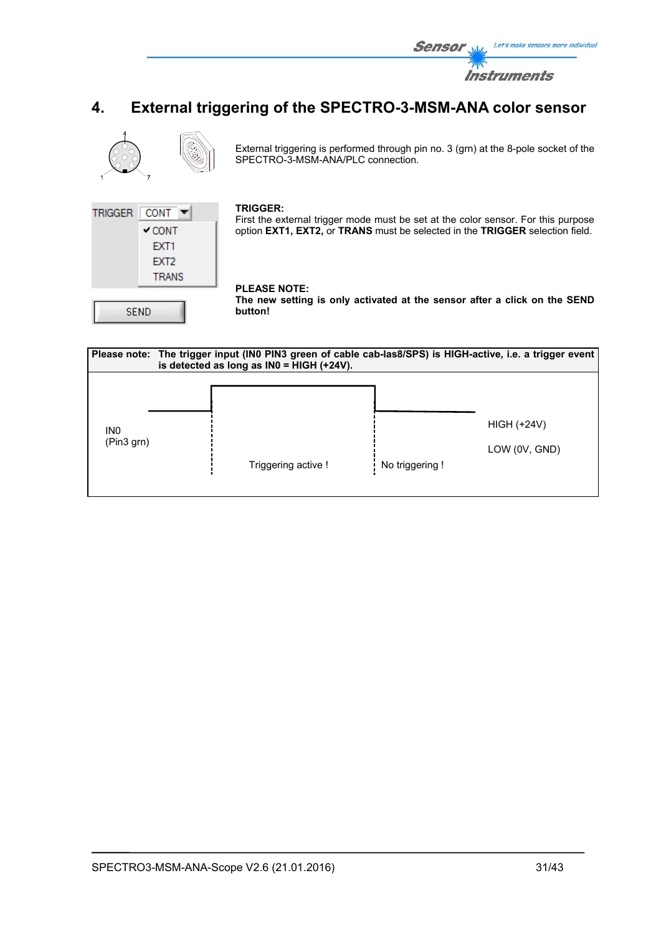

# **4. External triggering of the SPECTRO-3-MSM-ANA color sensor**



External triggering is performed through pin no. 3 (grn) at the 8-pole socket of the SPECTRO-3-MSM-ANA/PLC connection.



#### **TRIGGER:**

First the external trigger mode must be set at the color sensor. For this purpose option **EXT1, EXT2,** or **TRANS** must be selected in the **TRIGGER** selection field.

# **PLEASE NOTE:**

**The new setting is only activated at the sensor after a click on the SEND button!** 

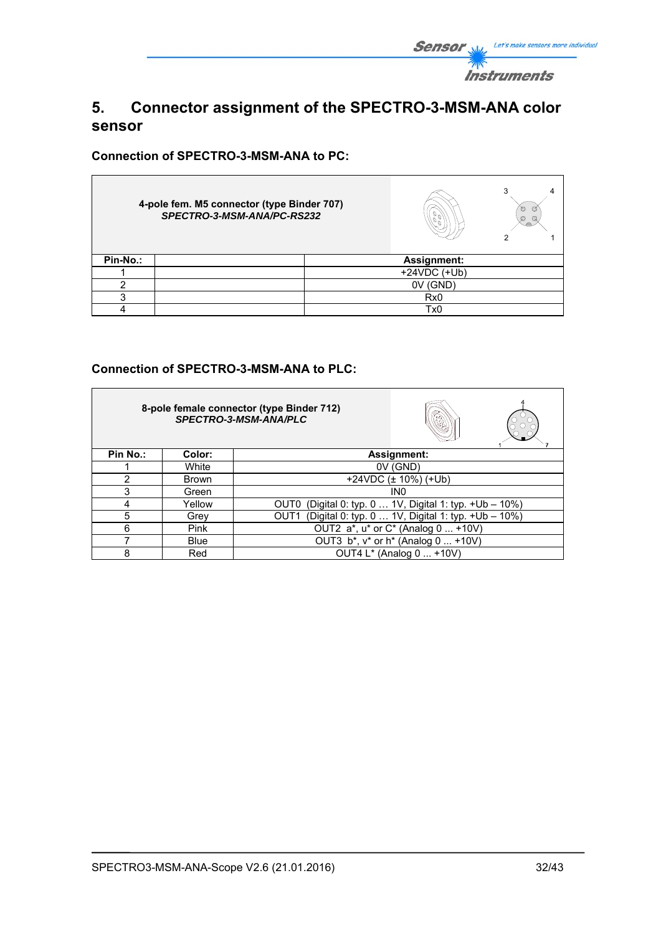

# **5. Connector assignment of the SPECTRO-3-MSM-ANA color sensor**

**Connection of SPECTRO-3-MSM-ANA to PC:** 

|          | 4-pole fem. M5 connector (type Binder 707)<br>SPECTRO-3-MSM-ANA/PC-RS232 |  | O<br>O<br>Ø<br>Q   |  |
|----------|--------------------------------------------------------------------------|--|--------------------|--|
| Pin-No.: |                                                                          |  | <b>Assignment:</b> |  |
|          |                                                                          |  | $+24VDC (+Ub)$     |  |
|          |                                                                          |  | 0V (GND)           |  |
| ◠        |                                                                          |  | Rx <sub>0</sub>    |  |
|          |                                                                          |  | Tx0                |  |

# **Connection of SPECTRO-3-MSM-ANA to PLC:**

|          |              | 8-pole female connector (type Binder 712)<br>SPECTRO-3-MSM-ANA/PLC     |
|----------|--------------|------------------------------------------------------------------------|
| Pin No.: | Color:       | Assignment:                                                            |
|          | White        | $0V$ (GND)                                                             |
| 2        | <b>Brown</b> | $+24VDC$ ( $\pm$ 10%) ( $+Ub$ )                                        |
| 3        | Green        | IN <sub>0</sub>                                                        |
| 4        | Yellow       | (Digital 0: typ. 0  1V, Digital 1: typ. +Ub - 10%)<br>OUT0             |
| 5        | Grey         | (Digital 0: typ. 0  1V, Digital 1: typ. +Ub - 10%)<br>OUT <sub>1</sub> |
| 6        | Pink         | OUT2 a*, u* or C* (Analog 0  +10V)                                     |
|          | <b>Blue</b>  | OUT3 b*, v* or h* (Analog 0  +10V)                                     |
| 8        | Red          | OUT4 L* (Analog 0  +10V)                                               |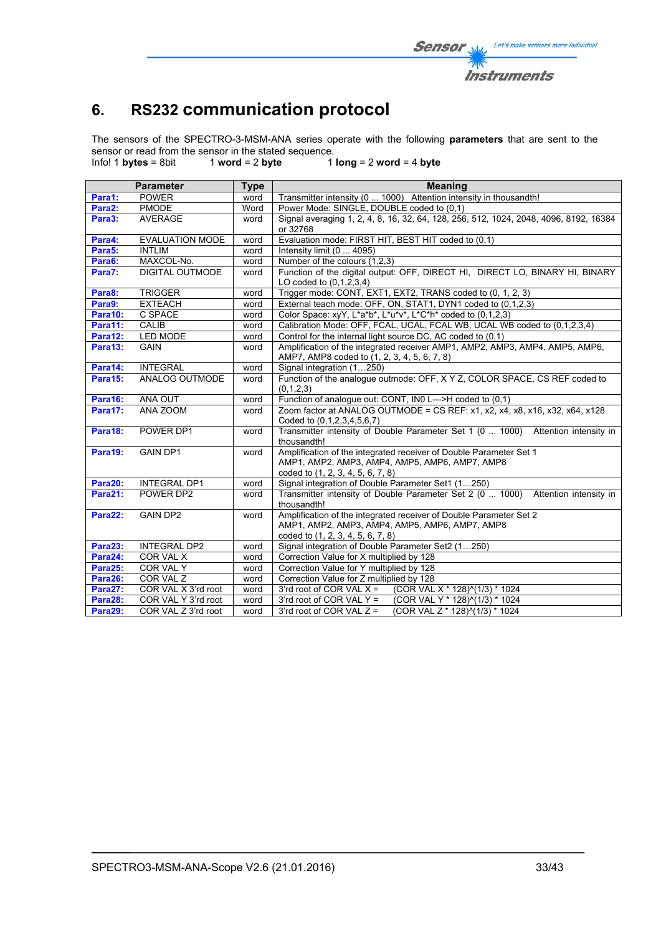# **6. RS232 communication protocol**

The sensors of the SPECTRO-3-MSM-ANA series operate with the following **parameters** that are sent to the sensor or read from the sensor in the stated sequence.<br>Info! 1 bytes = 8bit  $\frac{1}{2}$  word = 2 byte  $\frac{1}{2}$ 

Info! 1 **bytes** = 8bit 1 **word** = 2 **byte** 1 **long** = 2 **word** = 4 **byte**

|                    | <b>Parameter</b>       | <b>Type</b> | <b>Meaning</b>                                                                                            |  |  |  |  |  |  |
|--------------------|------------------------|-------------|-----------------------------------------------------------------------------------------------------------|--|--|--|--|--|--|
| Para1:             | <b>POWER</b>           | word        | Transmitter intensity (0  1000) Attention intensity in thousandth!                                        |  |  |  |  |  |  |
| Para2:             | <b>PMODE</b>           | Word        | Power Mode: SINGLE, DOUBLE coded to (0.1)                                                                 |  |  |  |  |  |  |
| Para3:             | <b>AVERAGE</b>         | word        | Signal averaging 1, 2, 4, 8, 16, 32, 64, 128, 256, 512, 1024, 2048, 4096, 8192, 16384                     |  |  |  |  |  |  |
| Para4:             | <b>EVALUATION MODE</b> |             | or 32768                                                                                                  |  |  |  |  |  |  |
|                    | <b>INTLIM</b>          | word        | Evaluation mode: FIRST HIT, BEST HIT coded to (0,1)<br>Intensity limit (0  4095)                          |  |  |  |  |  |  |
| Para5:             |                        | word        |                                                                                                           |  |  |  |  |  |  |
| Para6:             | MAXCOL-No.             | word        | Number of the colours (1,2,3)                                                                             |  |  |  |  |  |  |
| Para7:             | <b>DIGITAL OUTMODE</b> | word        | Function of the digital output: OFF, DIRECT HI, DIRECT LO, BINARY HI, BINARY<br>LO coded to $(0,1,2,3,4)$ |  |  |  |  |  |  |
| Para8:             | <b>TRIGGER</b>         | word        | Trigger mode: CONT, EXT1, EXT2, TRANS coded to (0, 1, 2, 3)                                               |  |  |  |  |  |  |
| Para9:             | <b>EXTEACH</b>         | word        | External teach mode: OFF, ON, STAT1, DYN1 coded to (0,1,2,3)                                              |  |  |  |  |  |  |
| Para10:            | C SPACE                | word        | Color Space: xyY, L*a*b*, L*u*v*, L*C*h* coded to (0,1,2,3)                                               |  |  |  |  |  |  |
| Para11:            | CALIB                  | word        | Calibration Mode: OFF, FCAL, UCAL, FCAL WB, UCAL WB coded to (0,1,2,3,4)                                  |  |  |  |  |  |  |
| Para12:            | <b>LED MODE</b>        | word        | Control for the internal light source DC, AC coded to (0,1)                                               |  |  |  |  |  |  |
| Para13:            | <b>GAIN</b>            | word        | Amplification of the integrated receiver AMP1, AMP2, AMP3, AMP4, AMP5, AMP6,                              |  |  |  |  |  |  |
|                    |                        |             | AMP7, AMP8 coded to (1, 2, 3, 4, 5, 6, 7, 8)                                                              |  |  |  |  |  |  |
| Para14:            | <b>INTEGRAL</b>        | word        | Signal integration (1250)                                                                                 |  |  |  |  |  |  |
| Para15:            | ANALOG OUTMODE         | word        | Function of the analogue outmode: OFF, X Y Z, COLOR SPACE, CS REF coded to                                |  |  |  |  |  |  |
|                    |                        |             | (0,1,2,3)                                                                                                 |  |  |  |  |  |  |
| Para16:<br>Para17: | ANA OUT<br>ANA ZOOM    | word        | Function of analogue out: CONT, IN0 L--->H coded to (0,1)                                                 |  |  |  |  |  |  |
|                    |                        | word        | Zoom factor at ANALOG OUTMODE = CS REF: x1, x2, x4, x8, x16, x32, x64, x128<br>Coded to (0,1,2,3,4,5,6,7) |  |  |  |  |  |  |
| Para18:            | POWER DP1              | word        | Transmitter intensity of Double Parameter Set 1 (0  1000) Attention intensity in                          |  |  |  |  |  |  |
|                    |                        |             | thousandth!                                                                                               |  |  |  |  |  |  |
| Para19:            | <b>GAIN DP1</b>        | word        | Amplification of the integrated receiver of Double Parameter Set 1                                        |  |  |  |  |  |  |
|                    |                        |             | AMP1, AMP2, AMP3, AMP4, AMP5, AMP6, AMP7, AMP8                                                            |  |  |  |  |  |  |
|                    |                        |             | coded to (1, 2, 3, 4, 5, 6, 7, 8)                                                                         |  |  |  |  |  |  |
| Para20:            | <b>INTEGRAL DP1</b>    | word        | Signal integration of Double Parameter Set1 (1250)                                                        |  |  |  |  |  |  |
| Para21:            | POWER DP2              | word        | Transmitter intensity of Double Parameter Set 2 (0  1000) Attention intensity in<br>thousandth!           |  |  |  |  |  |  |
| Para22:            | <b>GAIN DP2</b>        | word        | Amplification of the integrated receiver of Double Parameter Set 2                                        |  |  |  |  |  |  |
|                    |                        |             | AMP1, AMP2, AMP3, AMP4, AMP5, AMP6, AMP7, AMP8                                                            |  |  |  |  |  |  |
|                    |                        |             | coded to (1, 2, 3, 4, 5, 6, 7, 8)                                                                         |  |  |  |  |  |  |
| Para23:            | <b>INTEGRAL DP2</b>    | word        | Signal integration of Double Parameter Set2 (1250)                                                        |  |  |  |  |  |  |
| Para24:            | COR VAL X              | word        | Correction Value for X multiplied by 128                                                                  |  |  |  |  |  |  |
| Para25:            | COR VAL Y              | word        | Correction Value for Y multiplied by 128                                                                  |  |  |  |  |  |  |
| Para26:            | <b>COR VAL Z</b>       | word        | Correction Value for Z multiplied by 128                                                                  |  |  |  |  |  |  |
| Para27:            | COR VAL X 3'rd root    | word        | 3'rd root of COR VAL $X =$<br>(COR VAL X * 128)^(1/3) * 1024                                              |  |  |  |  |  |  |
| Para28:            | COR VAL Y 3'rd root    | word        | 3'rd root of COR VAL $Y =$<br>(COR VAL Y * 128)^(1/3) * 1024                                              |  |  |  |  |  |  |
| Para29:            | COR VAL Z 3'rd root    | word        | (COR VAL Z * 128)^(1/3) * 1024<br>3'rd root of COR VAL $Z =$                                              |  |  |  |  |  |  |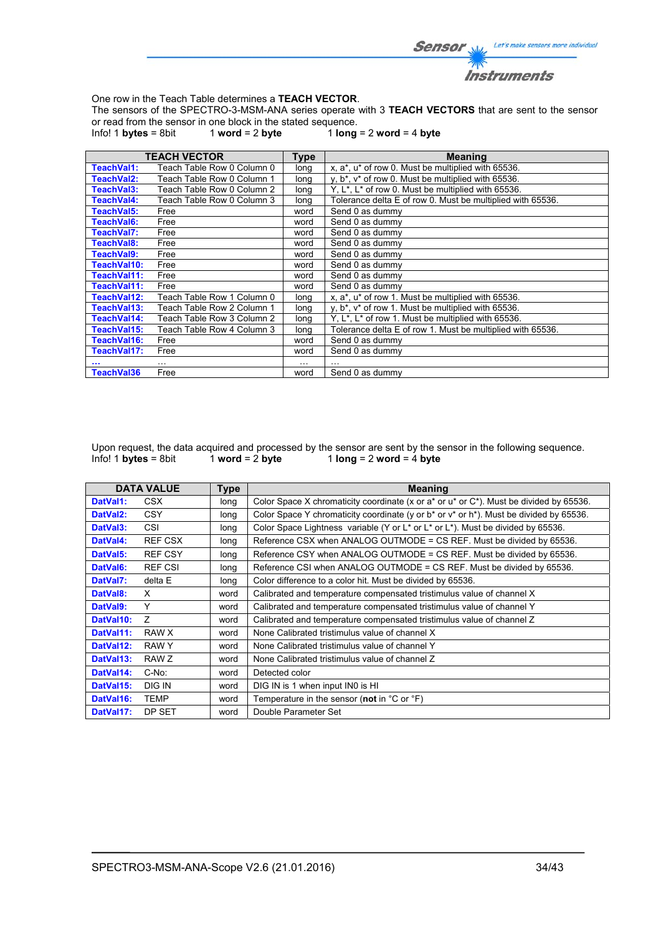

One row in the Teach Table determines a **TEACH VECTOR**.

The sensors of the SPECTRO-3-MSM-ANA series operate with 3 **TEACH VECTORS** that are sent to the sensor or read from the sensor in one block in the stated sequence.<br>Info! 1 **bytes** = 8bit  $1$  **word** = 2 **byte**  $1$  **long** 

 $1$  word = 2 byte  $1$   $\log$  = 2 word = 4 byte

|             | <b>TEACH VECTOR</b>        | <b>Type</b> | <b>Meaning</b>                                                              |
|-------------|----------------------------|-------------|-----------------------------------------------------------------------------|
| TeachVal1:  | Teach Table Row 0 Column 0 | long        | x, a*, u* of row 0. Must be multiplied with 65536.                          |
| TeachVal2:  | Teach Table Row 0 Column 1 | long        | y, b <sup>*</sup> , v <sup>*</sup> of row 0. Must be multiplied with 65536. |
| TeachVal3:  | Teach Table Row 0 Column 2 | long        | Y, $L^*$ , $L^*$ of row 0. Must be multiplied with 65536.                   |
| TeachVal4:  | Teach Table Row 0 Column 3 | long        | Tolerance delta E of row 0. Must be multiplied with 65536.                  |
| TeachVal5:  | Free                       | word        | Send 0 as dummy                                                             |
| TeachVal6:  | Free                       | word        | Send 0 as dummy                                                             |
| TeachVal7:  | Free                       | word        | Send 0 as dummy                                                             |
| TeachVal8:  | Free                       | word        | Send 0 as dummy                                                             |
| TeachVal9:  | Free                       | word        | Send 0 as dummy                                                             |
| TeachVal10: | Free                       | word        | Send 0 as dummy                                                             |
| TeachVal11: | Free                       | word        | Send 0 as dummy                                                             |
| TeachVal11: | Free                       | word        | Send 0 as dummy                                                             |
| TeachVal12: | Teach Table Row 1 Column 0 | long        | x, a*, u* of row 1. Must be multiplied with 65536.                          |
| TeachVal13: | Teach Table Row 2 Column 1 | long        | y, b <sup>*</sup> , v <sup>*</sup> of row 1. Must be multiplied with 65536. |
| TeachVal14: | Teach Table Row 3 Column 2 | long        | Y, L <sup>*</sup> , L <sup>*</sup> of row 1. Must be multiplied with 65536. |
| TeachVal15: | Teach Table Row 4 Column 3 | long        | Tolerance delta E of row 1. Must be multiplied with 65536.                  |
| TeachVal16: | Free                       | word        | Send 0 as dummy                                                             |
| TeachVal17: | Free                       | word        | Send 0 as dummy                                                             |
|             | $\cdots$                   | $\cdots$    |                                                                             |
| TeachVal36  | Free                       | word        | Send 0 as dummy                                                             |

Upon request, the data acquired and processed by the sensor are sent by the sensor in the following sequence.<br>Info! 1 bytes = 8bit 1 word = 2 byte 1 long = 2 word = 4 byte  $1$  **long** = 2 **word** =  $\frac{1}{4}$  **byte** 

|                       | <b>DATA VALUE</b> | <b>Type</b> | <b>Meaning</b>                                                                                   |
|-----------------------|-------------------|-------------|--------------------------------------------------------------------------------------------------|
| DatVal1:              | CSX.              | long        | Color Space X chromaticity coordinate (x or a* or u* or C*). Must be divided by 65536.           |
| DatVal <sub>2</sub> : | <b>CSY</b>        | long        | Color Space Y chromaticity coordinate (y or $b^*$ or $v^*$ or $h^*$ ). Must be divided by 65536. |
| DatVal3:              | CSI               | long        | Color Space Lightness variable (Y or L* or L* or L*). Must be divided by 65536.                  |
| DatVal4:              | <b>REF CSX</b>    | long        | Reference CSX when ANALOG OUTMODE = CS REF. Must be divided by 65536.                            |
| DatVal5:              | <b>REF CSY</b>    | long        | Reference CSY when ANALOG OUTMODE = CS REF. Must be divided by 65536.                            |
| DatVal6:              | <b>REF CSI</b>    | long        | Reference CSI when ANALOG OUTMODE = CS REF. Must be divided by 65536.                            |
| DatVal7:              | delta E           | long        | Color difference to a color hit. Must be divided by 65536.                                       |
| DatVal8:              | X                 | word        | Calibrated and temperature compensated tristimulus value of channel X                            |
| DatVal9:              | Υ                 | word        | Calibrated and temperature compensated tristimulus value of channel Y                            |
| DatVal10:             | Z                 | word        | Calibrated and temperature compensated tristimulus value of channel Z                            |
| DatVal11:             | RAW X             | word        | None Calibrated tristimulus value of channel X                                                   |
| DatVal12:             | RAW Y             | word        | None Calibrated tristimulus value of channel Y                                                   |
| DatVal13:             | RAW Z             | word        | None Calibrated tristimulus value of channel Z                                                   |
| DatVal14:             | C-No:             | word        | Detected color                                                                                   |
| DatVal15:             | DIG IN            | word        | DIG IN is 1 when input IN0 is HI                                                                 |
| DatVal16:             | TEMP              | word        | Temperature in the sensor (not in $^{\circ}$ C or $^{\circ}$ F)                                  |
| DatVal17:             | DP SET            | word        | Double Parameter Set                                                                             |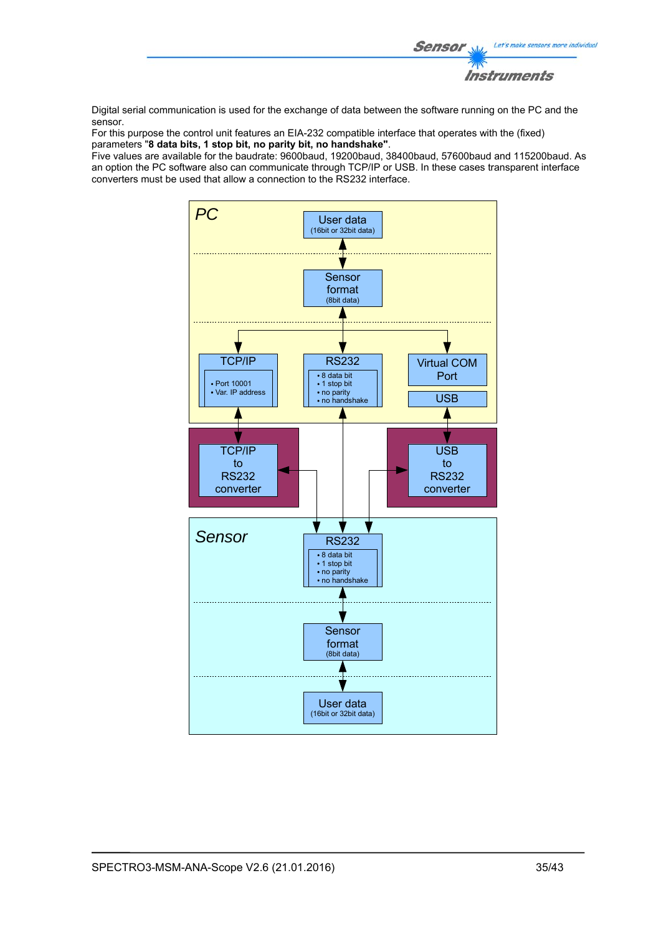

Digital serial communication is used for the exchange of data between the software running on the PC and the sensor.

For this purpose the control unit features an EIA-232 compatible interface that operates with the (fixed) parameters "**8 data bits, 1 stop bit, no parity bit, no handshake"**.

Five values are available for the baudrate: 9600baud, 19200baud, 38400baud, 57600baud and 115200baud. As an option the PC software also can communicate through TCP/IP or USB. In these cases transparent interface converters must be used that allow a connection to the RS232 interface.

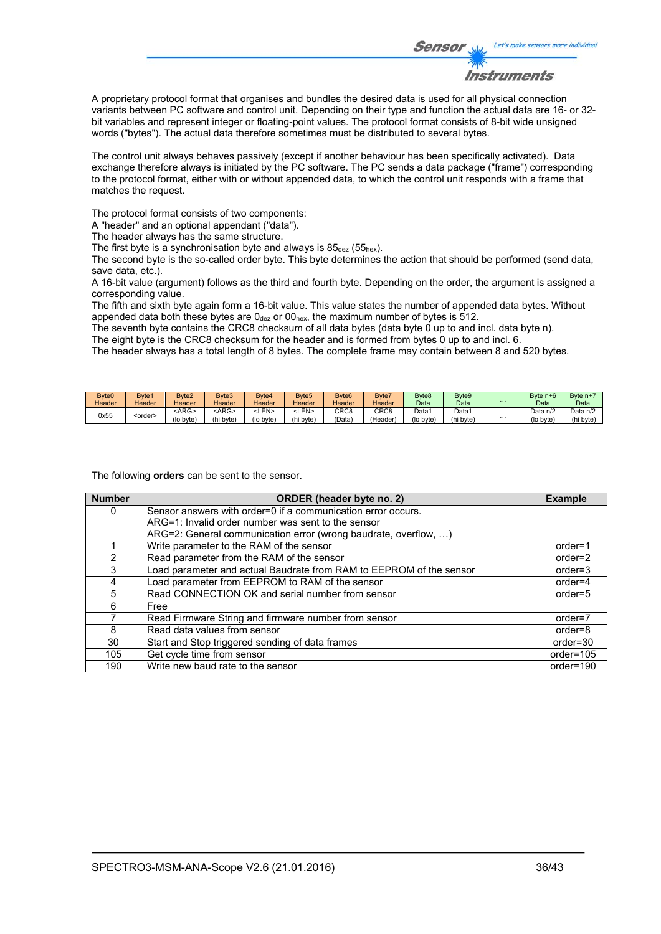

A proprietary protocol format that organises and bundles the desired data is used for all physical connection variants between PC software and control unit. Depending on their type and function the actual data are 16- or 32 bit variables and represent integer or floating-point values. The protocol format consists of 8-bit wide unsigned words ("bytes"). The actual data therefore sometimes must be distributed to several bytes.

The control unit always behaves passively (except if another behaviour has been specifically activated). Data exchange therefore always is initiated by the PC software. The PC sends a data package ("frame") corresponding to the protocol format, either with or without appended data, to which the control unit responds with a frame that matches the request.

The protocol format consists of two components:

A "header" and an optional appendant ("data").

The header always has the same structure.

The first byte is a synchronisation byte and always is  $85_{\text{dez}}$  (55<sub>hex</sub>).

The second byte is the so-called order byte. This byte determines the action that should be performed (send data, save data, etc.).

A 16-bit value (argument) follows as the third and fourth byte. Depending on the order, the argument is assigned a corresponding value.

The fifth and sixth byte again form a 16-bit value. This value states the number of appended data bytes. Without appended data both these bytes are  $0_{\text{dez}}$  or  $00_{\text{hex}}$ , the maximum number of bytes is 512.

The seventh byte contains the CRC8 checksum of all data bytes (data byte 0 up to and incl. data byte n). The eight byte is the CRC8 checksum for the header and is formed from bytes 0 up to and incl. 6.

The header always has a total length of 8 bytes. The complete frame may contain between 8 and 520 bytes.

| Byte0  | Bvte1           | Byte <sub>2</sub> | Byte3       | Byte4           | Byte <sub>5</sub> | Byte <sub>6</sub> | Byte7            | Byte8     | Byte9     |          | Byte $n+6$ | Byte $n+$ |
|--------|-----------------|-------------------|-------------|-----------------|-------------------|-------------------|------------------|-----------|-----------|----------|------------|-----------|
| Header | Header          | Header            | Header      | Header          | Header            | Header            | Header           | Data      | Data      | $\cdots$ | Data       | Data      |
| 0x55   | <order></order> | <arg></arg>       | <arg></arg> | <b>:LEN&gt;</b> | LEN>              | CRC <sub>8</sub>  | CRC <sub>8</sub> | Data 1    | Data      |          | Data n/2   | Data n/2  |
|        |                 | (lo byte)         | (hi byte)   | (lo byte)       | (hi byte          | 'Data`            | (Header)         | (lo byte) | (hi byte) | $\cdots$ | (lo byte)  | (hi byte  |

The following **orders** can be sent to the sensor.

| <b>Number</b> | ORDER (header byte no. 2)                                           | <b>Example</b> |
|---------------|---------------------------------------------------------------------|----------------|
| 0             | Sensor answers with order=0 if a communication error occurs.        |                |
|               | ARG=1: Invalid order number was sent to the sensor                  |                |
|               | ARG=2: General communication error (wrong baudrate, overflow, )     |                |
|               | Write parameter to the RAM of the sensor                            | $order=1$      |
| $\mathcal{P}$ | Read parameter from the RAM of the sensor                           | $order=2$      |
| 3             | Load parameter and actual Baudrate from RAM to EEPROM of the sensor | $order = 3$    |
| 4             | Load parameter from EEPROM to RAM of the sensor                     | $order=4$      |
| 5             | Read CONNECTION OK and serial number from sensor                    | $order=5$      |
| 6             | Free                                                                |                |
|               | Read Firmware String and firmware number from sensor                | $order=7$      |
| 8             | Read data values from sensor                                        | order=8        |
| 30            | Start and Stop triggered sending of data frames                     | $order = 30$   |
| 105           | Get cycle time from sensor                                          | order=105      |
| 190           | Write new baud rate to the sensor                                   | order=190      |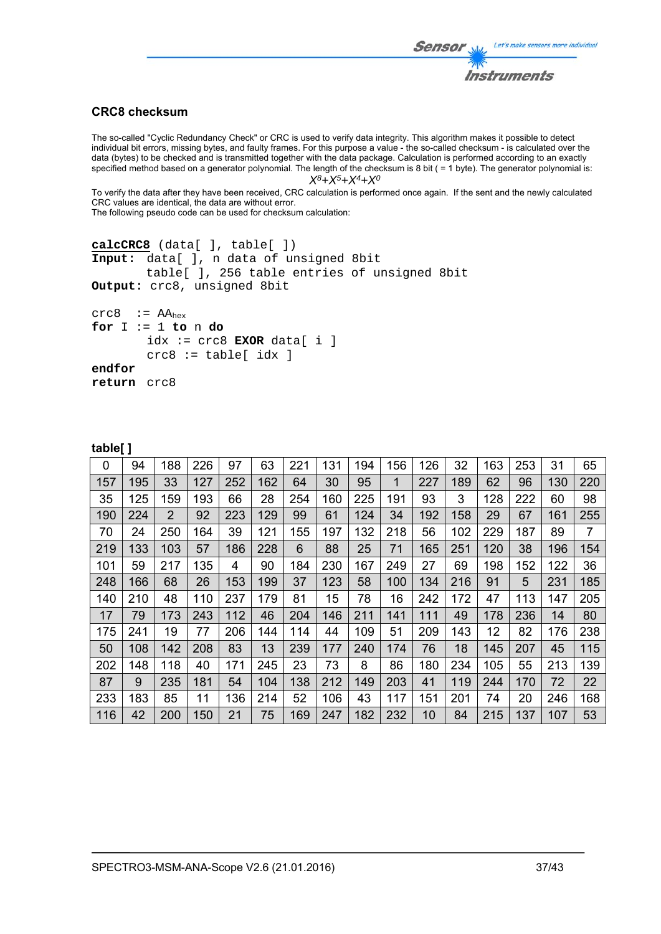# Let's make sensors more individual Sensor Instruments

# **CRC8 checksum**

The so-called "Cyclic Redundancy Check" or CRC is used to verify data integrity. This algorithm makes it possible to detect individual bit errors, missing bytes, and faulty frames. For this purpose a value - the so-called checksum - is calculated over the data (bytes) to be checked and is transmitted together with the data package. Calculation is performed according to an exactly specified method based on a generator polynomial. The length of the checksum is 8 bit ( = 1 byte). The generator polynomial is: *X8+X5+X4+X0*

To verify the data after they have been received, CRC calculation is performed once again. If the sent and the newly calculated CRC values are identical, the data are without error.

The following pseudo code can be used for checksum calculation:

```
calcCRC8 (data[ ], table[ ]) 
Input: data[ ], n data of unsigned 8bit 
         table[ ], 256 table entries of unsigned 8bit 
Output: crc8, unsigned 8bit 
crc8 := AA_{hex}for I := 1 to n do 
        idx := crc8 EXOR data[ i ] 
         crc8 := table[ idx ]
```
**table[ ]** 

**return** crc8

**endfor** 

|     | . . |     |     |     |     |     |     |     |     |     |     |     |     |     |                |
|-----|-----|-----|-----|-----|-----|-----|-----|-----|-----|-----|-----|-----|-----|-----|----------------|
| 0   | 94  | 188 | 226 | 97  | 63  | 221 | 131 | 194 | 156 | 126 | 32  | 163 | 253 | 31  | 65             |
| 157 | 195 | 33  | 127 | 252 | 162 | 64  | 30  | 95  | 1   | 227 | 189 | 62  | 96  | 130 | 220            |
| 35  | 125 | 159 | 193 | 66  | 28  | 254 | 160 | 225 | 191 | 93  | 3   | 128 | 222 | 60  | 98             |
| 190 | 224 | 2   | 92  | 223 | 129 | 99  | 61  | 124 | 34  | 192 | 158 | 29  | 67  | 161 | 255            |
| 70  | 24  | 250 | 164 | 39  | 121 | 155 | 197 | 132 | 218 | 56  | 102 | 229 | 187 | 89  | $\overline{7}$ |
| 219 | 133 | 103 | 57  | 186 | 228 | 6   | 88  | 25  | 71  | 165 | 251 | 120 | 38  | 196 | 154            |
| 101 | 59  | 217 | 135 | 4   | 90  | 184 | 230 | 167 | 249 | 27  | 69  | 198 | 152 | 122 | 36             |
| 248 | 166 | 68  | 26  | 153 | 199 | 37  | 123 | 58  | 100 | 134 | 216 | 91  | 5   | 231 | 185            |
| 140 | 210 | 48  | 110 | 237 | 179 | 81  | 15  | 78  | 16  | 242 | 172 | 47  | 113 | 147 | 205            |
| 17  | 79  | 173 | 243 | 112 | 46  | 204 | 146 | 211 | 141 | 111 | 49  | 178 | 236 | 14  | 80             |
| 175 | 241 | 19  | 77  | 206 | 144 | 114 | 44  | 109 | 51  | 209 | 143 | 12  | 82  | 176 | 238            |
| 50  | 108 | 142 | 208 | 83  | 13  | 239 | 177 | 240 | 174 | 76  | 18  | 145 | 207 | 45  | 115            |
| 202 | 148 | 118 | 40  | 171 | 245 | 23  | 73  | 8   | 86  | 180 | 234 | 105 | 55  | 213 | 139            |
| 87  | 9   | 235 | 181 | 54  | 104 | 138 | 212 | 149 | 203 | 41  | 119 | 244 | 170 | 72  | 22             |
| 233 | 183 | 85  | 11  | 136 | 214 | 52  | 106 | 43  | 117 | 151 | 201 | 74  | 20  | 246 | 168            |
| 116 | 42  | 200 | 150 | 21  | 75  | 169 | 247 | 182 | 232 | 10  | 84  | 215 | 137 | 107 | 53             |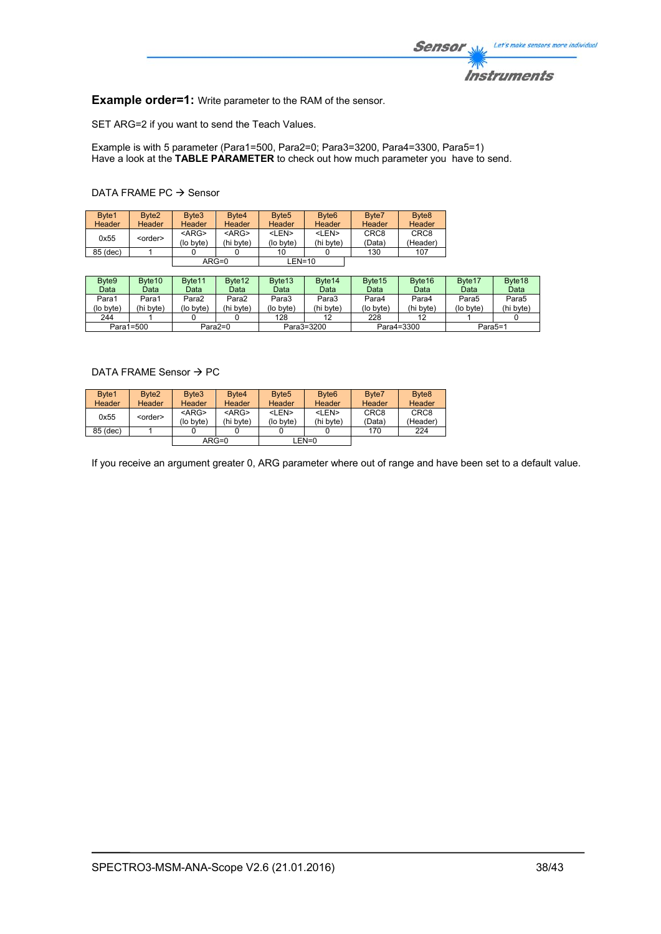

**Example order=1:** Write parameter to the RAM of the sensor.

SET ARG=2 if you want to send the Teach Values.

Example is with 5 parameter (Para1=500, Para2=0; Para3=3200, Para4=3300, Para5=1) Have a look at the **TABLE PARAMETER** to check out how much parameter you have to send.

# DATA FRAME PC  $\rightarrow$  Sensor

| Byte1<br><b>Header</b> | Byte <sub>2</sub><br><b>Header</b> | Byte3<br>Header          | Byte4<br><b>Header</b>   | Byte <sub>5</sub><br>Header | Byte <sub>6</sub><br><b>Header</b> | Byte7<br>Header            | Byte <sub>8</sub><br><b>Header</b> |
|------------------------|------------------------------------|--------------------------|--------------------------|-----------------------------|------------------------------------|----------------------------|------------------------------------|
| 0x55                   | <order></order>                    | $<$ ARG $>$<br>(lo byte) | $<$ ARG $>$<br>(hi byte) | <len><br/>(lo byte)</len>   | <len><br/>(hi byte)</len>          | CRC <sub>8</sub><br>(Data) | CRC <sub>8</sub><br>(Header)       |
| 85 (dec)               |                                    |                          |                          | 10                          |                                    | 130                        | 107                                |
|                        |                                    |                          | $ARG=0$                  | $LEN=10$                    |                                    |                            |                                    |

| Byte9     | Byte <sub>10</sub> | Byte <sub>11</sub> | Byte <sub>12</sub> | Byte <sub>13</sub> | Byte <sub>14</sub> | Byte <sub>15</sub> | Byte <sub>16</sub> | Byte <sub>17</sub> | Byte <sub>18</sub> |
|-----------|--------------------|--------------------|--------------------|--------------------|--------------------|--------------------|--------------------|--------------------|--------------------|
| Data      | Data               | Datal              | Data               | Data               | Data               | Data               | Data               | Data               | Data               |
| Para1     | Para1              | Para2              | Para2              | Para3              | Para3              | Para4              | Para4              | Para5              | Para5              |
| (lo byte) | (hi bvte)          | (lo bvte)          | (hi byte)          | (lo byte)          | (hi byte)          | (lo bvte)          | (hi byte)          | (lo byte)          | (hi byte)          |
| 244       |                    |                    |                    | 128                | 12                 | 228                |                    |                    |                    |
|           | Para1=500          |                    | Para2=0            |                    | Para3=3200         | Para4=3300         |                    | Para5=1            |                    |

# DATA FRAME Sensor  $\rightarrow$  PC

| Byte1    | Byte <sub>2</sub> | Byte3     | Byte <sub>4</sub> | Byte <sub>5</sub> | Byte <sub>6</sub> | Byte7            | Byte <sub>8</sub> |
|----------|-------------------|-----------|-------------------|-------------------|-------------------|------------------|-------------------|
| Header   | <b>Header</b>     | Header    | Header            | Header            | Header            | Header           | <b>Header</b>     |
| 0x55     | <order></order>   | $<$ ARG>  | $<$ ARG>          | <len></len>       | <len></len>       | CRC <sub>8</sub> | CRC <sub>8</sub>  |
|          |                   | (lo byte) | (hi byte)         | (lo byte)         | (hi byte)         | (Data)           | (Header)          |
| 85 (dec) |                   |           |                   |                   |                   | 170              | 224               |
|          |                   |           | $ARG=0$           |                   | LEN=0             |                  |                   |

If you receive an argument greater 0, ARG parameter where out of range and have been set to a default value.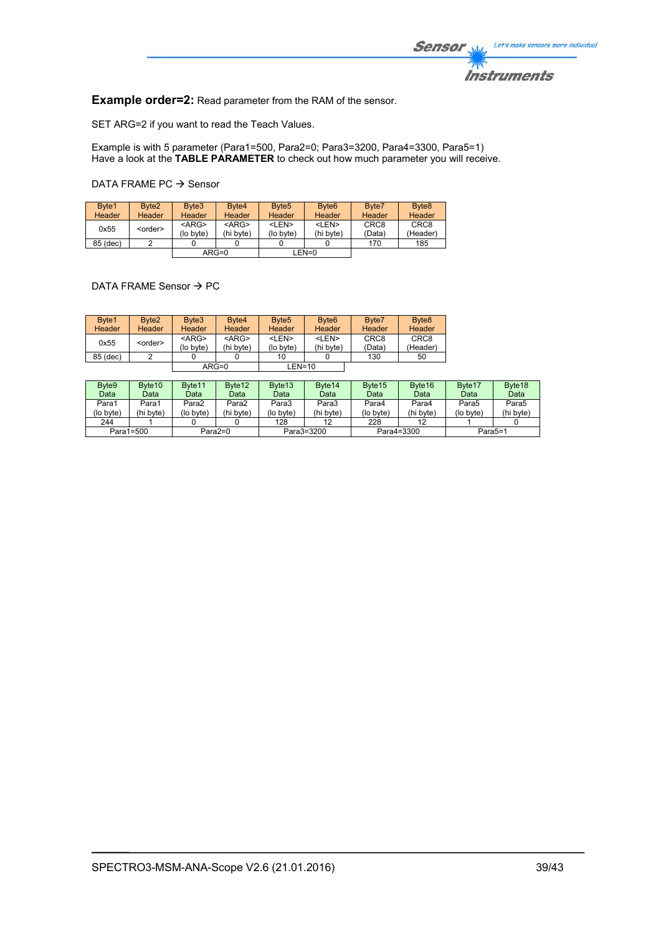

**Example order=2:** Read parameter from the RAM of the sensor.

SET ARG=2 if you want to read the Teach Values.

Example is with 5 parameter (Para1=500, Para2=0; Para3=3200, Para4=3300, Para5=1) Have a look at the **TABLE PARAMETER** to check out how much parameter you will receive.

DATA FRAME PC  $\rightarrow$  Sensor

| Byte1<br>Header | Byte <sub>2</sub><br>Header | Byte3<br>Header          | Byte4<br><b>Header</b>   | Byte <sub>5</sub><br>Header | Byte <sub>6</sub><br><b>Header</b> | Byte7<br>Header            | Byte <sub>8</sub><br>Header  |
|-----------------|-----------------------------|--------------------------|--------------------------|-----------------------------|------------------------------------|----------------------------|------------------------------|
| 0x55            | <order></order>             | $<$ ARG $>$<br>(lo byte) | $<$ ARG $>$<br>(hi byte) | <len><br/>(lo byte)</len>   | <len><br/>(hi bvte)</len>          | CRC <sub>8</sub><br>(Data) | CRC <sub>8</sub><br>(Header) |
| 85 (dec)        |                             |                          |                          |                             |                                    | 170                        | 185                          |
|                 |                             | $ARG=0$                  |                          |                             | LEN=0                              |                            |                              |

DATA FRAME Sensor  $\rightarrow$  PC

| Byte1<br>Header | Byte <sub>2</sub><br>Header | Byte3<br>Header          | Byte4<br><b>Header</b>   | Byte <sub>5</sub><br>Header | Byte <sub>6</sub><br>Header | Byte7<br>Header            | Byte <sub>8</sub><br><b>Header</b> |
|-----------------|-----------------------------|--------------------------|--------------------------|-----------------------------|-----------------------------|----------------------------|------------------------------------|
| 0x55            | <order></order>             | $<$ ARG $>$<br>(lo byte) | $<$ ARG $>$<br>(hi byte) | <len><br/>(lo byte)</len>   | <len><br/>(hi byte)</len>   | CRC <sub>8</sub><br>(Data) | CRC <sub>8</sub><br>(Header)       |
| 85 (dec)        |                             |                          |                          | 10                          |                             | 130                        | 50                                 |
|                 |                             |                          | $ARG=0$                  | $LEN=10$                    |                             |                            |                                    |

| Byte <sub>9</sub>      | Byte <sub>10</sub> | Byte <sub>11</sub> | Byte <sub>12</sub> | Byte <sub>13</sub> | Byte <sub>14</sub> | Byte <sub>15</sub> | Byte <sub>16</sub>   | Byte <sub>17</sub> | Byte <sub>18</sub> |
|------------------------|--------------------|--------------------|--------------------|--------------------|--------------------|--------------------|----------------------|--------------------|--------------------|
| Data                   | Data               | Data               | Data               | Data               | Data               | Data               | Data                 | Data               | Data               |
| Para1                  | Para1              | Para2              | Para2              | Para3              | Para3              | Para4              | Para4                | Para5              | Para5              |
| (lo byte)              | (hi byte)          | (lo byte)          | (hi byte)          | (lo byte)          | (hi byte)          | (lo byte)          | (hi byte)            | (lo byte)          | (hi byte)          |
| 244                    |                    |                    |                    | 128                | 12                 | 228                |                      |                    |                    |
| Para1=500<br>$Para2=0$ |                    |                    |                    | Para3=3200         | Para4=3300         |                    | Para <sub>5</sub> =1 |                    |                    |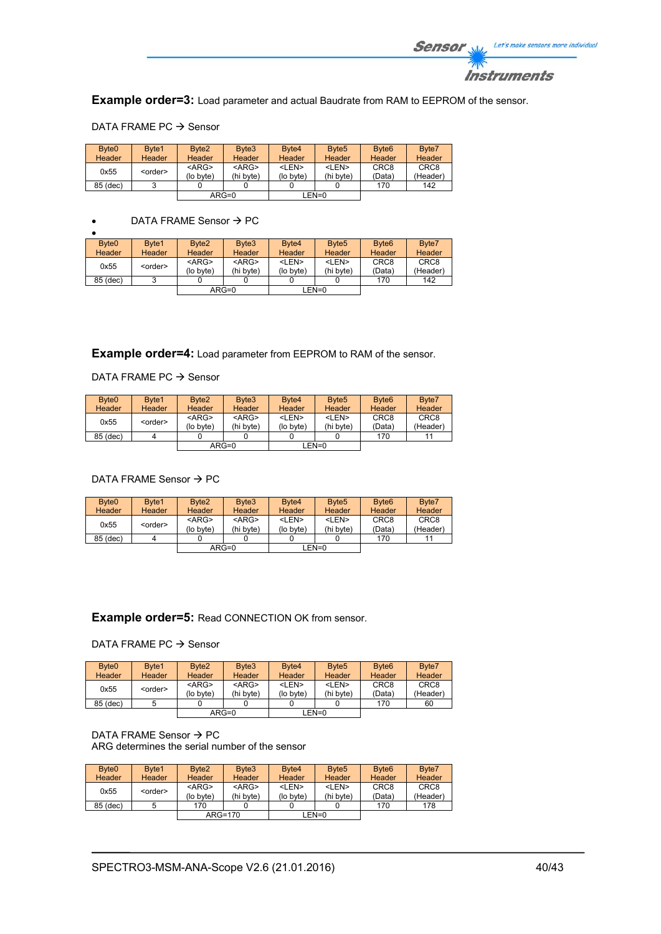

**Example order=3:** Load parameter and actual Baudrate from RAM to EEPROM of the sensor.

| Byte <sub>0</sub> | Byte1           | Byte2       | Byte3       | Byte4       | Byte <sub>5</sub> | Byte <sub>6</sub> | Byte7            |
|-------------------|-----------------|-------------|-------------|-------------|-------------------|-------------------|------------------|
| <b>Header</b>     | <b>Header</b>   | Header      | Header      | Header      | Header            | Header            | Header           |
| 0x55              |                 | $<$ ARG $>$ | $<$ ARG $>$ | <len></len> | <len></len>       | CRC <sub>8</sub>  | CRC <sub>8</sub> |
|                   | <order></order> | (lo byte)   | (hi byte)   | (lo byte)   | (hi byte)         | (Data)            | (Header)         |
| 85 (dec)          |                 |             |             |             |                   | 170               | 142              |
|                   |                 |             | $ARG=0$     |             | $LEN=0$           |                   |                  |

### DATA FRAME PC  $\rightarrow$  Sensor

# $\bullet$  DATA FRAME Sensor  $\rightarrow$  PC

| Byte <sub>0</sub> | Byte1           | Byte <sub>2</sub> | Byte <sub>3</sub> | Byte4         | Byte <sub>5</sub> | Byte <sub>6</sub> | Byte7            |
|-------------------|-----------------|-------------------|-------------------|---------------|-------------------|-------------------|------------------|
| Header            | Header          | Header            | Header            | <b>Header</b> | Header            | Header            | Header           |
| 0x55              | <order></order> | $<$ ARG $>$       | $<$ ARG $>$       | <len></len>   | <len></len>       | CRC <sub>8</sub>  | CRC <sub>8</sub> |
|                   |                 | (lo byte)         | (hi byte)         | (lo byte)     | (hi byte)         | (Data)            | (Header)         |
| 85 (dec)          |                 |                   |                   |               |                   | 170               | 142              |
|                   |                 |                   | $ARG=0$           |               | LEN=0             |                   |                  |

**Example order=4:** Load parameter from EEPROM to RAM of the sensor.

# DATA FRAME PC  $\rightarrow$  Sensor

| Byte <sub>0</sub> | Byte1           | Byte <sub>2</sub>     | Byte3                    | Byte4                     | Byte <sub>5</sub>         | Byte <sub>6</sub>          | Byte7                        |
|-------------------|-----------------|-----------------------|--------------------------|---------------------------|---------------------------|----------------------------|------------------------------|
| <b>Header</b>     | Header          | Header                | Header                   | <b>Header</b>             | Header                    | Header                     | Header                       |
| 0x55              | <order></order> | $<$ ARG><br>(lo byte) | $<$ ARG $>$<br>(hi byte) | <len><br/>(lo byte)</len> | <len><br/>(hi byte)</len> | CRC <sub>8</sub><br>(Data) | CRC <sub>8</sub><br>(Header) |
| 85 (dec)          |                 |                       |                          |                           |                           | 170                        | 11                           |
|                   |                 |                       | $ARG=0$                  |                           | LEN=0                     |                            |                              |

# DATA FRAME Sensor  $\rightarrow$  PC

| Byte <sub>0</sub> | Byte1           | Byte <sub>2</sub>     | Byte3                    | Byte4                     | Byte <sub>5</sub>         | Byte <sub>6</sub>          | Byte7                        |
|-------------------|-----------------|-----------------------|--------------------------|---------------------------|---------------------------|----------------------------|------------------------------|
| Header            | <b>Header</b>   | <b>Header</b>         | Header                   | Header                    | <b>Header</b>             | Header                     | Header                       |
| 0x55              | <order></order> | $<$ ARG><br>(lo byte) | $<$ ARG $>$<br>(hi byte) | <len><br/>(lo byte)</len> | <len><br/>(hi byte)</len> | CRC <sub>8</sub><br>(Data) | CRC <sub>8</sub><br>(Header) |
| 85 (dec)          |                 |                       |                          |                           |                           | 170                        |                              |
|                   |                 |                       | $ARG=0$                  |                           | LEN=0                     |                            |                              |

# **Example order=5:** Read CONNECTION OK from sensor.

# DATA FRAME PC  $\rightarrow$  Sensor

| Byte <sub>0</sub><br><b>Header</b> | Byte1<br>Header | Byte <sub>2</sub><br><b>Header</b> | Byte3<br>Header          | Byte4<br><b>Header</b>    | Byte <sub>5</sub><br><b>Header</b> | Byte <sub>6</sub><br><b>Header</b> | Byte7<br>Header              |
|------------------------------------|-----------------|------------------------------------|--------------------------|---------------------------|------------------------------------|------------------------------------|------------------------------|
| 0x55                               | <order></order> | $<$ ARG $>$<br>(lo byte)           | $<$ ARG $>$<br>(hi byte) | <len><br/>(lo byte)</len> | <len><br/>(hi byte)</len>          | CRC <sub>8</sub><br>(Data)         | CRC <sub>8</sub><br>(Header) |
| 85 (dec)                           |                 |                                    |                          |                           |                                    | 170                                | 60                           |
|                                    |                 |                                    | $ARG=0$                  |                           | LEN=0                              |                                    |                              |

#### DATA FRAME Sensor  $\rightarrow$  PC ARG determines the serial number of the sensor

| Byte <sub>0</sub> | Byte1           | Byte <sub>2</sub> | Byte3       | Byte4       | Byte <sub>5</sub> | Byte <sub>6</sub> | Byte7            |
|-------------------|-----------------|-------------------|-------------|-------------|-------------------|-------------------|------------------|
| <b>Header</b>     | Header          | <b>Header</b>     | Header      | Header      | <b>Header</b>     | Header            | Header           |
| 0x55              | <order></order> | $<$ ARG $>$       | $<$ ARG $>$ | <len></len> | <len></len>       | CRC <sub>8</sub>  | CRC <sub>8</sub> |
|                   |                 | (lo byte)         | (hi byte)   | (lo byte)   | (hi byte)         | (Data)            | (Header)         |
| 85 (dec)          |                 | 170               |             |             |                   | 170               | 178              |
|                   |                 |                   | $ARG=170$   |             | $LEN=0$           |                   |                  |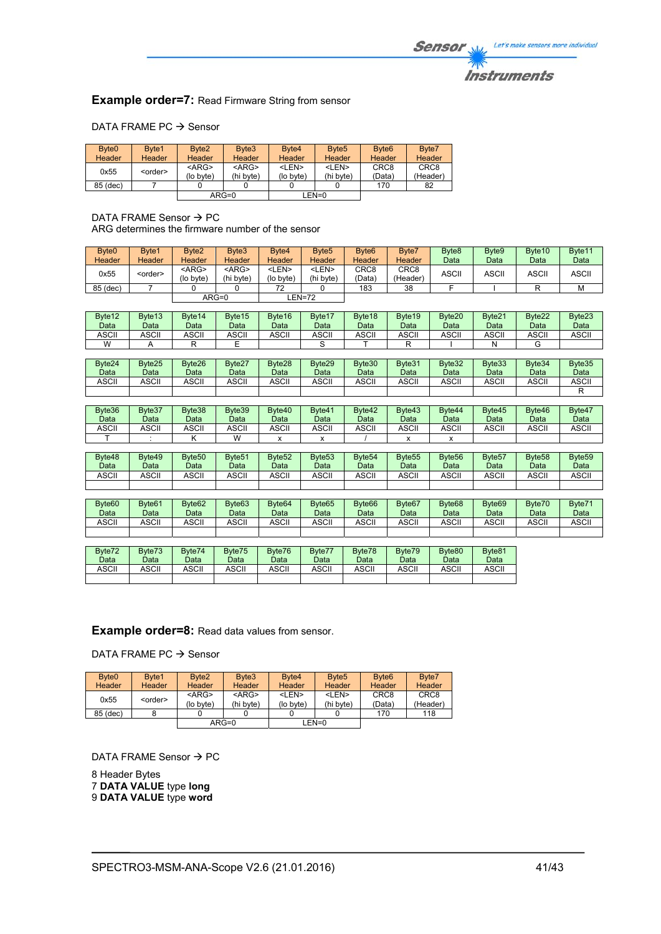# **Instruments**

# **Example order=7: Read Firmware String from sensor**

## DATA FRAME PC  $\rightarrow$  Sensor

| Byte <sub>0</sub> | Byte1           | Byte <sub>2</sub> | Byte3       | Byte4         | Byte <sub>5</sub> | Byte <sub>6</sub> | Byte7            |
|-------------------|-----------------|-------------------|-------------|---------------|-------------------|-------------------|------------------|
| Header            | Header          | Header            | Header      | <b>Header</b> | <b>Header</b>     | Header            | Header           |
| 0x55              | <order></order> | $<$ ARG $>$       | $<$ ARG $>$ | <len></len>   | <len></len>       | CRC <sub>8</sub>  | CRC <sub>8</sub> |
|                   |                 | (lo byte)         | (hi byte)   | (lo byte)     | (hi byte)         | (Data)            | (Header)         |
| 85 (dec)          |                 |                   |             |               |                   | 170               | 82               |
|                   |                 |                   | $ARG=0$     |               | LEN=0             |                   |                  |

#### DATA FRAME Sensor  $\rightarrow$  PC ARG determines the firmware number of the sensor

| Byte <sub>0</sub><br>Header | Byte1<br><b>Header</b> | Byte <sub>2</sub><br>Header | Byte3<br><b>Header</b>    | Byte4<br>Header           | Byte <sub>5</sub><br>Header | Byte <sub>6</sub><br>Header | Byte7<br>Header  | Byte <sub>8</sub><br>Data | Byte9<br>Data | Byte <sub>10</sub><br>Data | Byte11<br>Data |
|-----------------------------|------------------------|-----------------------------|---------------------------|---------------------------|-----------------------------|-----------------------------|------------------|---------------------------|---------------|----------------------------|----------------|
| 0x55                        | <order></order>        | $<$ ARG $>$<br>(lo byte)    | <arg><br/>(hi byte)</arg> | <len><br/>(lo byte)</len> | <len><br/>(hi bvte)</len>   | CRC <sub>8</sub><br>(Data)  | CRC8<br>(Header) | ASCII                     | ASCII         | <b>ASCII</b>               | <b>ASCII</b>   |
| 85 (dec)                    |                        |                             |                           | 72                        |                             | 183                         | 38               |                           |               |                            | M              |
|                             |                        |                             | $ARG=0$                   |                           | EN=72-                      |                             |                  |                           |               |                            |                |

| Byte <sub>12</sub><br>Data | Byte <sub>13</sub><br>Data | Byte <sub>14</sub><br>Data | Byte15<br>Data | Byte16<br>Data | Byte17<br>Data | Byte <sub>18</sub><br>Data | Byte <sub>19</sub><br>Data | Byte <sub>20</sub><br>Data | Byte21<br>Data | Byte22<br>Data | Byte23<br>Data |
|----------------------------|----------------------------|----------------------------|----------------|----------------|----------------|----------------------------|----------------------------|----------------------------|----------------|----------------|----------------|
| <b>ASCII</b>               | <b>ASCII</b>               | <b>ASCII</b>               | <b>ASCII</b>   | ASCII          | <b>ASCII</b>   | <b>ASCII</b>               | ASCII                      | ASCII                      | ASCII          | ASCII          | <b>ASCII</b>   |
| W                          |                            |                            |                |                |                |                            |                            |                            |                |                |                |

| Byte24<br>Data | Byte25<br>Data | Byte26<br>Data | Byte27<br>Data | Byte28<br>Data | Byte29<br>Data | Byte30<br>Data | Byte31<br>Data | Byte32<br>Data | Byte33<br>Data | Byte34<br>Data | Byte35<br>Data |
|----------------|----------------|----------------|----------------|----------------|----------------|----------------|----------------|----------------|----------------|----------------|----------------|
| <b>ASCII</b>   | <b>ASCII</b>   | ASCII          | <b>ASCII</b>   | <b>ASCII</b>   | <b>ASCII</b>   | <b>ASCII</b>   | ASCII          | ASCII          | ASCII          | ASCII          | ASCII          |
|                |                |                |                |                |                |                |                |                |                |                |                |

| Byte36<br>Data | Byte37<br>Data | Byte38<br>Data | Byte39<br>Data | Byte40<br>Data | Byte41<br>Data | Byte42<br>Data | Byte43<br>Data | Byte44<br>Data | Byte45<br>Data | Byte46<br>Data | Byte47<br>Data |
|----------------|----------------|----------------|----------------|----------------|----------------|----------------|----------------|----------------|----------------|----------------|----------------|
| ASCII          | ASCII          | ASCII          | <b>ASCII</b>   | <b>ASCII</b>   | ASCII          | <b>ASCII</b>   | <b>ASCII</b>   | ASCII          | ASCII          | ASCII          | ASCII          |
|                |                |                | W              |                |                |                |                |                |                |                |                |

| Byte48<br>Data | Byte49<br>Data | Byte <sub>50</sub><br>Data | Byte <sub>51</sub><br>Data | Byte <sub>52</sub><br>Data | Byte <sub>53</sub><br>Data | Byte <sub>54</sub><br>Data | Byte <sub>55</sub><br>Data | Byte <sub>56</sub><br>Data | Byte <sub>57</sub><br>Data | Byte <sub>58</sub><br>Data | Byte <sub>59</sub><br>Data |
|----------------|----------------|----------------------------|----------------------------|----------------------------|----------------------------|----------------------------|----------------------------|----------------------------|----------------------------|----------------------------|----------------------------|
| ASCII          | ASCII          | ASCII                      | <b>ASCII</b>               | ASCII                      | ASCII                      | <b>ASCII</b>               | ASCII                      | ASCII                      | ASCII                      | ASCII                      | ASCII                      |
|                |                |                            |                            |                            |                            |                            |                            |                            |                            |                            |                            |

| Byte <sub>60</sub><br>Data | Byte <sub>61</sub><br>Data | Byte <sub>62</sub><br>Data | Byte63<br>Data | Byte <sub>64</sub><br>Data | Byte65<br>Data | Byte <sub>66</sub><br>Data | Byte <sub>67</sub><br>Data | Byte <sub>68</sub><br>Data | Byte <sub>69</sub><br>Data | Byte70<br>Data | Byte71<br>Data |
|----------------------------|----------------------------|----------------------------|----------------|----------------------------|----------------|----------------------------|----------------------------|----------------------------|----------------------------|----------------|----------------|
| <b>ASCII</b>               | <b>ASCII</b>               | <b>ASCII</b>               | <b>ASCII</b>   | ASCII                      | ASCII          | ASCII                      | <b>ASCI</b>                | ASCII                      | ASCII                      | ASCII          | <b>ASCII</b>   |
|                            |                            |                            |                |                            |                |                            |                            |                            |                            |                |                |

| Byte72<br>Data | Byte73<br>Data | Byte74<br>Data | Byte75<br>Data | Byte76<br>Data | Byte77<br>Data | Byte78<br>Data | Byte79<br>Data | Byte80<br>Data | Byte81<br>Data |
|----------------|----------------|----------------|----------------|----------------|----------------|----------------|----------------|----------------|----------------|
| ASCII          | ASCII          | ASCII          | ASCII          | ASCII          | <b>ASCII</b>   | ASCII          | ASCII          | ASCII          | ASCII          |
|                |                |                |                |                |                |                |                |                |                |

# **Example order=8:** Read data values from sensor.

DATA FRAME PC  $\rightarrow$  Sensor

| Byte <sub>0</sub> | Byte1           | Byte <sub>2</sub> | Byte3         | Byte4       | Byte <sub>5</sub> | Byte <sub>6</sub> | Byte7            |
|-------------------|-----------------|-------------------|---------------|-------------|-------------------|-------------------|------------------|
| <b>Header</b>     | <b>Header</b>   | Header            | <b>Header</b> | Header      | Header            | Header            | Header           |
| 0x55              | <order></order> | $<$ ARG $>$       | $<$ ARG $>$   | <len></len> | <len></len>       | CRC <sub>8</sub>  | CRC <sub>8</sub> |
|                   |                 | (lo byte)         | (hi byte)     | (lo byte)   | (hi byte)         | (Data)            | (Header)         |
| 85 (dec)          |                 |                   |               |             |                   | 170               | 118              |
|                   |                 |                   | $ARG=0$       |             | LEN=0             |                   |                  |

DATA FRAME Sensor  $\rightarrow$  PC

8 Header Bytes 7 **DATA VALUE** type **long** 9 **DATA VALUE** type **word**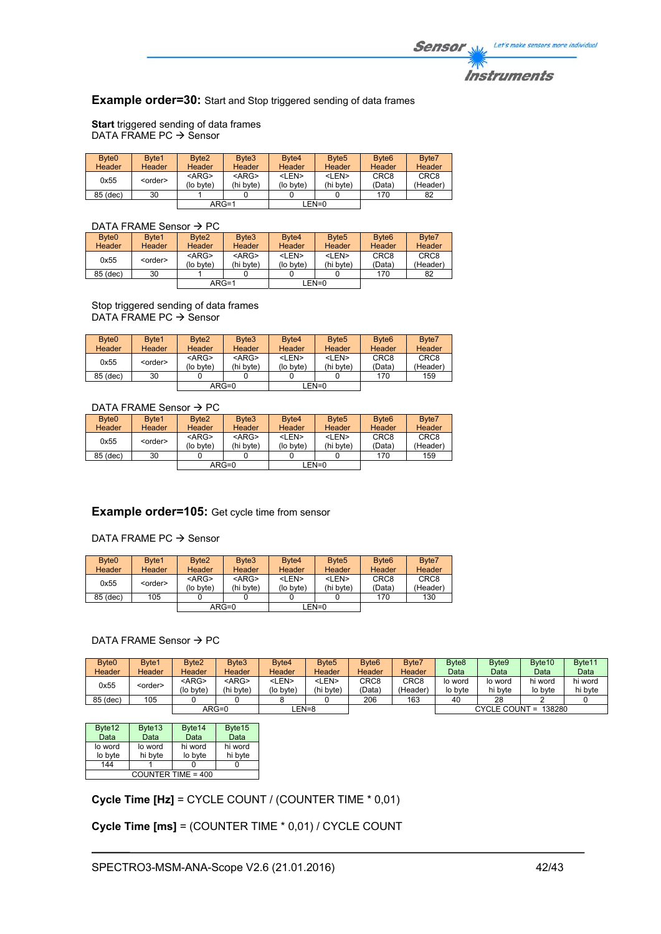**Example order=30:** Start and Stop triggered sending of data frames

**Start** triggered sending of data frames DATA FRAME PC  $\rightarrow$  Sensor

| Byte <sub>0</sub><br>Header | Byte1<br>Header | Byte <sub>2</sub><br><b>Header</b> | Byte3<br>Header          | Byte4<br>Header           | Byte <sub>5</sub><br><b>Header</b> | Byte <sub>6</sub><br><b>Header</b> | Byte7<br>Header              |
|-----------------------------|-----------------|------------------------------------|--------------------------|---------------------------|------------------------------------|------------------------------------|------------------------------|
| 0x55                        | <order></order> | $<$ ARG><br>(lo byte)              | $<$ ARG $>$<br>(hi byte) | <len><br/>(lo byte)</len> | <len><br/>(hi byte)</len>          | CRC <sub>8</sub><br>(Data)         | CRC <sub>8</sub><br>(Header) |
| 85 (dec)                    | 30              |                                    |                          |                           |                                    | 170                                | 82                           |
|                             |                 | $ARG=1$                            |                          |                           | EN=0_                              |                                    |                              |

# DATA FRAME Sensor  $\rightarrow$  PC

| Byte <sub>0</sub> | Byte1           | Byte <sub>2</sub> | Byte3       | Byte4       | Byte <sub>5</sub> | Byte <sub>6</sub> | Byte7            |
|-------------------|-----------------|-------------------|-------------|-------------|-------------------|-------------------|------------------|
| Header            | <b>Header</b>   | Header            | Header      | Header      | <b>Header</b>     | <b>Header</b>     | Header           |
| 0x55              | <order></order> | $<$ ARG>          | $<$ ARG $>$ | <len></len> | <len></len>       | CRC <sub>8</sub>  | CRC <sub>8</sub> |
|                   |                 | (lo byte)         | (hi bvte)   | (lo byte)   | (hi byte)         | (Data)            | (Header)         |
| 85 (dec)          | 30              |                   |             |             |                   | 170               | 82               |
|                   |                 | $ARG=1$           |             |             | $LEN=0$           |                   |                  |
|                   |                 |                   |             |             |                   |                   |                  |

Stop triggered sending of data frames DATA FRAME PC  $\rightarrow$  Sensor

| Byte <sub>0</sub> | Byte1           | Byte <sub>2</sub> | Byte3         | Byte4         | Byte <sub>5</sub> | Byte <sub>6</sub> | Byte7            |
|-------------------|-----------------|-------------------|---------------|---------------|-------------------|-------------------|------------------|
| <b>Header</b>     | Header          | Header            | <b>Header</b> | <b>Header</b> | Header            | Header            | Header           |
| 0x55              | <order></order> | $<$ ARG>          | $<$ ARG $>$   | <len></len>   | <len></len>       | CRC <sub>8</sub>  | CRC <sub>8</sub> |
|                   |                 | (lo byte)         | (hi byte)     | (lo byte)     | (hi byte)         | (Data)            | (Header)         |
| 85 (dec)          | 30              |                   |               |               |                   | 170               | 159              |
|                   |                 |                   | $ARG=0$       |               | LEN=0             |                   |                  |

# DATA FRAME Sensor  $\rightarrow$  PC

| Byte <sub>0</sub> | Byte1           | Byte <sub>2</sub> | Byte3         | Byte4         | Byte <sub>5</sub> | Byte <sub>6</sub> | Byte7            |
|-------------------|-----------------|-------------------|---------------|---------------|-------------------|-------------------|------------------|
| Header            | <b>Header</b>   | Header            | <b>Header</b> | <b>Header</b> | <b>Header</b>     | Header            | <b>Header</b>    |
| 0x55              | <order></order> | $<$ ARG>          | $<$ ARG $>$   | <len></len>   | <len></len>       | CRC <sub>8</sub>  | CRC <sub>8</sub> |
|                   |                 | (lo byte)         | (hi byte)     | (lo byte)     | (hi byte)         | (Data)            | (Header)         |
| 85 (dec)          | 30              |                   |               |               |                   | 170               | 159              |
|                   |                 |                   | $ARG=0$       |               | LEN=0             |                   |                  |

# **Example order=105:** Get cycle time from sensor

#### DATA FRAME PC  $\rightarrow$  Sensor

| Byte <sub>0</sub><br>Header | Byte1<br>Header | Byte <sub>2</sub><br><b>Header</b> | Byte3<br>Header          | Byte4<br><b>Header</b>    | Byte <sub>5</sub><br><b>Header</b> | Byte <sub>6</sub><br>Header | Byte7<br>Header              |
|-----------------------------|-----------------|------------------------------------|--------------------------|---------------------------|------------------------------------|-----------------------------|------------------------------|
| 0x55                        | <order></order> | $<$ ARG $>$<br>(lo byte)           | $<$ ARG $>$<br>(hi byte) | <len><br/>(lo byte)</len> | <len><br/>(hi byte)</len>          | CRC <sub>8</sub><br>(Data)  | CRC <sub>8</sub><br>(Header) |
| 85 (dec)                    | 105             |                                    |                          |                           |                                    | 170                         | 130                          |
|                             |                 |                                    | $ARG=0$                  |                           | LEN=0                              |                             |                              |

# DATA FRAME Sensor  $\rightarrow$  PC

| Byte <sub>0</sub><br>Header | Byte1<br>Header | Byte <sub>2</sub><br>Header | Byte3<br><b>Header</b>   | Byte4<br>Header           | Byte <sub>5</sub><br>Header | Byte <sub>6</sub><br><b>Header</b> | Byte7<br>Header  | Byte <sub>8</sub><br>Data | Byte9<br>Data      | Byte <sub>10</sub><br>Data | Byte <sub>11</sub><br>Data |
|-----------------------------|-----------------|-----------------------------|--------------------------|---------------------------|-----------------------------|------------------------------------|------------------|---------------------------|--------------------|----------------------------|----------------------------|
|                             |                 |                             |                          |                           |                             |                                    |                  |                           |                    |                            |                            |
| 0x55                        | <order></order> | <arg><br/>(lo bvte)</arg>   | $<$ ARG $>$<br>(hi byte) | <len><br/>(lo byte)</len> | <len><br/>(hi byte)</len>   | CRC8<br>(Data`                     | CRC8<br>(Header) | lo word<br>lo byte        | lo word<br>hi byte | hi word<br>lo byte         | hi word<br>hi byte         |
| 85 (dec)                    | 105             |                             |                          |                           |                             | 206                                | 163              | 40                        | 28                 |                            |                            |
|                             |                 |                             | $ARG=0$                  | EN=8                      |                             |                                    |                  |                           |                    | CYCLE COUNT = 138280       |                            |

| Byte12             | Byte <sub>13</sub> | Byte14  | Byte15  |  |  |  |  |
|--------------------|--------------------|---------|---------|--|--|--|--|
| Data               | Data               | Data    | Data    |  |  |  |  |
| lo word            | lo word            | hi word | hi word |  |  |  |  |
| lo byte            | hi byte            | lo byte | hi byte |  |  |  |  |
| 144                |                    |         |         |  |  |  |  |
| COUNTER TIME = 400 |                    |         |         |  |  |  |  |

**Cycle Time [Hz]** = CYCLE COUNT / (COUNTER TIME \* 0,01)

**Cycle Time [ms]** = (COUNTER TIME \* 0,01) / CYCLE COUNT